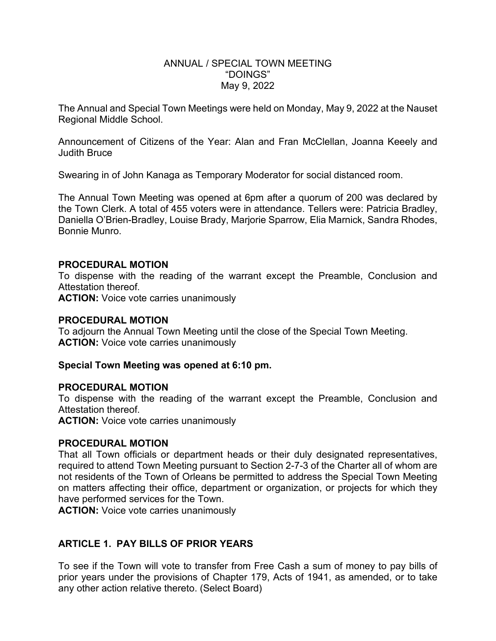#### ANNUAL / SPECIAL TOWN MEETING "DOINGS" May 9, 2022

The Annual and Special Town Meetings were held on Monday, May 9, 2022 at the Nauset Regional Middle School.

Announcement of Citizens of the Year: Alan and Fran McClellan, Joanna Keeely and Judith Bruce

Swearing in of John Kanaga as Temporary Moderator for social distanced room.

The Annual Town Meeting was opened at 6pm after a quorum of 200 was declared by the Town Clerk. A total of 455 voters were in attendance. Tellers were: Patricia Bradley, Daniella O'Brien-Bradley, Louise Brady, Marjorie Sparrow, Elia Marnick, Sandra Rhodes, Bonnie Munro.

#### **PROCEDURAL MOTION**

To dispense with the reading of the warrant except the Preamble, Conclusion and Attestation thereof.

**ACTION:** Voice vote carries unanimously

#### **PROCEDURAL MOTION**

To adjourn the Annual Town Meeting until the close of the Special Town Meeting. **ACTION:** Voice vote carries unanimously

#### **Special Town Meeting was opened at 6:10 pm.**

#### **PROCEDURAL MOTION**

To dispense with the reading of the warrant except the Preamble, Conclusion and Attestation thereof.

**ACTION:** Voice vote carries unanimously

#### **PROCEDURAL MOTION**

That all Town officials or department heads or their duly designated representatives, required to attend Town Meeting pursuant to Section 2-7-3 of the Charter all of whom are not residents of the Town of Orleans be permitted to address the Special Town Meeting on matters affecting their office, department or organization, or projects for which they have performed services for the Town.

**ACTION:** Voice vote carries unanimously

### **ARTICLE 1. PAY BILLS OF PRIOR YEARS**

To see if the Town will vote to transfer from Free Cash a sum of money to pay bills of prior years under the provisions of Chapter 179, Acts of 1941, as amended, or to take any other action relative thereto. (Select Board)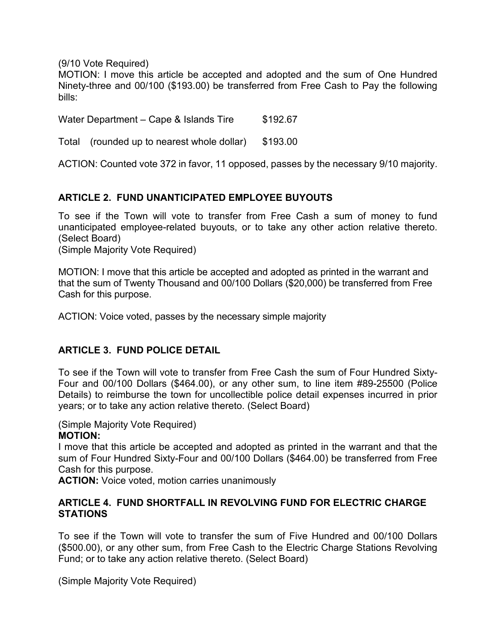(9/10 Vote Required)

MOTION: I move this article be accepted and adopted and the sum of One Hundred Ninety-three and 00/100 (\$193.00) be transferred from Free Cash to Pay the following bills:

Water Department – Cape & Islands Tire \$192.67

Total (rounded up to nearest whole dollar) \$193.00

ACTION: Counted vote 372 in favor, 11 opposed, passes by the necessary 9/10 majority.

### **ARTICLE 2. FUND UNANTICIPATED EMPLOYEE BUYOUTS**

To see if the Town will vote to transfer from Free Cash a sum of money to fund unanticipated employee-related buyouts, or to take any other action relative thereto. (Select Board)

(Simple Majority Vote Required)

MOTION: I move that this article be accepted and adopted as printed in the warrant and that the sum of Twenty Thousand and 00/100 Dollars (\$20,000) be transferred from Free Cash for this purpose.

ACTION: Voice voted, passes by the necessary simple majority

### **ARTICLE 3. FUND POLICE DETAIL**

To see if the Town will vote to transfer from Free Cash the sum of Four Hundred Sixty-Four and 00/100 Dollars (\$464.00), or any other sum, to line item #89-25500 (Police Details) to reimburse the town for uncollectible police detail expenses incurred in prior years; or to take any action relative thereto. (Select Board)

(Simple Majority Vote Required)

### **MOTION:**

I move that this article be accepted and adopted as printed in the warrant and that the sum of Four Hundred Sixty-Four and 00/100 Dollars (\$464.00) be transferred from Free Cash for this purpose.

**ACTION:** Voice voted, motion carries unanimously

### **ARTICLE 4. FUND SHORTFALL IN REVOLVING FUND FOR ELECTRIC CHARGE STATIONS**

To see if the Town will vote to transfer the sum of Five Hundred and 00/100 Dollars (\$500.00), or any other sum, from Free Cash to the Electric Charge Stations Revolving Fund; or to take any action relative thereto. (Select Board)

(Simple Majority Vote Required)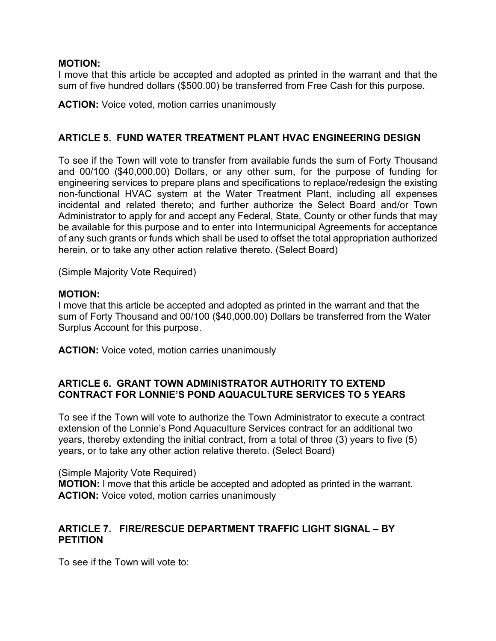#### **MOTION:**

I move that this article be accepted and adopted as printed in the warrant and that the sum of five hundred dollars (\$500.00) be transferred from Free Cash for this purpose.

**ACTION:** Voice voted, motion carries unanimously

### **ARTICLE 5. FUND WATER TREATMENT PLANT HVAC ENGINEERING DESIGN**

To see if the Town will vote to transfer from available funds the sum of Forty Thousand and 00/100 (\$40,000.00) Dollars, or any other sum, for the purpose of funding for engineering services to prepare plans and specifications to replace/redesign the existing non-functional HVAC system at the Water Treatment Plant, including all expenses incidental and related thereto; and further authorize the Select Board and/or Town Administrator to apply for and accept any Federal, State, County or other funds that may be available for this purpose and to enter into Intermunicipal Agreements for acceptance of any such grants or funds which shall be used to offset the total appropriation authorized herein, or to take any other action relative thereto. (Select Board)

(Simple Majority Vote Required)

#### **MOTION:**

I move that this article be accepted and adopted as printed in the warrant and that the sum of Forty Thousand and 00/100 (\$40,000.00) Dollars be transferred from the Water Surplus Account for this purpose.

**ACTION:** Voice voted, motion carries unanimously

### **ARTICLE 6. GRANT TOWN ADMINISTRATOR AUTHORITY TO EXTEND CONTRACT FOR LONNIE'S POND AQUACULTURE SERVICES TO 5 YEARS**

To see if the Town will vote to authorize the Town Administrator to execute a contract extension of the Lonnie's Pond Aquaculture Services contract for an additional two years, thereby extending the initial contract, from a total of three (3) years to five (5) years, or to take any other action relative thereto. (Select Board)

(Simple Majority Vote Required)

**MOTION:** I move that this article be accepted and adopted as printed in the warrant. **ACTION:** Voice voted, motion carries unanimously

### **ARTICLE 7. FIRE/RESCUE DEPARTMENT TRAFFIC LIGHT SIGNAL – BY PETITION**

To see if the Town will vote to: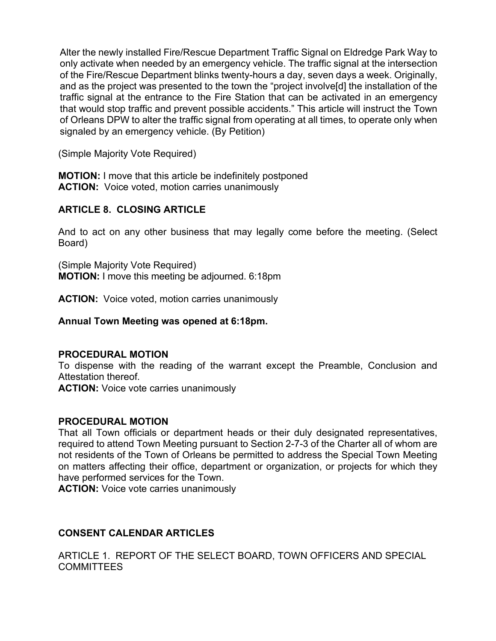Alter the newly installed Fire/Rescue Department Traffic Signal on Eldredge Park Way to only activate when needed by an emergency vehicle. The traffic signal at the intersection of the Fire/Rescue Department blinks twenty-hours a day, seven days a week. Originally, and as the project was presented to the town the "project involve[d] the installation of the traffic signal at the entrance to the Fire Station that can be activated in an emergency that would stop traffic and prevent possible accidents." This article will instruct the Town of Orleans DPW to alter the traffic signal from operating at all times, to operate only when signaled by an emergency vehicle. (By Petition)

(Simple Majority Vote Required)

**MOTION:** I move that this article be indefinitely postponed **ACTION:** Voice voted, motion carries unanimously

# **ARTICLE 8. CLOSING ARTICLE**

And to act on any other business that may legally come before the meeting. (Select Board)

(Simple Majority Vote Required) **MOTION:** I move this meeting be adjourned. 6:18pm

**ACTION:** Voice voted, motion carries unanimously

#### **Annual Town Meeting was opened at 6:18pm.**

#### **PROCEDURAL MOTION**

To dispense with the reading of the warrant except the Preamble, Conclusion and Attestation thereof.

**ACTION:** Voice vote carries unanimously

### **PROCEDURAL MOTION**

That all Town officials or department heads or their duly designated representatives, required to attend Town Meeting pursuant to Section 2-7-3 of the Charter all of whom are not residents of the Town of Orleans be permitted to address the Special Town Meeting on matters affecting their office, department or organization, or projects for which they have performed services for the Town.

**ACTION:** Voice vote carries unanimously

# **CONSENT CALENDAR ARTICLES**

ARTICLE 1. REPORT OF THE SELECT BOARD, TOWN OFFICERS AND SPECIAL COMMITTEES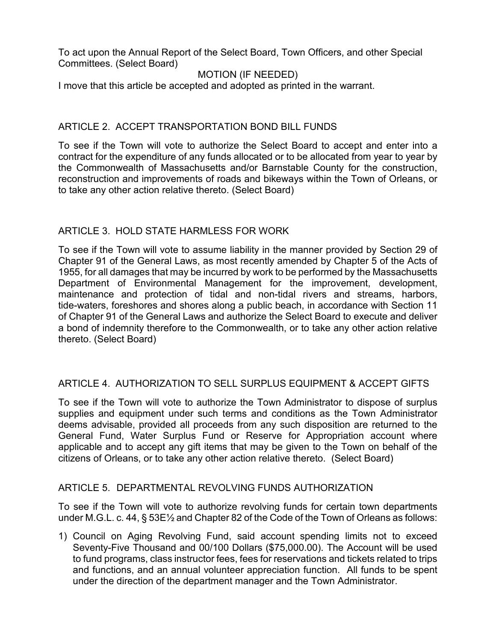To act upon the Annual Report of the Select Board, Town Officers, and other Special Committees. (Select Board)

### MOTION (IF NEEDED)

I move that this article be accepted and adopted as printed in the warrant.

### ARTICLE 2. ACCEPT TRANSPORTATION BOND BILL FUNDS

To see if the Town will vote to authorize the Select Board to accept and enter into a contract for the expenditure of any funds allocated or to be allocated from year to year by the Commonwealth of Massachusetts and/or Barnstable County for the construction, reconstruction and improvements of roads and bikeways within the Town of Orleans, or to take any other action relative thereto. (Select Board)

### ARTICLE 3. HOLD STATE HARMLESS FOR WORK

To see if the Town will vote to assume liability in the manner provided by Section 29 of Chapter 91 of the General Laws, as most recently amended by Chapter 5 of the Acts of 1955, for all damages that may be incurred by work to be performed by the Massachusetts Department of Environmental Management for the improvement, development, maintenance and protection of tidal and non-tidal rivers and streams, harbors, tide-waters, foreshores and shores along a public beach, in accordance with Section 11 of Chapter 91 of the General Laws and authorize the Select Board to execute and deliver a bond of indemnity therefore to the Commonwealth, or to take any other action relative thereto. (Select Board)

# ARTICLE 4. AUTHORIZATION TO SELL SURPLUS EQUIPMENT & ACCEPT GIFTS

To see if the Town will vote to authorize the Town Administrator to dispose of surplus supplies and equipment under such terms and conditions as the Town Administrator deems advisable, provided all proceeds from any such disposition are returned to the General Fund, Water Surplus Fund or Reserve for Appropriation account where applicable and to accept any gift items that may be given to the Town on behalf of the citizens of Orleans, or to take any other action relative thereto. (Select Board)

### ARTICLE 5. DEPARTMENTAL REVOLVING FUNDS AUTHORIZATION

To see if the Town will vote to authorize revolving funds for certain town departments under M.G.L. c. 44, § 53E½ and Chapter 82 of the Code of the Town of Orleans as follows:

1) Council on Aging Revolving Fund, said account spending limits not to exceed Seventy-Five Thousand and 00/100 Dollars (\$75,000.00). The Account will be used to fund programs, class instructor fees, fees for reservations and tickets related to trips and functions, and an annual volunteer appreciation function. All funds to be spent under the direction of the department manager and the Town Administrator.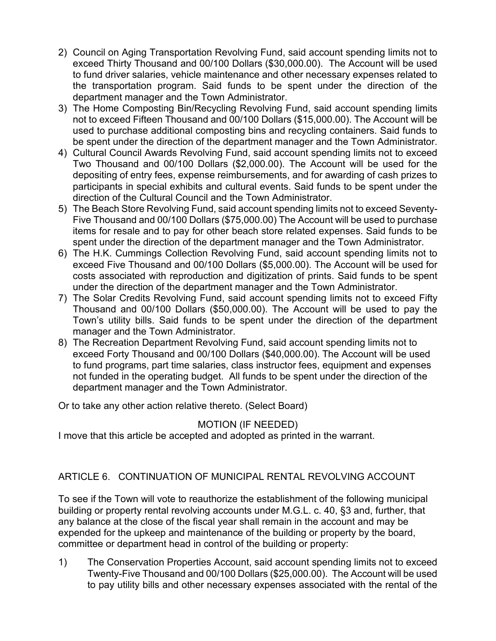- 2) Council on Aging Transportation Revolving Fund, said account spending limits not to exceed Thirty Thousand and 00/100 Dollars (\$30,000.00). The Account will be used to fund driver salaries, vehicle maintenance and other necessary expenses related to the transportation program. Said funds to be spent under the direction of the department manager and the Town Administrator.
- 3) The Home Composting Bin/Recycling Revolving Fund, said account spending limits not to exceed Fifteen Thousand and 00/100 Dollars (\$15,000.00). The Account will be used to purchase additional composting bins and recycling containers. Said funds to be spent under the direction of the department manager and the Town Administrator.
- 4) Cultural Council Awards Revolving Fund, said account spending limits not to exceed Two Thousand and 00/100 Dollars (\$2,000.00). The Account will be used for the depositing of entry fees, expense reimbursements, and for awarding of cash prizes to participants in special exhibits and cultural events. Said funds to be spent under the direction of the Cultural Council and the Town Administrator.
- 5) The Beach Store Revolving Fund, said account spending limits not to exceed Seventy-Five Thousand and 00/100 Dollars (\$75,000.00) The Account will be used to purchase items for resale and to pay for other beach store related expenses. Said funds to be spent under the direction of the department manager and the Town Administrator.
- 6) The H.K. Cummings Collection Revolving Fund, said account spending limits not to exceed Five Thousand and 00/100 Dollars (\$5,000.00). The Account will be used for costs associated with reproduction and digitization of prints. Said funds to be spent under the direction of the department manager and the Town Administrator.
- 7) The Solar Credits Revolving Fund, said account spending limits not to exceed Fifty Thousand and 00/100 Dollars (\$50,000.00). The Account will be used to pay the Town's utility bills. Said funds to be spent under the direction of the department manager and the Town Administrator.
- 8) The Recreation Department Revolving Fund, said account spending limits not to exceed Forty Thousand and 00/100 Dollars (\$40,000.00). The Account will be used to fund programs, part time salaries, class instructor fees, equipment and expenses not funded in the operating budget. All funds to be spent under the direction of the department manager and the Town Administrator.

Or to take any other action relative thereto. (Select Board)

# MOTION (IF NEEDED)

I move that this article be accepted and adopted as printed in the warrant.

# ARTICLE 6. CONTINUATION OF MUNICIPAL RENTAL REVOLVING ACCOUNT

To see if the Town will vote to reauthorize the establishment of the following municipal building or property rental revolving accounts under M.G.L. c. 40, §3 and, further, that any balance at the close of the fiscal year shall remain in the account and may be expended for the upkeep and maintenance of the building or property by the board, committee or department head in control of the building or property:

1) The Conservation Properties Account, said account spending limits not to exceed Twenty-Five Thousand and 00/100 Dollars (\$25,000.00). The Account will be used to pay utility bills and other necessary expenses associated with the rental of the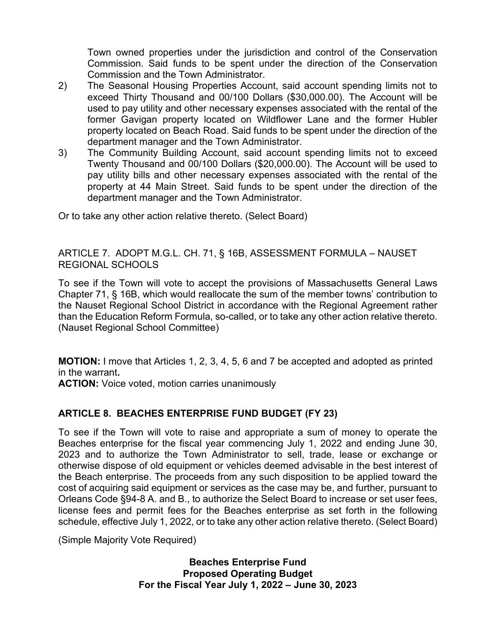Town owned properties under the jurisdiction and control of the Conservation Commission. Said funds to be spent under the direction of the Conservation Commission and the Town Administrator.

- 2) The Seasonal Housing Properties Account, said account spending limits not to exceed Thirty Thousand and 00/100 Dollars (\$30,000.00). The Account will be used to pay utility and other necessary expenses associated with the rental of the former Gavigan property located on Wildflower Lane and the former Hubler property located on Beach Road. Said funds to be spent under the direction of the department manager and the Town Administrator.
- 3) The Community Building Account, said account spending limits not to exceed Twenty Thousand and 00/100 Dollars (\$20,000.00). The Account will be used to pay utility bills and other necessary expenses associated with the rental of the property at 44 Main Street. Said funds to be spent under the direction of the department manager and the Town Administrator.

Or to take any other action relative thereto. (Select Board)

### ARTICLE 7. ADOPT M.G.L. CH. 71, § 16B, ASSESSMENT FORMULA – NAUSET REGIONAL SCHOOLS

To see if the Town will vote to accept the provisions of Massachusetts General Laws Chapter 71, § 16B, which would reallocate the sum of the member towns' contribution to the Nauset Regional School District in accordance with the Regional Agreement rather than the Education Reform Formula, so-called, or to take any other action relative thereto. (Nauset Regional School Committee)

**MOTION:** I move that Articles 1, 2, 3, 4, 5, 6 and 7 be accepted and adopted as printed in the warrant**.**

**ACTION:** Voice voted, motion carries unanimously

# **ARTICLE 8. BEACHES ENTERPRISE FUND BUDGET (FY 23)**

To see if the Town will vote to raise and appropriate a sum of money to operate the Beaches enterprise for the fiscal year commencing July 1, 2022 and ending June 30, 2023 and to authorize the Town Administrator to sell, trade, lease or exchange or otherwise dispose of old equipment or vehicles deemed advisable in the best interest of the Beach enterprise. The proceeds from any such disposition to be applied toward the cost of acquiring said equipment or services as the case may be, and further, pursuant to Orleans Code §94-8 A. and B., to authorize the Select Board to increase or set user fees, license fees and permit fees for the Beaches enterprise as set forth in the following schedule, effective July 1, 2022, or to take any other action relative thereto. (Select Board)

(Simple Majority Vote Required)

**Beaches Enterprise Fund Proposed Operating Budget For the Fiscal Year July 1, 2022 – June 30, 2023**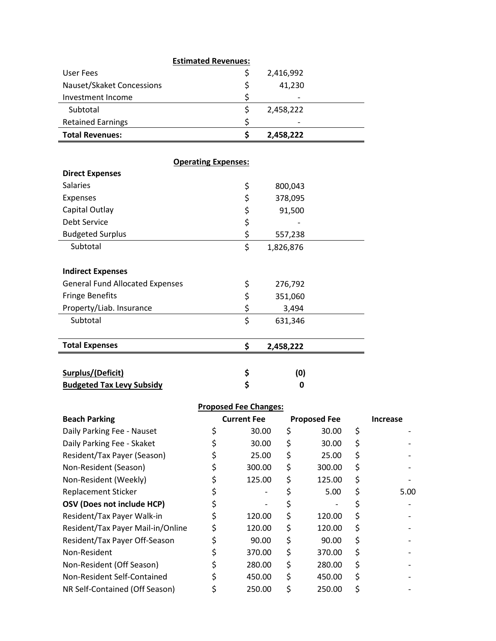|                           | <b>Estimated Revenues:</b> |           |  |
|---------------------------|----------------------------|-----------|--|
| User Fees                 |                            | 2,416,992 |  |
| Nauset/Skaket Concessions |                            | 41,230    |  |
| Investment Income         |                            |           |  |
| Subtotal                  |                            | 2,458,222 |  |
| <b>Retained Earnings</b>  |                            |           |  |
| <b>Total Revenues:</b>    |                            | 2,458,222 |  |

| <b>Operating Expenses:</b>             |    |           |  |  |  |  |
|----------------------------------------|----|-----------|--|--|--|--|
| <b>Direct Expenses</b>                 |    |           |  |  |  |  |
| <b>Salaries</b>                        | \$ | 800,043   |  |  |  |  |
| <b>Expenses</b>                        | \$ | 378,095   |  |  |  |  |
| Capital Outlay                         | \$ | 91,500    |  |  |  |  |
| Debt Service                           | \$ |           |  |  |  |  |
| <b>Budgeted Surplus</b>                | \$ | 557,238   |  |  |  |  |
| Subtotal                               | \$ | 1,826,876 |  |  |  |  |
|                                        |    |           |  |  |  |  |
| <b>Indirect Expenses</b>               |    |           |  |  |  |  |
| <b>General Fund Allocated Expenses</b> | \$ | 276,792   |  |  |  |  |
| <b>Fringe Benefits</b>                 | \$ | 351,060   |  |  |  |  |
| Property/Liab. Insurance               | \$ | 3,494     |  |  |  |  |
| Subtotal                               | \$ | 631,346   |  |  |  |  |
|                                        |    |           |  |  |  |  |
| <b>Total Expenses</b>                  | \$ | 2,458,222 |  |  |  |  |
|                                        |    |           |  |  |  |  |
| Surplus/(Deficit)                      | \$ | (0)       |  |  |  |  |
| <b>Budgeted Tax Levy Subsidy</b>       | \$ | 0         |  |  |  |  |

| <b>Proposed Fee Changes:</b> |  |                    |  |                     |     |                 |
|------------------------------|--|--------------------|--|---------------------|-----|-----------------|
| <b>Beach Parking</b>         |  | <b>Current Fee</b> |  | <b>Proposed Fee</b> |     | <b>Increase</b> |
| Daily Parking Fee - Nauset   |  | 30.00              |  | 30.00               | - S |                 |
| Daily Parking Fee - Skaket   |  | 30.00              |  | 30.00               |     |                 |

| Daily Parking Fee - Skaket        | 30.00        |    | 30.00  | Ş  |      |
|-----------------------------------|--------------|----|--------|----|------|
| Resident/Tax Payer (Season)       | 25.00        | Ş  | 25.00  | Ş  |      |
| Non-Resident (Season)             | 300.00       | \$ | 300.00 | Ş  |      |
| Non-Resident (Weekly)             | 125.00       | Ş  | 125.00 | \$ |      |
| <b>Replacement Sticker</b>        |              |    | 5.00   | \$ | 5.00 |
| OSV (Does not include HCP)        |              |    |        |    |      |
| Resident/Tax Payer Walk-in        | 120.00       |    | 120.00 | Ş  |      |
| Resident/Tax Payer Mail-in/Online | \$<br>120.00 | \$ | 120.00 | \$ |      |
| Resident/Tax Payer Off-Season     | 90.00        | \$ | 90.00  | \$ |      |
| Non-Resident                      | 370.00       | \$ | 370.00 | \$ |      |
| Non-Resident (Off Season)         | 280.00       | \$ | 280.00 | \$ |      |
| Non-Resident Self-Contained       | 450.00       | \$ | 450.00 | \$ |      |
| NR Self-Contained (Off Season)    | 250.00       |    | 250.00 |    |      |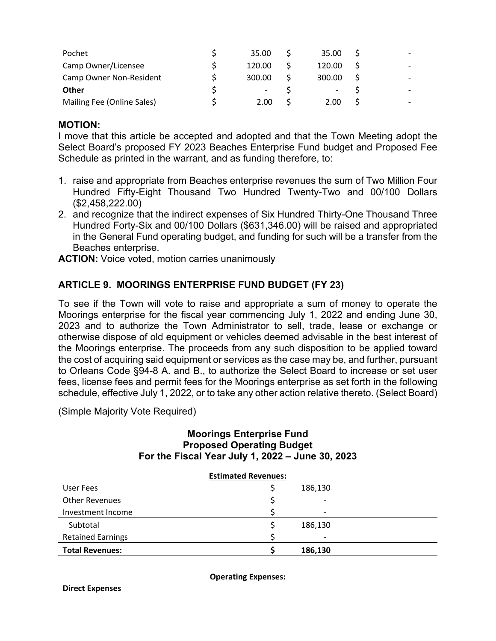| Pochet                     | 35.00  | 35.00  |  |
|----------------------------|--------|--------|--|
| Camp Owner/Licensee        | 120.00 | 120.00 |  |
| Camp Owner Non-Resident    | 300.00 | 300.00 |  |
| <b>Other</b>               |        |        |  |
| Mailing Fee (Online Sales) | 2.00   | 2.00   |  |

#### **MOTION:**

I move that this article be accepted and adopted and that the Town Meeting adopt the Select Board's proposed FY 2023 Beaches Enterprise Fund budget and Proposed Fee Schedule as printed in the warrant, and as funding therefore, to:

- 1. raise and appropriate from Beaches enterprise revenues the sum of Two Million Four Hundred Fifty-Eight Thousand Two Hundred Twenty-Two and 00/100 Dollars (\$2,458,222.00)
- 2. and recognize that the indirect expenses of Six Hundred Thirty-One Thousand Three Hundred Forty-Six and 00/100 Dollars (\$631,346.00) will be raised and appropriated in the General Fund operating budget, and funding for such will be a transfer from the Beaches enterprise.

**ACTION:** Voice voted, motion carries unanimously

### **ARTICLE 9. MOORINGS ENTERPRISE FUND BUDGET (FY 23)**

To see if the Town will vote to raise and appropriate a sum of money to operate the Moorings enterprise for the fiscal year commencing July 1, 2022 and ending June 30, 2023 and to authorize the Town Administrator to sell, trade, lease or exchange or otherwise dispose of old equipment or vehicles deemed advisable in the best interest of the Moorings enterprise. The proceeds from any such disposition to be applied toward the cost of acquiring said equipment or services as the case may be, and further, pursuant to Orleans Code §94-8 A. and B., to authorize the Select Board to increase or set user fees, license fees and permit fees for the Moorings enterprise as set forth in the following schedule, effective July 1, 2022, or to take any other action relative thereto. (Select Board)

(Simple Majority Vote Required)

### **Moorings Enterprise Fund Proposed Operating Budget For the Fiscal Year July 1, 2022 – June 30, 2023**

| <b>Estimated Revenues:</b> |  |                          |  |  |  |  |
|----------------------------|--|--------------------------|--|--|--|--|
| User Fees                  |  | 186,130                  |  |  |  |  |
| <b>Other Revenues</b>      |  | $\overline{\phantom{a}}$ |  |  |  |  |
| Investment Income          |  | $\overline{\phantom{a}}$ |  |  |  |  |
| Subtotal                   |  | 186,130                  |  |  |  |  |
| <b>Retained Earnings</b>   |  | $\overline{\phantom{a}}$ |  |  |  |  |
| <b>Total Revenues:</b>     |  | 186,130                  |  |  |  |  |

**Operating Expenses:**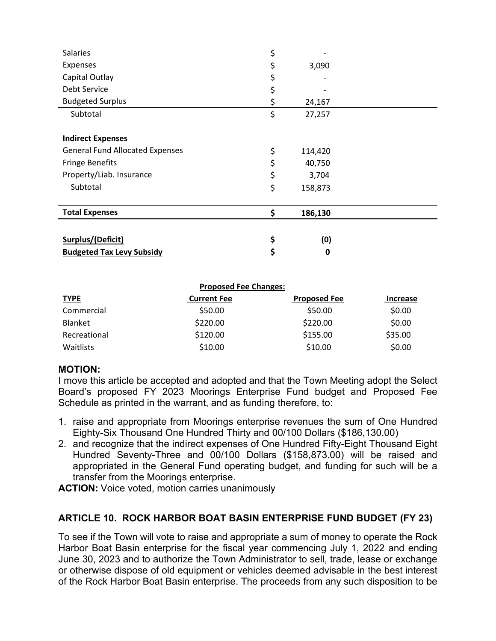| <b>Salaries</b>                        | \$            |  |
|----------------------------------------|---------------|--|
| Expenses                               | \$<br>3,090   |  |
| Capital Outlay                         | \$            |  |
| <b>Debt Service</b>                    | \$            |  |
| <b>Budgeted Surplus</b>                | \$<br>24,167  |  |
| Subtotal                               | \$<br>27,257  |  |
|                                        |               |  |
| <b>Indirect Expenses</b>               |               |  |
| <b>General Fund Allocated Expenses</b> | \$<br>114,420 |  |
| <b>Fringe Benefits</b>                 | \$<br>40,750  |  |
| Property/Liab. Insurance               | \$<br>3,704   |  |
| Subtotal                               | \$<br>158,873 |  |
|                                        |               |  |
| <b>Total Expenses</b>                  | \$<br>186,130 |  |
|                                        |               |  |
| Surplus/(Deficit)                      | \$<br>(0)     |  |
| <b>Budgeted Tax Levy Subsidy</b>       | \$<br>0       |  |

|              | <b>Proposed Fee Changes:</b> |                     |                 |
|--------------|------------------------------|---------------------|-----------------|
| <b>TYPE</b>  | <b>Current Fee</b>           | <b>Proposed Fee</b> | <b>Increase</b> |
| Commercial   | \$50.00                      | \$50.00             | \$0.00          |
| Blanket      | \$220.00                     | \$220.00            | \$0.00          |
| Recreational | \$120.00                     | \$155.00            | \$35.00         |
| Waitlists    | \$10.00                      | \$10.00             | \$0.00          |

#### **MOTION:**

I move this article be accepted and adopted and that the Town Meeting adopt the Select Board's proposed FY 2023 Moorings Enterprise Fund budget and Proposed Fee Schedule as printed in the warrant, and as funding therefore, to:

- 1. raise and appropriate from Moorings enterprise revenues the sum of One Hundred Eighty-Six Thousand One Hundred Thirty and 00/100 Dollars (\$186,130.00)
- 2. and recognize that the indirect expenses of One Hundred Fifty-Eight Thousand Eight Hundred Seventy-Three and 00/100 Dollars (\$158,873.00) will be raised and appropriated in the General Fund operating budget, and funding for such will be a transfer from the Moorings enterprise.

**ACTION:** Voice voted, motion carries unanimously

# **ARTICLE 10. ROCK HARBOR BOAT BASIN ENTERPRISE FUND BUDGET (FY 23)**

To see if the Town will vote to raise and appropriate a sum of money to operate the Rock Harbor Boat Basin enterprise for the fiscal year commencing July 1, 2022 and ending June 30, 2023 and to authorize the Town Administrator to sell, trade, lease or exchange or otherwise dispose of old equipment or vehicles deemed advisable in the best interest of the Rock Harbor Boat Basin enterprise. The proceeds from any such disposition to be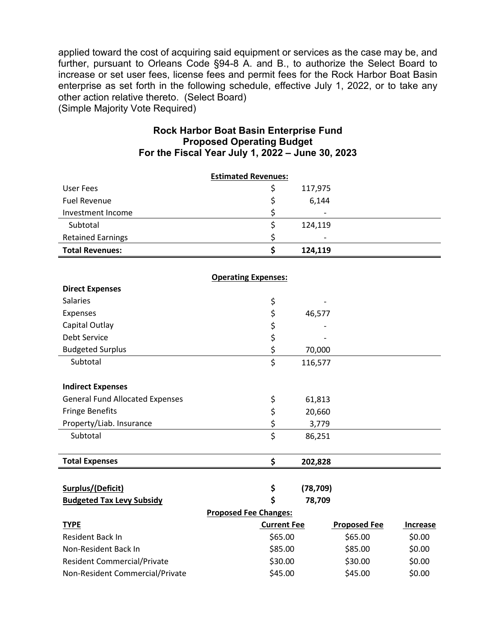applied toward the cost of acquiring said equipment or services as the case may be, and further, pursuant to Orleans Code §94-8 A. and B., to authorize the Select Board to increase or set user fees, license fees and permit fees for the Rock Harbor Boat Basin enterprise as set forth in the following schedule, effective July 1, 2022, or to take any other action relative thereto. (Select Board) (Simple Majority Vote Required)

#### **Rock Harbor Boat Basin Enterprise Fund Proposed Operating Budget For the Fiscal Year July 1, 2022 – June 30, 2023**

|                                        | <b>Estimated Revenues:</b>   |           |                     |          |
|----------------------------------------|------------------------------|-----------|---------------------|----------|
| <b>User Fees</b>                       | \$                           | 117,975   |                     |          |
| <b>Fuel Revenue</b>                    | \$                           | 6,144     |                     |          |
| Investment Income                      | \$                           |           |                     |          |
| Subtotal                               | \$                           | 124,119   |                     |          |
| <b>Retained Earnings</b>               | \$                           |           |                     |          |
| <b>Total Revenues:</b>                 | \$                           | 124,119   |                     |          |
|                                        |                              |           |                     |          |
|                                        | <b>Operating Expenses:</b>   |           |                     |          |
| <b>Direct Expenses</b>                 |                              |           |                     |          |
| <b>Salaries</b>                        | \$                           |           |                     |          |
| Expenses                               | \$                           | 46,577    |                     |          |
| Capital Outlay                         | \$                           |           |                     |          |
| Debt Service                           | \$                           |           |                     |          |
| <b>Budgeted Surplus</b>                | \$                           | 70,000    |                     |          |
| Subtotal                               | \$                           | 116,577   |                     |          |
|                                        |                              |           |                     |          |
| <b>Indirect Expenses</b>               |                              |           |                     |          |
| <b>General Fund Allocated Expenses</b> | \$                           | 61,813    |                     |          |
| <b>Fringe Benefits</b>                 | \$                           | 20,660    |                     |          |
| Property/Liab. Insurance               | \$                           | 3,779     |                     |          |
| Subtotal                               | \$                           | 86,251    |                     |          |
|                                        |                              |           |                     |          |
| <b>Total Expenses</b>                  | \$                           | 202,828   |                     |          |
|                                        |                              |           |                     |          |
| Surplus/(Deficit)                      | \$                           | (78, 709) |                     |          |
| <b>Budgeted Tax Levy Subsidy</b>       | \$                           | 78,709    |                     |          |
|                                        | <b>Proposed Fee Changes:</b> |           |                     |          |
| <b>TYPE</b>                            | <b>Current Fee</b>           |           | <b>Proposed Fee</b> | Increase |
| Resident Back In                       | \$65.00                      |           | \$65.00             | \$0.00   |
| Non-Resident Back In                   | \$85.00                      |           | \$85.00             | \$0.00   |
| <b>Resident Commercial/Private</b>     | \$30.00                      |           | \$30.00             | \$0.00   |
| Non-Resident Commercial/Private        | \$45.00                      |           | \$45.00             | \$0.00   |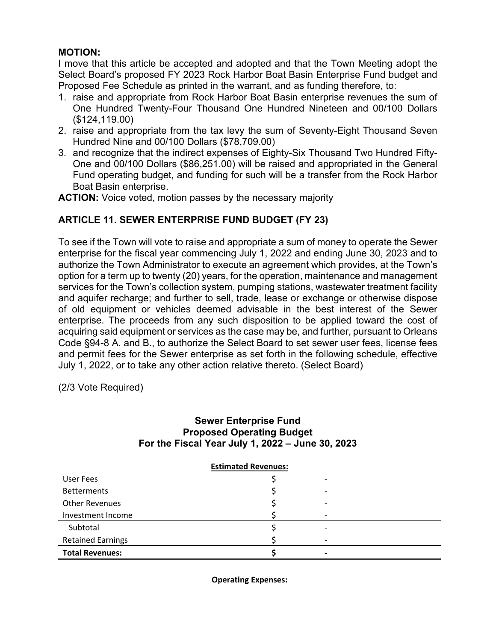### **MOTION:**

I move that this article be accepted and adopted and that the Town Meeting adopt the Select Board's proposed FY 2023 Rock Harbor Boat Basin Enterprise Fund budget and Proposed Fee Schedule as printed in the warrant, and as funding therefore, to:

- 1. raise and appropriate from Rock Harbor Boat Basin enterprise revenues the sum of One Hundred Twenty-Four Thousand One Hundred Nineteen and 00/100 Dollars (\$124,119.00)
- 2. raise and appropriate from the tax levy the sum of Seventy-Eight Thousand Seven Hundred Nine and 00/100 Dollars (\$78,709.00)
- 3. and recognize that the indirect expenses of Eighty-Six Thousand Two Hundred Fifty-One and 00/100 Dollars (\$86,251.00) will be raised and appropriated in the General Fund operating budget, and funding for such will be a transfer from the Rock Harbor Boat Basin enterprise.

**ACTION:** Voice voted, motion passes by the necessary majority

# **ARTICLE 11. SEWER ENTERPRISE FUND BUDGET (FY 23)**

To see if the Town will vote to raise and appropriate a sum of money to operate the Sewer enterprise for the fiscal year commencing July 1, 2022 and ending June 30, 2023 and to authorize the Town Administrator to execute an agreement which provides, at the Town's option for a term up to twenty (20) years, for the operation, maintenance and management services for the Town's collection system, pumping stations, wastewater treatment facility and aquifer recharge; and further to sell, trade, lease or exchange or otherwise dispose of old equipment or vehicles deemed advisable in the best interest of the Sewer enterprise. The proceeds from any such disposition to be applied toward the cost of acquiring said equipment or services as the case may be, and further, pursuant to Orleans Code §94-8 A. and B., to authorize the Select Board to set sewer user fees, license fees and permit fees for the Sewer enterprise as set forth in the following schedule, effective July 1, 2022, or to take any other action relative thereto. (Select Board)

(2/3 Vote Required)

### **Sewer Enterprise Fund Proposed Operating Budget For the Fiscal Year July 1, 2022 – June 30, 2023**

| <b>Estimated Revenues:</b> |  |  |  |  |
|----------------------------|--|--|--|--|
| User Fees                  |  |  |  |  |
| <b>Betterments</b>         |  |  |  |  |
| <b>Other Revenues</b>      |  |  |  |  |
| Investment Income          |  |  |  |  |
| Subtotal                   |  |  |  |  |
| <b>Retained Earnings</b>   |  |  |  |  |
| <b>Total Revenues:</b>     |  |  |  |  |

**Operating Expenses:**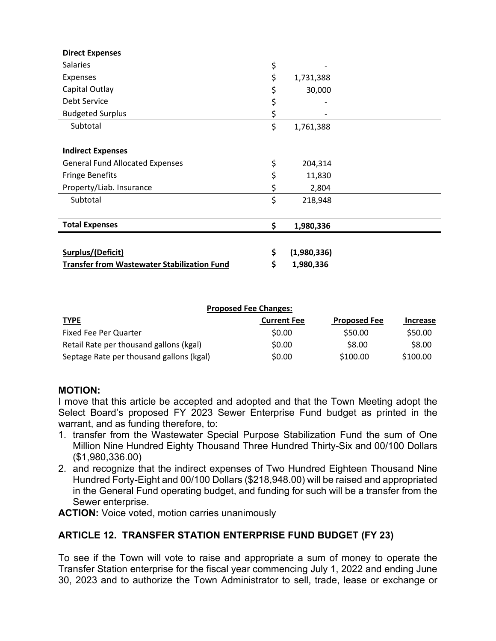| <b>Direct Expenses</b>                             |                   |  |
|----------------------------------------------------|-------------------|--|
| <b>Salaries</b>                                    | \$                |  |
| Expenses                                           | \$<br>1,731,388   |  |
| Capital Outlay                                     | \$<br>30,000      |  |
| Debt Service                                       | \$                |  |
| <b>Budgeted Surplus</b>                            | \$                |  |
| Subtotal                                           | \$<br>1,761,388   |  |
|                                                    |                   |  |
| <b>Indirect Expenses</b>                           |                   |  |
| <b>General Fund Allocated Expenses</b>             | \$<br>204,314     |  |
| <b>Fringe Benefits</b>                             | \$<br>11,830      |  |
| Property/Liab. Insurance                           | \$<br>2,804       |  |
| Subtotal                                           | \$<br>218,948     |  |
|                                                    |                   |  |
| <b>Total Expenses</b>                              | \$<br>1,980,336   |  |
|                                                    |                   |  |
| Surplus/(Deficit)                                  | \$<br>(1,980,336) |  |
| <b>Transfer from Wastewater Stabilization Fund</b> | \$<br>1,980,336   |  |

| <b>Proposed Fee Changes:</b>             |                    |                     |                 |  |  |
|------------------------------------------|--------------------|---------------------|-----------------|--|--|
| <b>TYPE</b>                              | <b>Current Fee</b> | <b>Proposed Fee</b> | <b>Increase</b> |  |  |
| Fixed Fee Per Quarter                    | \$0.00             | \$50.00             | \$50.00         |  |  |
| Retail Rate per thousand gallons (kgal)  | \$0.00             | \$8.00              | \$8.00          |  |  |
| Septage Rate per thousand gallons (kgal) | \$0.00             | \$100.00            | \$100.00        |  |  |

### **MOTION:**

I move that this article be accepted and adopted and that the Town Meeting adopt the Select Board's proposed FY 2023 Sewer Enterprise Fund budget as printed in the warrant, and as funding therefore, to:

- 1. transfer from the Wastewater Special Purpose Stabilization Fund the sum of One Million Nine Hundred Eighty Thousand Three Hundred Thirty-Six and 00/100 Dollars (\$1,980,336.00)
- 2. and recognize that the indirect expenses of Two Hundred Eighteen Thousand Nine Hundred Forty-Eight and 00/100 Dollars (\$218,948.00) will be raised and appropriated in the General Fund operating budget, and funding for such will be a transfer from the Sewer enterprise.

**ACTION:** Voice voted, motion carries unanimously

# **ARTICLE 12. TRANSFER STATION ENTERPRISE FUND BUDGET (FY 23)**

To see if the Town will vote to raise and appropriate a sum of money to operate the Transfer Station enterprise for the fiscal year commencing July 1, 2022 and ending June 30, 2023 and to authorize the Town Administrator to sell, trade, lease or exchange or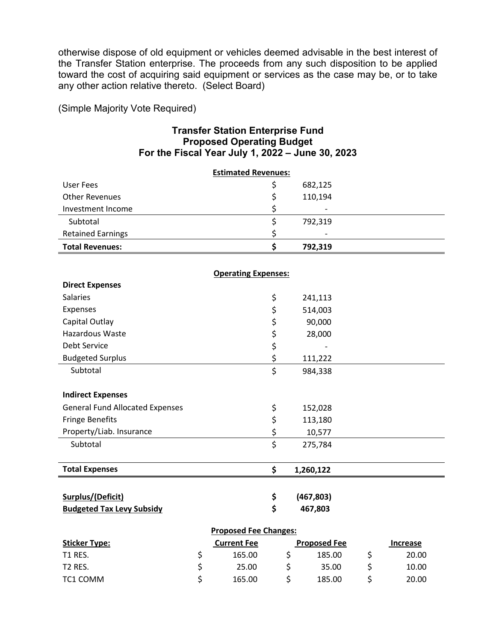otherwise dispose of old equipment or vehicles deemed advisable in the best interest of the Transfer Station enterprise. The proceeds from any such disposition to be applied toward the cost of acquiring said equipment or services as the case may be, or to take any other action relative thereto. (Select Board)

(Simple Majority Vote Required)

#### **Transfer Station Enterprise Fund Proposed Operating Budget For the Fiscal Year July 1, 2022 – June 30, 2023**

| <b>Estimated Revenues:</b>             |    |                            |                         |                     |                 |
|----------------------------------------|----|----------------------------|-------------------------|---------------------|-----------------|
| <b>User Fees</b>                       |    |                            | \$                      | 682,125             |                 |
| <b>Other Revenues</b>                  |    |                            | \$                      | 110,194             |                 |
| Investment Income                      |    |                            | \$                      |                     |                 |
| Subtotal                               |    |                            | \$                      | 792,319             |                 |
| <b>Retained Earnings</b>               |    |                            | \$                      |                     |                 |
| <b>Total Revenues:</b>                 |    |                            | \$                      | 792,319             |                 |
|                                        |    |                            |                         |                     |                 |
|                                        |    | <b>Operating Expenses:</b> |                         |                     |                 |
| <b>Direct Expenses</b>                 |    |                            |                         |                     |                 |
| <b>Salaries</b>                        |    |                            | \$                      | 241,113             |                 |
| Expenses                               |    |                            | \$                      | 514,003             |                 |
| Capital Outlay                         |    |                            | \$                      | 90,000              |                 |
| <b>Hazardous Waste</b>                 |    |                            | \$                      | 28,000              |                 |
| Debt Service                           |    |                            | \$                      |                     |                 |
| <b>Budgeted Surplus</b>                |    |                            | \$                      | 111,222             |                 |
| Subtotal                               |    |                            | $\overline{\mathsf{S}}$ | 984,338             |                 |
|                                        |    |                            |                         |                     |                 |
| <b>Indirect Expenses</b>               |    |                            |                         |                     |                 |
| <b>General Fund Allocated Expenses</b> |    |                            | \$                      | 152,028             |                 |
| <b>Fringe Benefits</b>                 |    |                            | \$                      | 113,180             |                 |
| Property/Liab. Insurance               |    |                            | \$                      | 10,577              |                 |
| Subtotal                               |    |                            | \$                      | 275,784             |                 |
|                                        |    |                            |                         |                     |                 |
| <b>Total Expenses</b>                  |    |                            | \$                      | 1,260,122           |                 |
|                                        |    |                            |                         |                     |                 |
| <b>Surplus/(Deficit)</b>               |    |                            | \$                      | (467, 803)          |                 |
| <b>Budgeted Tax Levy Subsidy</b>       |    |                            | \$                      | 467,803             |                 |
| <b>Proposed Fee Changes:</b>           |    |                            |                         |                     |                 |
| <b>Sticker Type:</b>                   |    | <b>Current Fee</b>         |                         | <b>Proposed Fee</b> | <b>Increase</b> |
| T1 RES.                                | \$ | 165.00                     |                         | \$<br>185.00        | \$<br>20.00     |

T2 RES. \$ 25.00 \$ 35.00 \$ 10.00 TC1 COMM  $\begin{matrix}5\end{matrix}$   $\begin{matrix}165.00\end{matrix}$   $\begin{matrix}5\end{matrix}$   $\begin{matrix}185.00\end{matrix}$   $\begin{matrix}5\end{matrix}$   $\begin{matrix}20.00\end{matrix}$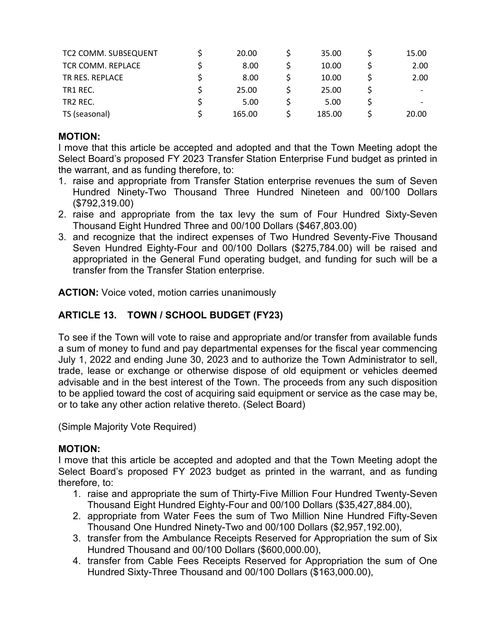| TC2 COMM. SUBSEQUENT | 20.00  | 35.00  | 15.00 |
|----------------------|--------|--------|-------|
| TCR COMM. REPLACE    | 8.00   | 10.00  | 2.00  |
| TR RES. REPLACE      | 8.00   | 10.00  | 2.00  |
| TR1 REC.             | 25.00  | 25.00  |       |
| TR <sub>2</sub> REC. | 5.00   | 5.00   |       |
| TS (seasonal)        | 165.00 | 185.00 | 20.00 |

### **MOTION:**

I move that this article be accepted and adopted and that the Town Meeting adopt the Select Board's proposed FY 2023 Transfer Station Enterprise Fund budget as printed in the warrant, and as funding therefore, to:

- 1. raise and appropriate from Transfer Station enterprise revenues the sum of Seven Hundred Ninety-Two Thousand Three Hundred Nineteen and 00/100 Dollars (\$792,319.00)
- 2. raise and appropriate from the tax levy the sum of Four Hundred Sixty-Seven Thousand Eight Hundred Three and 00/100 Dollars (\$467,803.00)
- 3. and recognize that the indirect expenses of Two Hundred Seventy-Five Thousand Seven Hundred Eighty-Four and 00/100 Dollars (\$275,784.00) will be raised and appropriated in the General Fund operating budget, and funding for such will be a transfer from the Transfer Station enterprise.

**ACTION:** Voice voted, motion carries unanimously

# **ARTICLE 13. TOWN / SCHOOL BUDGET (FY23)**

To see if the Town will vote to raise and appropriate and/or transfer from available funds a sum of money to fund and pay departmental expenses for the fiscal year commencing July 1, 2022 and ending June 30, 2023 and to authorize the Town Administrator to sell, trade, lease or exchange or otherwise dispose of old equipment or vehicles deemed advisable and in the best interest of the Town. The proceeds from any such disposition to be applied toward the cost of acquiring said equipment or service as the case may be, or to take any other action relative thereto. (Select Board)

(Simple Majority Vote Required)

### **MOTION:**

I move that this article be accepted and adopted and that the Town Meeting adopt the Select Board's proposed FY 2023 budget as printed in the warrant, and as funding therefore, to:

- 1. raise and appropriate the sum of Thirty-Five Million Four Hundred Twenty-Seven Thousand Eight Hundred Eighty-Four and 00/100 Dollars (\$35,427,884.00),
- 2. appropriate from Water Fees the sum of Two Million Nine Hundred Fifty-Seven Thousand One Hundred Ninety-Two and 00/100 Dollars (\$2,957,192.00),
- 3. transfer from the Ambulance Receipts Reserved for Appropriation the sum of Six Hundred Thousand and 00/100 Dollars (\$600,000.00),
- 4. transfer from Cable Fees Receipts Reserved for Appropriation the sum of One Hundred Sixty-Three Thousand and 00/100 Dollars (\$163,000.00),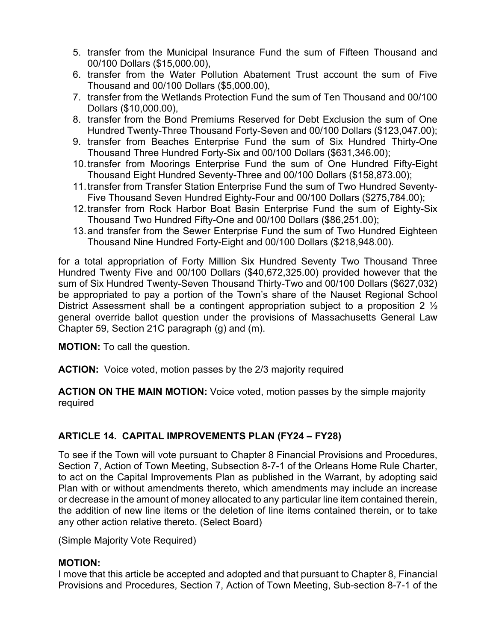- 5. transfer from the Municipal Insurance Fund the sum of Fifteen Thousand and 00/100 Dollars (\$15,000.00),
- 6. transfer from the Water Pollution Abatement Trust account the sum of Five Thousand and 00/100 Dollars (\$5,000.00),
- 7. transfer from the Wetlands Protection Fund the sum of Ten Thousand and 00/100 Dollars (\$10,000.00),
- 8. transfer from the Bond Premiums Reserved for Debt Exclusion the sum of One Hundred Twenty-Three Thousand Forty-Seven and 00/100 Dollars (\$123,047.00);
- 9. transfer from Beaches Enterprise Fund the sum of Six Hundred Thirty-One Thousand Three Hundred Forty-Six and 00/100 Dollars (\$631,346.00);
- 10.transfer from Moorings Enterprise Fund the sum of One Hundred Fifty-Eight Thousand Eight Hundred Seventy-Three and 00/100 Dollars (\$158,873.00);
- 11.transfer from Transfer Station Enterprise Fund the sum of Two Hundred Seventy-Five Thousand Seven Hundred Eighty-Four and 00/100 Dollars (\$275,784.00);
- 12.transfer from Rock Harbor Boat Basin Enterprise Fund the sum of Eighty-Six Thousand Two Hundred Fifty-One and 00/100 Dollars (\$86,251.00);
- 13.and transfer from the Sewer Enterprise Fund the sum of Two Hundred Eighteen Thousand Nine Hundred Forty-Eight and 00/100 Dollars (\$218,948.00).

for a total appropriation of Forty Million Six Hundred Seventy Two Thousand Three Hundred Twenty Five and 00/100 Dollars (\$40,672,325.00) provided however that the sum of Six Hundred Twenty-Seven Thousand Thirty-Two and 00/100 Dollars (\$627,032) be appropriated to pay a portion of the Town's share of the Nauset Regional School District Assessment shall be a contingent appropriation subject to a proposition 2  $\frac{1}{2}$ general override ballot question under the provisions of Massachusetts General Law Chapter 59, Section 21C paragraph (g) and (m).

**MOTION:** To call the question.

**ACTION:** Voice voted, motion passes by the 2/3 majority required

**ACTION ON THE MAIN MOTION:** Voice voted, motion passes by the simple majority required

# **ARTICLE 14. CAPITAL IMPROVEMENTS PLAN (FY24 – FY28)**

To see if the Town will vote pursuant to Chapter 8 Financial Provisions and Procedures, Section 7, Action of Town Meeting, Subsection 8-7-1 of the Orleans Home Rule Charter, to act on the Capital Improvements Plan as published in the Warrant, by adopting said Plan with or without amendments thereto, which amendments may include an increase or decrease in the amount of money allocated to any particular line item contained therein, the addition of new line items or the deletion of line items contained therein, or to take any other action relative thereto. (Select Board)

(Simple Majority Vote Required)

### **MOTION:**

I move that this article be accepted and adopted and that pursuant to Chapter 8, Financial Provisions and Procedures, Section 7, Action of Town Meeting, Sub-section 8-7-1 of the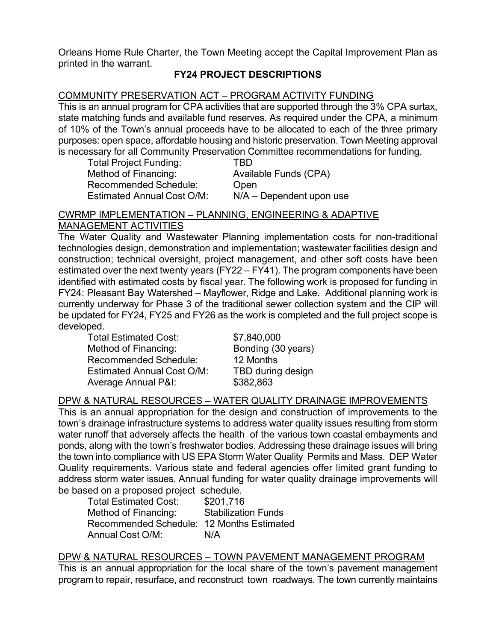Orleans Home Rule Charter, the Town Meeting accept the Capital Improvement Plan as printed in the warrant.

# **FY24 PROJECT DESCRIPTIONS**

### COMMUNITY PRESERVATION ACT – PROGRAM ACTIVITY FUNDING

This is an annual program for CPA activities that are supported through the 3% CPA surtax, state matching funds and available fund reserves. As required under the CPA, a minimum of 10% of the Town's annual proceeds have to be allocated to each of the three primary purposes: open space, affordable housing and historic preservation. Town Meeting approval is necessary for all Community Preservation Committee recommendations for funding.

| <b>Total Project Funding:</b>     | TBD                        |
|-----------------------------------|----------------------------|
| Method of Financing:              | Available Funds (CPA)      |
| <b>Recommended Schedule:</b>      | Open                       |
| <b>Estimated Annual Cost O/M:</b> | $N/A$ – Dependent upon use |

#### CWRMP IMPLEMENTATION – PLANNING, ENGINEERING & ADAPTIVE

### MANAGEMENT ACTIVITIES

The Water Quality and Wastewater Planning implementation costs for non-traditional technologies design, demonstration and implementation; wastewater facilities design and construction; technical oversight, project management, and other soft costs have been estimated over the next twenty years (FY22 – FY41). The program components have been identified with estimated costs by fiscal year. The following work is proposed for funding in FY24: Pleasant Bay Watershed – Mayflower, Ridge and Lake. Additional planning work is currently underway for Phase 3 of the traditional sewer collection system and the CIP will be updated for FY24, FY25 and FY26 as the work is completed and the full project scope is developed.

Total Estimated Cost: \$7,840,000 Method of Financing: Bonding (30 years) Recommended Schedule: 12 Months Estimated Annual Cost O/M: TBD during design Average Annual P&I: \$382,863

### DPW & NATURAL RESOURCES – WATER QUALITY DRAINAGE IMPROVEMENTS

This is an annual appropriation for the design and construction of improvements to the town's drainage infrastructure systems to address water quality issues resulting from storm water runoff that adversely affects the health of the various town coastal embayments and ponds, along with the town's freshwater bodies. Addressing these drainage issues will bring the town into compliance with US EPA Storm Water Quality Permits and Mass. DEP Water Quality requirements. Various state and federal agencies offer limited grant funding to address storm water issues. Annual funding for water quality drainage improvements will be based on a proposed project schedule.

| <b>Total Estimated Cost:</b>              | \$201,716                  |
|-------------------------------------------|----------------------------|
| Method of Financing:                      | <b>Stabilization Funds</b> |
| Recommended Schedule: 12 Months Estimated |                            |
| Annual Cost O/M:                          | N/A                        |

### DPW & NATURAL RESOURCES – TOWN PAVEMENT MANAGEMENT PROGRAM

This is an annual appropriation for the local share of the town's pavement management program to repair, resurface, and reconstruct town roadways. The town currently maintains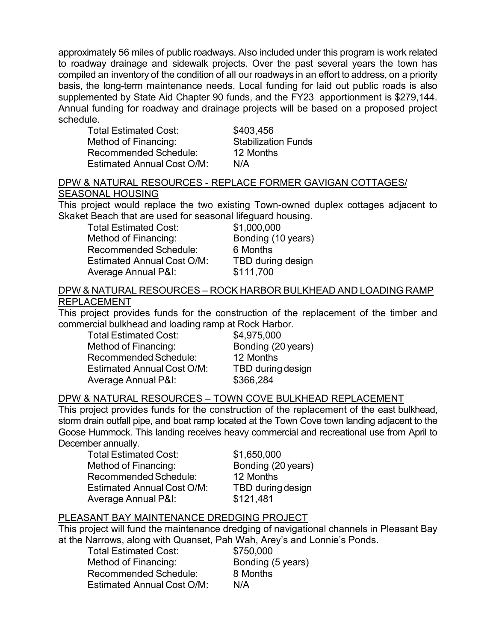approximately 56 miles of public roadways. Also included under this program is work related to roadway drainage and sidewalk projects. Over the past several years the town has compiled an inventory of the condition of all our roadways in an effort to address, on a priority basis, the long-term maintenance needs. Local funding for laid out public roads is also supplemented by State Aid Chapter 90 funds, and the FY23 apportionment is \$279,144. Annual funding for roadway and drainage projects will be based on a proposed project schedule.

Total Estimated Cost: \$403,456 Method of Financing: Stabilization Funds Recommended Schedule: 12 Months Estimated Annual Cost O/M: N/A

#### DPW & NATURAL RESOURCES - REPLACE FORMER GAVIGAN COTTAGES/ SEASONAL HOUSING

This project would replace the two existing Town-owned duplex cottages adjacent to Skaket Beach that are used for seasonal lifeguard housing.

Total Estimated Cost: \$1,000,000 Method of Financing: Bonding (10 years) Recommended Schedule: 6 Months Estimated Annual Cost O/M: TBD during design Average Annual P&I: \$111,700

### DPW & NATURAL RESOURCES – ROCK HARBOR BULKHEAD AND LOADING RAMP REPLACEMENT

This project provides funds for the construction of the replacement of the timber and commercial bulkhead and loading ramp at Rock Harbor.

Total Estimated Cost: \$4,975,000 Method of Financing: Bonding (20 years) Recommended Schedule: 12 Months Estimated Annual Cost O/M: TBD during design Average Annual P&I: \$366,284

### DPW & NATURAL RESOURCES – TOWN COVE BULKHEAD REPLACEMENT

This project provides funds for the construction of the replacement of the east bulkhead, storm drain outfall pipe, and boat ramp located at the Town Cove town landing adjacent to the Goose Hummock. This landing receives heavy commercial and recreational use from April to December annually.

Total Estimated Cost: \$1,650,000 Method of Financing: Bonding (20 years) Recommended Schedule: 12 Months Estimated Annual Cost O/M: TBD during design Average Annual P&I: \$121,481

# PLEASANT BAY MAINTENANCE DREDGING PROJECT

This project will fund the maintenance dredging of navigational channels in Pleasant Bay at the Narrows, along with Quanset, Pah Wah, Arey's and Lonnie's Ponds.

Total Estimated Cost: \$750,000 Method of Financing: Bonding (5 years) Recommended Schedule: 8 Months Estimated Annual Cost O/M: N/A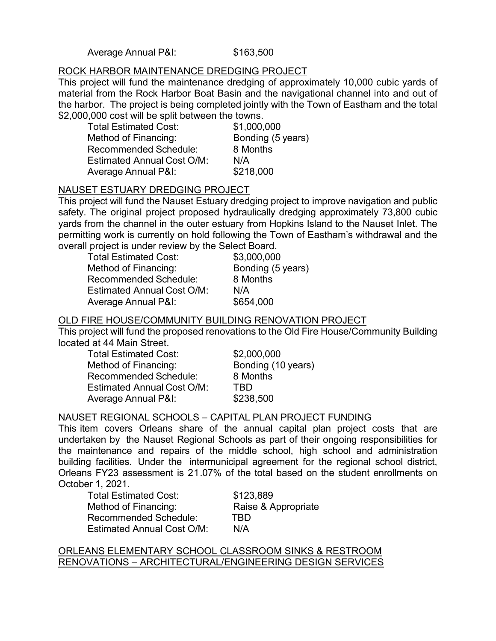Average Annual P&I: \$163,500

#### ROCK HARBOR MAINTENANCE DREDGING PROJECT

This project will fund the maintenance dredging of approximately 10,000 cubic yards of material from the Rock Harbor Boat Basin and the navigational channel into and out of the harbor. The project is being completed jointly with the Town of Eastham and the total \$2,000,000 cost will be split between the towns.

| <b>Total Estimated Cost:</b>      | \$1,000,000       |
|-----------------------------------|-------------------|
| Method of Financing:              | Bonding (5 years) |
| <b>Recommended Schedule:</b>      | 8 Months          |
| <b>Estimated Annual Cost O/M:</b> | N/A               |
| <b>Average Annual P&amp;I:</b>    | \$218,000         |

### NAUSET ESTUARY DREDGING PROJECT

This project will fund the Nauset Estuary dredging project to improve navigation and public safety. The original project proposed hydraulically dredging approximately 73,800 cubic yards from the channel in the outer estuary from Hopkins Island to the Nauset Inlet. The permitting work is currently on hold following the Town of Eastham's withdrawal and the overall project is under review by the Select Board.

| <b>Total Estimated Cost:</b>      | \$3,000,000       |
|-----------------------------------|-------------------|
| Method of Financing:              | Bonding (5 years) |
| <b>Recommended Schedule:</b>      | 8 Months          |
| <b>Estimated Annual Cost O/M:</b> | N/A               |
| Average Annual P&I:               | \$654,000         |

## OLD FIRE HOUSE/COMMUNITY BUILDING RENOVATION PROJECT

This project will fund the proposed renovations to the Old Fire House/Community Building located at 44 Main Street.

| <b>Total Estimated Cost:</b>      | \$2,000,000        |
|-----------------------------------|--------------------|
| Method of Financing:              | Bonding (10 years) |
| <b>Recommended Schedule:</b>      | 8 Months           |
| <b>Estimated Annual Cost O/M:</b> | TRD.               |
| <b>Average Annual P&amp;I:</b>    | \$238,500          |

### NAUSET REGIONAL SCHOOLS – CAPITAL PLAN PROJECT FUNDING

This item covers Orleans share of the annual capital plan project costs that are undertaken by the Nauset Regional Schools as part of their ongoing responsibilities for the maintenance and repairs of the middle school, high school and administration building facilities. Under the intermunicipal agreement for the regional school district, Orleans FY23 assessment is 21.07% of the total based on the student enrollments on October 1, 2021.

Total Estimated Cost: \$123,889 Method of Financing: Raise & Appropriate Recommended Schedule: TBD Estimated Annual Cost O/M: N/A

#### ORLEANS ELEMENTARY SCHOOL CLASSROOM SINKS & RESTROOM RENOVATIONS – ARCHITECTURAL/ENGINEERING DESIGN SERVICES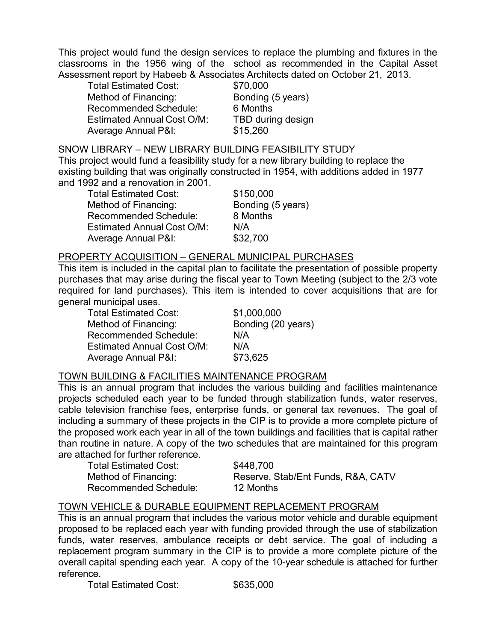This project would fund the design services to replace the plumbing and fixtures in the classrooms in the 1956 wing of the school as recommended in the Capital Asset Assessment report by Habeeb & Associates Architects dated on October 21, 2013.

Total Estimated Cost: \$70,000 Method of Financing: Bonding (5 years) Recommended Schedule: 6 Months Estimated Annual Cost O/M: TBD during design Average Annual P&I: \$15,260

## SNOW LIBRARY – NEW LIBRARY BUILDING FEASIBILITY STUDY

This project would fund a feasibility study for a new library building to replace the existing building that was originally constructed in 1954, with additions added in 1977 and 1992 and a renovation in 2001.

Total Estimated Cost: \$150,000 Method of Financing: Bonding (5 years) Recommended Schedule: 8 Months Estimated Annual Cost O/M: N/A Average Annual P&I: \$32,700

#### PROPERTY ACQUISITION – GENERAL MUNICIPAL PURCHASES

This item is included in the capital plan to facilitate the presentation of possible property purchases that may arise during the fiscal year to Town Meeting (subject to the 2/3 vote required for land purchases). This item is intended to cover acquisitions that are for general municipal uses.

Total Estimated Cost: \$1,000,000 Method of Financing: Bonding (20 years) Recommended Schedule: N/A Estimated Annual Cost O/M: N/A Average Annual P&I: \$73,625

#### TOWN BUILDING & FACILITIES MAINTENANCE PROGRAM

This is an annual program that includes the various building and facilities maintenance projects scheduled each year to be funded through stabilization funds, water reserves, cable television franchise fees, enterprise funds, or general tax revenues. The goal of including a summary of these projects in the CIP is to provide a more complete picture of the proposed work each year in all of the town buildings and facilities that is capital rather than routine in nature. A copy of the two schedules that are maintained for this program are attached for further reference.

Total Estimated Cost: \$448,700 Recommended Schedule: 12 Months

Method of Financing: Reserve, Stab/Ent Funds, R&A, CATV

#### TOWN VEHICLE & DURABLE EQUIPMENT REPLACEMENT PROGRAM

This is an annual program that includes the various motor vehicle and durable equipment proposed to be replaced each year with funding provided through the use of stabilization funds, water reserves, ambulance receipts or debt service. The goal of including a replacement program summary in the CIP is to provide a more complete picture of the overall capital spending each year. A copy of the 10-year schedule is attached for further reference.

Total Estimated Cost: \$635,000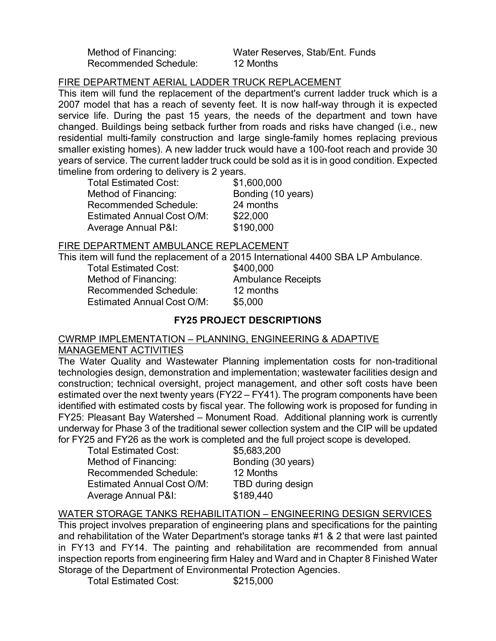Recommended Schedule: 12 Months

Method of Financing: Water Reserves, Stab/Ent. Funds

### FIRE DEPARTMENT AERIAL LADDER TRUCK REPLACEMENT

This item will fund the replacement of the department's current ladder truck which is a 2007 model that has a reach of seventy feet. It is now half-way through it is expected service life. During the past 15 years, the needs of the department and town have changed. Buildings being setback further from roads and risks have changed (i.e., new residential multi-family construction and large single-family homes replacing previous smaller existing homes). A new ladder truck would have a 100-foot reach and provide 30 years of service. The current ladder truck could be sold as it is in good condition. Expected timeline from ordering to delivery is 2 years.

| <b>Total Estimated Cost:</b>      | \$1,600,000        |
|-----------------------------------|--------------------|
| Method of Financing:              | Bonding (10 years) |
| <b>Recommended Schedule:</b>      | 24 months          |
| <b>Estimated Annual Cost O/M:</b> | \$22,000           |
| Average Annual P&I:               | \$190,000          |

#### FIRE DEPARTMENT AMBULANCE REPLACEMENT

This item will fund the replacement of a 2015 International 4400 SBA LP Ambulance.

Total Estimated Cost: \$400,000 Method of Financing: Ambulance Receipts Recommended Schedule: 12 months Estimated Annual Cost O/M: \$5,000

### **FY25 PROJECT DESCRIPTIONS**

### CWRMP IMPLEMENTATION – PLANNING, ENGINEERING & ADAPTIVE MANAGEMENT ACTIVITIES

The Water Quality and Wastewater Planning implementation costs for non-traditional technologies design, demonstration and implementation; wastewater facilities design and construction; technical oversight, project management, and other soft costs have been estimated over the next twenty years (FY22 – FY41). The program components have been identified with estimated costs by fiscal year. The following work is proposed for funding in FY25: Pleasant Bay Watershed – Monument Road. Additional planning work is currently underway for Phase 3 of the traditional sewer collection system and the CIP will be updated for FY25 and FY26 as the work is completed and the full project scope is developed.

| <b>Total Estimated Cost:</b>      | \$5,683,200        |
|-----------------------------------|--------------------|
| Method of Financing:              | Bonding (30 years) |
| <b>Recommended Schedule:</b>      | 12 Months          |
| <b>Estimated Annual Cost O/M:</b> | TBD during design  |
| <b>Average Annual P&amp;I:</b>    | \$189,440          |

# WATER STORAGE TANKS REHABILITATION - ENGINEERING DESIGN SERVICES

This project involves preparation of engineering plans and specifications for the painting and rehabilitation of the Water Department's storage tanks #1 & 2 that were last painted in FY13 and FY14. The painting and rehabilitation are recommended from annual inspection reports from engineering firm Haley and Ward and in Chapter 8 Finished Water Storage of the Department of Environmental Protection Agencies.

Total Estimated Cost: \$215,000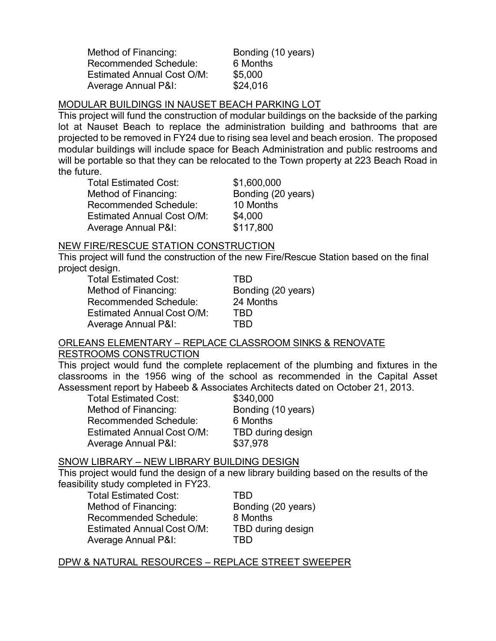Method of Financing: Bonding (10 years) Recommended Schedule: 6 Months Estimated Annual Cost O/M: \$5,000 Average Annual P&I: \$24,016

#### MODULAR BUILDINGS IN NAUSET BEACH PARKING LOT

This project will fund the construction of modular buildings on the backside of the parking lot at Nauset Beach to replace the administration building and bathrooms that are projected to be removed in FY24 due to rising sea level and beach erosion. The proposed modular buildings will include space for Beach Administration and public restrooms and will be portable so that they can be relocated to the Town property at 223 Beach Road in the future.

| <b>Total Estimated Cost:</b>      | \$1,600,000        |
|-----------------------------------|--------------------|
| Method of Financing:              | Bonding (20 years) |
| <b>Recommended Schedule:</b>      | 10 Months          |
| <b>Estimated Annual Cost O/M:</b> | \$4,000            |
| <b>Average Annual P&amp;I:</b>    | \$117,800          |

#### NEW FIRE/RESCUE STATION CONSTRUCTION

This project will fund the construction of the new Fire/Rescue Station based on the final project design.

Total Estimated Cost: TBD Method of Financing: Bonding (20 years) Recommended Schedule: 24 Months Estimated Annual Cost O/M: TBD Average Annual P&I: TBD

# ORLEANS ELEMENTARY – REPLACE CLASSROOM SINKS & RENOVATE

#### RESTROOMS CONSTRUCTION

This project would fund the complete replacement of the plumbing and fixtures in the classrooms in the 1956 wing of the school as recommended in the Capital Asset Assessment report by Habeeb & Associates Architects dated on October 21, 2013.

| <b>Total Estimated Cost:</b>      | \$340,000          |
|-----------------------------------|--------------------|
| Method of Financing:              | Bonding (10 years) |
| <b>Recommended Schedule:</b>      | 6 Months           |
| <b>Estimated Annual Cost O/M:</b> | TBD during design  |
| <b>Average Annual P&amp;I:</b>    | \$37,978           |

### SNOW LIBRARY – NEW LIBRARY BUILDING DESIGN

This project would fund the design of a new library building based on the results of the feasibility study completed in FY23.

| <b>Total Estimated Cost:</b>      | TRD                |
|-----------------------------------|--------------------|
| Method of Financing:              | Bonding (20 years) |
| Recommended Schedule:             | 8 Months           |
| <b>Estimated Annual Cost O/M:</b> | TBD during design  |
| <b>Average Annual P&amp;I:</b>    | TRD                |

### DPW & NATURAL RESOURCES – REPLACE STREET SWEEPER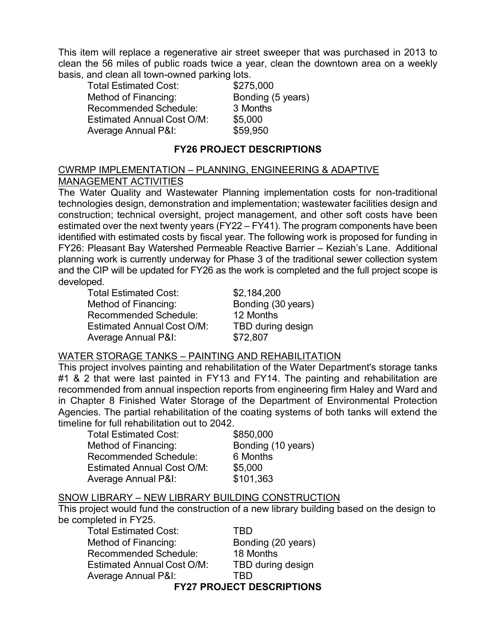This item will replace a regenerative air street sweeper that was purchased in 2013 to clean the 56 miles of public roads twice a year, clean the downtown area on a weekly basis, and clean all town-owned parking lots.

Total Estimated Cost: \$275,000 Method of Financing: Bonding (5 years) Recommended Schedule: 3 Months Estimated Annual Cost O/M: \$5,000 Average Annual P&I: \$59,950

## **FY26 PROJECT DESCRIPTIONS**

### CWRMP IMPLEMENTATION – PLANNING, ENGINEERING & ADAPTIVE MANAGEMENT ACTIVITIES

The Water Quality and Wastewater Planning implementation costs for non-traditional technologies design, demonstration and implementation; wastewater facilities design and construction; technical oversight, project management, and other soft costs have been estimated over the next twenty years (FY22 – FY41). The program components have been identified with estimated costs by fiscal year. The following work is proposed for funding in FY26: Pleasant Bay Watershed Permeable Reactive Barrier – Keziah's Lane. Additional planning work is currently underway for Phase 3 of the traditional sewer collection system and the CIP will be updated for FY26 as the work is completed and the full project scope is developed.

Total Estimated Cost: \$2,184,200 Method of Financing: Bonding (30 years) Recommended Schedule: 12 Months Estimated Annual Cost O/M: TBD during design Average Annual P&I: \$72,807

### WATER STORAGE TANKS – PAINTING AND REHABILITATION

This project involves painting and rehabilitation of the Water Department's storage tanks #1 & 2 that were last painted in FY13 and FY14. The painting and rehabilitation are recommended from annual inspection reports from engineering firm Haley and Ward and in Chapter 8 Finished Water Storage of the Department of Environmental Protection Agencies. The partial rehabilitation of the coating systems of both tanks will extend the timeline for full rehabilitation out to 2042.

Total Estimated Cost: \$850,000 Method of Financing: Bonding (10 years) Recommended Schedule: 6 Months Estimated Annual Cost O/M: \$5,000 Average Annual P&I: \$101,363

### SNOW LIBRARY – NEW LIBRARY BUILDING CONSTRUCTION

This project would fund the construction of a new library building based on the design to be completed in FY25.

Total Estimated Cost: TBD Method of Financing: Bonding (20 years) Recommended Schedule: 18 Months Estimated Annual Cost O/M: TBD during design Average Annual P&I: TBD **FY27 PROJECT DESCRIPTIONS**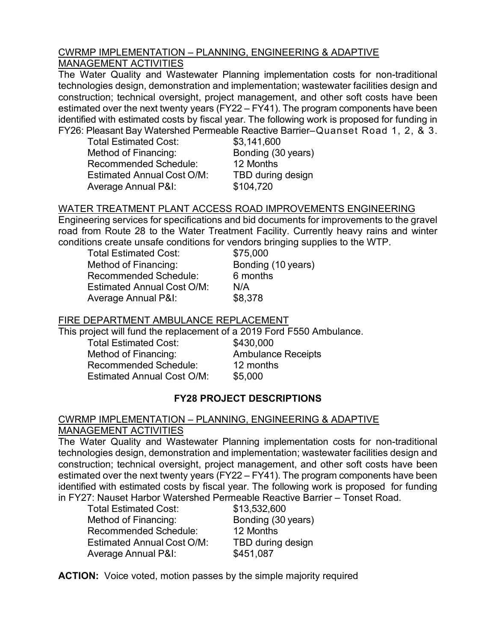### CWRMP IMPLEMENTATION – PLANNING, ENGINEERING & ADAPTIVE MANAGEMENT ACTIVITIES

The Water Quality and Wastewater Planning implementation costs for non-traditional technologies design, demonstration and implementation; wastewater facilities design and construction; technical oversight, project management, and other soft costs have been estimated over the next twenty years (FY22 – FY41). The program components have been identified with estimated costs by fiscal year. The following work is proposed for funding in FY26: Pleasant Bay Watershed Permeable Reactive Barrier–Quanset Road 1, 2, & 3.

Total Estimated Cost: \$3,141,600 Method of Financing: Bonding (30 years) Recommended Schedule: 12 Months Estimated Annual Cost O/M: TBD during design Average Annual P&I: \$104,720

# WATER TREATMENT PLANT ACCESS ROAD IMPROVEMENTS ENGINEERING

Engineering services for specifications and bid documents for improvements to the gravel road from Route 28 to the Water Treatment Facility. Currently heavy rains and winter conditions create unsafe conditions for vendors bringing supplies to the WTP.

Total Estimated Cost: \$75,000 Method of Financing: Bonding (10 years) Recommended Schedule: 6 months Estimated Annual Cost O/M: N/A Average Annual P&I: \$8,378

# FIRE DEPARTMENT AMBULANCE REPLACEMENT

This project will fund the replacement of a 2019 Ford F550 Ambulance.

Total Estimated Cost: \$430,000 Method of Financing: Ambulance Receipts Recommended Schedule: 12 months Estimated Annual Cost O/M: \$5,000

# **FY28 PROJECT DESCRIPTIONS**

### CWRMP IMPLEMENTATION – PLANNING, ENGINEERING & ADAPTIVE MANAGEMENT ACTIVITIES

The Water Quality and Wastewater Planning implementation costs for non-traditional technologies design, demonstration and implementation; wastewater facilities design and construction; technical oversight, project management, and other soft costs have been estimated over the next twenty years (FY22 – FY41). The program components have been identified with estimated costs by fiscal year. The following work is proposed for funding in FY27: Nauset Harbor Watershed Permeable Reactive Barrier – Tonset Road.

| \$13,532,600       |
|--------------------|
| Bonding (30 years) |
| 12 Months          |
| TBD during design  |
| \$451,087          |
|                    |

**ACTION:** Voice voted, motion passes by the simple majority required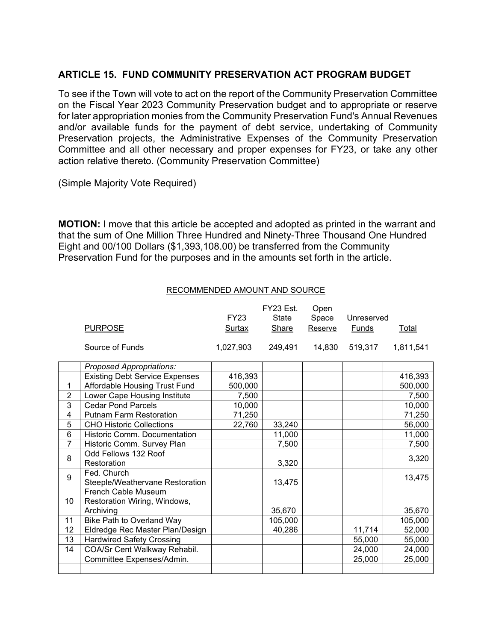## **ARTICLE 15. FUND COMMUNITY PRESERVATION ACT PROGRAM BUDGET**

To see if the Town will vote to act on the report of the Community Preservation Committee on the Fiscal Year 2023 Community Preservation budget and to appropriate or reserve for later appropriation monies from the Community Preservation Fund's Annual Revenues and/or available funds for the payment of debt service, undertaking of Community Preservation projects, the Administrative Expenses of the Community Preservation Committee and all other necessary and proper expenses for FY23, or take any other action relative thereto. (Community Preservation Committee)

(Simple Majority Vote Required)

**MOTION:** I move that this article be accepted and adopted as printed in the warrant and that the sum of One Million Three Hundred and Ninety-Three Thousand One Hundred Eight and 00/100 Dollars (\$1,393,108.00) be transferred from the Community Preservation Fund for the purposes and in the amounts set forth in the article.

| RECOMMENDED AMOUNT AND SOURCE |
|-------------------------------|
|-------------------------------|

|                |                                                            | <b>FY23</b>   | FY23 Est.    | Open    |            |              |
|----------------|------------------------------------------------------------|---------------|--------------|---------|------------|--------------|
|                |                                                            |               | State        | Space   | Unreserved |              |
|                | <b>PURPOSE</b>                                             | <u>Surtax</u> | <b>Share</b> | Reserve | Funds      | <u>Total</u> |
|                | Source of Funds                                            | 1,027,903     | 249,491      | 14,830  | 519,317    | 1,811,541    |
|                | Proposed Appropriations:                                   |               |              |         |            |              |
|                | <b>Existing Debt Service Expenses</b>                      | 416,393       |              |         |            | 416,393      |
| 1              | Affordable Housing Trust Fund                              | 500,000       |              |         |            | 500,000      |
| $\overline{2}$ | Lower Cape Housing Institute                               | 7,500         |              |         |            | 7,500        |
| 3              | <b>Cedar Pond Parcels</b>                                  | 10,000        |              |         |            | 10,000       |
| 4              | <b>Putnam Farm Restoration</b>                             | 71,250        |              |         |            | 71,250       |
| 5              | <b>CHO Historic Collections</b>                            | 22,760        | 33,240       |         |            | 56,000       |
| 6              | Historic Comm. Documentation                               |               | 11,000       |         |            | 11,000       |
| $\overline{7}$ | Historic Comm. Survey Plan                                 |               | 7,500        |         |            | 7,500        |
| 8              | Odd Fellows 132 Roof<br>Restoration                        |               | 3,320        |         |            | 3,320        |
| 9              | Fed. Church<br>Steeple/Weathervane Restoration             |               | 13,475       |         |            | 13,475       |
| 10             | <b>French Cable Museum</b><br>Restoration Wiring, Windows, |               |              |         |            |              |
|                | Archiving                                                  |               | 35,670       |         |            | 35,670       |
| 11             | Bike Path to Overland Way                                  |               | 105,000      |         |            | 105,000      |
| 12             | Eldredge Rec Master Plan/Design                            |               | 40,286       |         | 11,714     | 52,000       |
| 13             | <b>Hardwired Safety Crossing</b>                           |               |              |         | 55,000     | 55,000       |
| 14             | COA/Sr Cent Walkway Rehabil.                               |               |              |         | 24,000     | 24,000       |
|                | Committee Expenses/Admin.                                  |               |              |         | 25,000     | 25,000       |
|                |                                                            |               |              |         |            |              |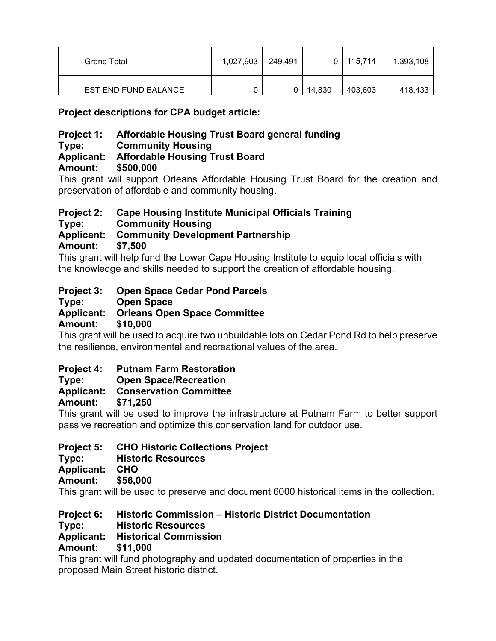| <b>Grand Total</b>   | 1,027,903 | 249,491 | 0 I    | 115,714 | 1,393,108 |
|----------------------|-----------|---------|--------|---------|-----------|
|                      |           |         |        |         |           |
| EST END FUND BALANCE |           |         | 14,830 | 403,603 | 418,433   |

**Project descriptions for CPA budget article:**

# **Project 1: Affordable Housing Trust Board general funding**

## **Type: Community Housing**

# **Applicant: Affordable Housing Trust Board**

# **Amount: \$500,000**

This grant will support Orleans Affordable Housing Trust Board for the creation and preservation of affordable and community housing.

# **Project 2: Cape Housing Institute Municipal Officials Training**

**Type: Community Housing** 

# **Applicant: Community Development Partnership**

**Amount: \$7,500** 

This grant will help fund the Lower Cape Housing Institute to equip local officials with the knowledge and skills needed to support the creation of affordable housing.

# **Project 3: Open Space Cedar Pond Parcels**

**Type: Open Space** 

# **Applicant: Orleans Open Space Committee**

**Amount: \$10,000** 

This grant will be used to acquire two unbuildable lots on Cedar Pond Rd to help preserve the resilience, environmental and recreational values of the area.

# **Project 4: Putnam Farm Restoration**

# **Type: Open Space/Recreation**

# **Applicant: Conservation Committee**

**Amount: \$71,250** 

This grant will be used to improve the infrastructure at Putnam Farm to better support passive recreation and optimize this conservation land for outdoor use.

# **Project 5: CHO Historic Collections Project**

**Type: Historic Resources**

**Applicant: CHO** Amount:

This grant will be used to preserve and document 6000 historical items in the collection.

**Project 6: Historic Commission – Historic District Documentation**

**Type: Historic Resources** 

# **Applicant: Historical Commission**

# **Amount: \$11,000**

This grant will fund photography and updated documentation of properties in the proposed Main Street historic district.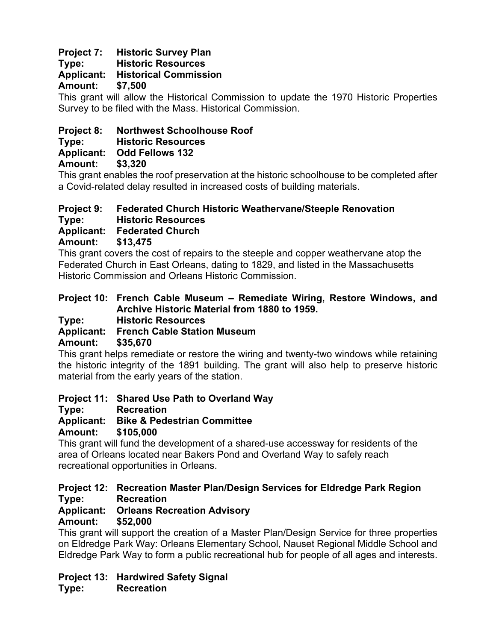# **Project 7: Historic Survey Plan**

**Type: Historic Resources** 

# **Applicant: Historical Commission**

**Amount: \$7,500** 

This grant will allow the Historical Commission to update the 1970 Historic Properties Survey to be filed with the Mass. Historical Commission.

# **Project 8: Northwest Schoolhouse Roof**

**Type: Historic Resources** 

**Applicant: Odd Fellows 132**

**Amount: \$3,320**

This grant enables the roof preservation at the historic schoolhouse to be completed after a Covid-related delay resulted in increased costs of building materials.

# **Project 9: Federated Church Historic Weathervane/Steeple Renovation**

**Type: Historic Resources** 

**Applicant: Federated Church**

**Amount: \$13,475**

This grant covers the cost of repairs to the steeple and copper weathervane atop the Federated Church in East Orleans, dating to 1829, and listed in the Massachusetts Historic Commission and Orleans Historic Commission.

# **Project 10: French Cable Museum – Remediate Wiring, Restore Windows, and Archive Historic Material from 1880 to 1959.**

**Type: Historic Resources** 

# **Applicant: French Cable Station Museum**

# **Amount: \$35,670**

This grant helps remediate or restore the wiring and twenty-two windows while retaining the historic integrity of the 1891 building. The grant will also help to preserve historic material from the early years of the station.

**Project 11: Shared Use Path to Overland Way**

**Type: Recreation** 

**Applicant: Bike & Pedestrian Committee**

**Amount: \$105,000**

This grant will fund the development of a shared-use accessway for residents of the area of Orleans located near Bakers Pond and Overland Way to safely reach recreational opportunities in Orleans.

### **Project 12: Recreation Master Plan/Design Services for Eldredge Park Region Type: Recreation**

# **Applicant: Orleans Recreation Advisory**

**Amount: \$52,000**

This grant will support the creation of a Master Plan/Design Service for three properties on Eldredge Park Way: Orleans Elementary School, Nauset Regional Middle School and Eldredge Park Way to form a public recreational hub for people of all ages and interests.

# **Project 13: Hardwired Safety Signal**

**Type: Recreation**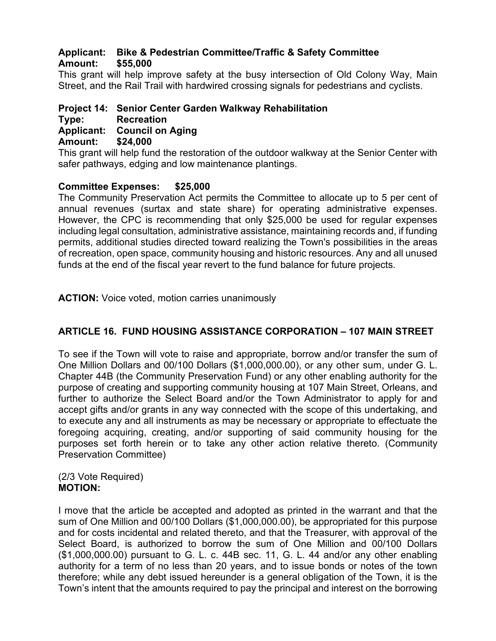## **Applicant: Bike & Pedestrian Committee/Traffic & Safety Committee Amount: \$55,000**

This grant will help improve safety at the busy intersection of Old Colony Way, Main Street, and the Rail Trail with hardwired crossing signals for pedestrians and cyclists.

### **Project 14: Senior Center Garden Walkway Rehabilitation**

#### **Type: Recreation**

**Applicant: Council on Aging** 

#### **Amount: \$24,000**

This grant will help fund the restoration of the outdoor walkway at the Senior Center with safer pathways, edging and low maintenance plantings.

### **Committee Expenses: \$25,000**

The Community Preservation Act permits the Committee to allocate up to 5 per cent of annual revenues (surtax and state share) for operating administrative expenses. However, the CPC is recommending that only \$25,000 be used for regular expenses including legal consultation, administrative assistance, maintaining records and, if funding permits, additional studies directed toward realizing the Town's possibilities in the areas of recreation, open space, community housing and historic resources. Any and all unused funds at the end of the fiscal year revert to the fund balance for future projects.

**ACTION:** Voice voted, motion carries unanimously

# **ARTICLE 16. FUND HOUSING ASSISTANCE CORPORATION – 107 MAIN STREET**

To see if the Town will vote to raise and appropriate, borrow and/or transfer the sum of One Million Dollars and 00/100 Dollars (\$1,000,000.00), or any other sum, under G. L. Chapter 44B (the Community Preservation Fund) or any other enabling authority for the purpose of creating and supporting community housing at 107 Main Street, Orleans, and further to authorize the Select Board and/or the Town Administrator to apply for and accept gifts and/or grants in any way connected with the scope of this undertaking, and to execute any and all instruments as may be necessary or appropriate to effectuate the foregoing acquiring, creating, and/or supporting of said community housing for the purposes set forth herein or to take any other action relative thereto. (Community Preservation Committee)

#### (2/3 Vote Required) **MOTION:**

I move that the article be accepted and adopted as printed in the warrant and that the sum of One Million and 00/100 Dollars (\$1,000,000.00), be appropriated for this purpose and for costs incidental and related thereto, and that the Treasurer, with approval of the Select Board, is authorized to borrow the sum of One Million and 00/100 Dollars (\$1,000,000.00) pursuant to G. L. c. 44B sec. 11, G. L. 44 and/or any other enabling authority for a term of no less than 20 years, and to issue bonds or notes of the town therefore; while any debt issued hereunder is a general obligation of the Town, it is the Town's intent that the amounts required to pay the principal and interest on the borrowing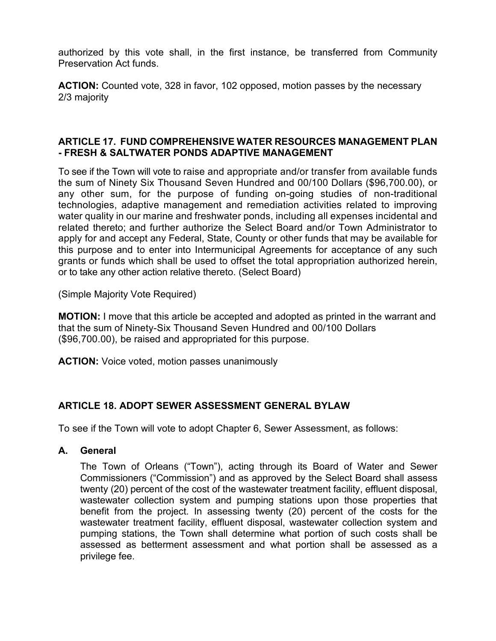authorized by this vote shall, in the first instance, be transferred from Community Preservation Act funds.

**ACTION:** Counted vote, 328 in favor, 102 opposed, motion passes by the necessary 2/3 majority

### **ARTICLE 17. FUND COMPREHENSIVE WATER RESOURCES MANAGEMENT PLAN - FRESH & SALTWATER PONDS ADAPTIVE MANAGEMENT**

To see if the Town will vote to raise and appropriate and/or transfer from available funds the sum of Ninety Six Thousand Seven Hundred and 00/100 Dollars (\$96,700.00), or any other sum, for the purpose of funding on-going studies of non-traditional technologies, adaptive management and remediation activities related to improving water quality in our marine and freshwater ponds, including all expenses incidental and related thereto; and further authorize the Select Board and/or Town Administrator to apply for and accept any Federal, State, County or other funds that may be available for this purpose and to enter into Intermunicipal Agreements for acceptance of any such grants or funds which shall be used to offset the total appropriation authorized herein, or to take any other action relative thereto. (Select Board)

(Simple Majority Vote Required)

**MOTION:** I move that this article be accepted and adopted as printed in the warrant and that the sum of Ninety-Six Thousand Seven Hundred and 00/100 Dollars (\$96,700.00), be raised and appropriated for this purpose.

**ACTION:** Voice voted, motion passes unanimously

# **ARTICLE 18. ADOPT SEWER ASSESSMENT GENERAL BYLAW**

To see if the Town will vote to adopt Chapter 6, Sewer Assessment, as follows:

**A. General**

The Town of Orleans ("Town"), acting through its Board of Water and Sewer Commissioners ("Commission") and as approved by the Select Board shall assess twenty (20) percent of the cost of the wastewater treatment facility, effluent disposal, wastewater collection system and pumping stations upon those properties that benefit from the project. In assessing twenty (20) percent of the costs for the wastewater treatment facility, effluent disposal, wastewater collection system and pumping stations, the Town shall determine what portion of such costs shall be assessed as betterment assessment and what portion shall be assessed as a privilege fee.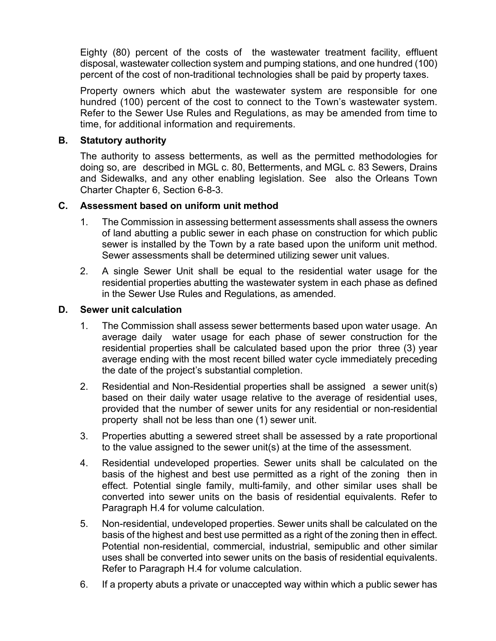Eighty (80) percent of the costs of the wastewater treatment facility, effluent disposal, wastewater collection system and pumping stations, and one hundred (100) percent of the cost of non-traditional technologies shall be paid by property taxes.

Property owners which abut the wastewater system are responsible for one hundred (100) percent of the cost to connect to the Town's wastewater system. Refer to the Sewer Use Rules and Regulations, as may be amended from time to time, for additional information and requirements.

### **B. Statutory authority**

The authority to assess betterments, as well as the permitted methodologies for doing so, are described in MGL c. 80, Betterments, and MGL c. 83 Sewers, Drains and Sidewalks, and any other enabling legislation. See also the Orleans Town Charter Chapter 6, Section 6-8-3.

### **C. Assessment based on uniform unit method**

- 1. The Commission in assessing betterment assessments shall assess the owners of land abutting a public sewer in each phase on construction for which public sewer is installed by the Town by a rate based upon the uniform unit method. Sewer assessments shall be determined utilizing sewer unit values.
- 2. A single Sewer Unit shall be equal to the residential water usage for the residential properties abutting the wastewater system in each phase as defined in the Sewer Use Rules and Regulations, as amended.

### **D. Sewer unit calculation**

- 1. The Commission shall assess sewer betterments based upon water usage. An average daily water usage for each phase of sewer construction for the residential properties shall be calculated based upon the prior three (3) year average ending with the most recent billed water cycle immediately preceding the date of the project's substantial completion.
- 2. Residential and Non-Residential properties shall be assigned a sewer unit(s) based on their daily water usage relative to the average of residential uses, provided that the number of sewer units for any residential or non-residential property shall not be less than one (1) sewer unit.
- 3. Properties abutting a sewered street shall be assessed by a rate proportional to the value assigned to the sewer unit(s) at the time of the assessment.
- 4. Residential undeveloped properties. Sewer units shall be calculated on the basis of the highest and best use permitted as a right of the zoning then in effect. Potential single family, multi-family, and other similar uses shall be converted into sewer units on the basis of residential equivalents. Refer to Paragraph H.4 for volume calculation.
- 5. Non-residential, undeveloped properties. Sewer units shall be calculated on the basis of the highest and best use permitted as a right of the zoning then in effect. Potential non-residential, commercial, industrial, semipublic and other similar uses shall be converted into sewer units on the basis of residential equivalents. Refer to Paragraph H.4 for volume calculation.
- 6. If a property abuts a private or unaccepted way within which a public sewer has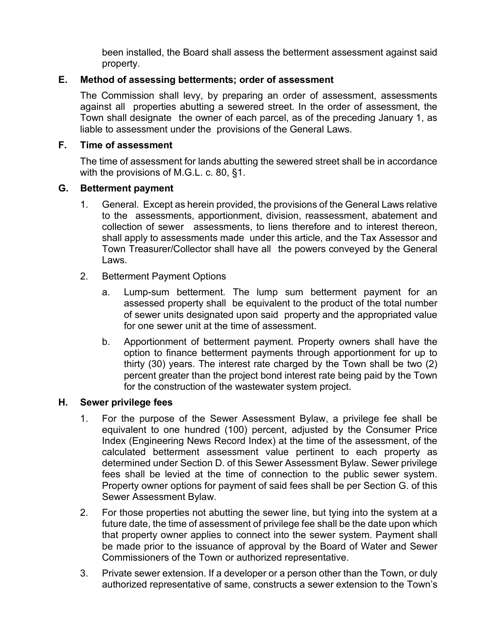been installed, the Board shall assess the betterment assessment against said property.

## **E. Method of assessing betterments; order of assessment**

The Commission shall levy, by preparing an order of assessment, assessments against all properties abutting a sewered street. In the order of assessment, the Town shall designate the owner of each parcel, as of the preceding January 1, as liable to assessment under the provisions of the General Laws.

### **F. Time of assessment**

The time of assessment for lands abutting the sewered street shall be in accordance with the provisions of M.G.L. c. 80, §1.

### **G. Betterment payment**

- 1. General. Except as herein provided, the provisions of the General Laws relative to the assessments, apportionment, division, reassessment, abatement and collection of sewer assessments, to liens therefore and to interest thereon, shall apply to assessments made under this article, and the Tax Assessor and Town Treasurer/Collector shall have all the powers conveyed by the General Laws.
- 2. Betterment Payment Options
	- a. Lump-sum betterment. The lump sum betterment payment for an assessed property shall be equivalent to the product of the total number of sewer units designated upon said property and the appropriated value for one sewer unit at the time of assessment.
	- b. Apportionment of betterment payment. Property owners shall have the option to finance betterment payments through apportionment for up to thirty (30) years. The interest rate charged by the Town shall be two (2) percent greater than the project bond interest rate being paid by the Town for the construction of the wastewater system project.

# **H. Sewer privilege fees**

- 1. For the purpose of the Sewer Assessment Bylaw, a privilege fee shall be equivalent to one hundred (100) percent, adjusted by the Consumer Price Index (Engineering News Record Index) at the time of the assessment, of the calculated betterment assessment value pertinent to each property as determined under Section D. of this Sewer Assessment Bylaw. Sewer privilege fees shall be levied at the time of connection to the public sewer system. Property owner options for payment of said fees shall be per Section G. of this Sewer Assessment Bylaw.
- 2. For those properties not abutting the sewer line, but tying into the system at a future date, the time of assessment of privilege fee shall be the date upon which that property owner applies to connect into the sewer system. Payment shall be made prior to the issuance of approval by the Board of Water and Sewer Commissioners of the Town or authorized representative.
- 3. Private sewer extension. If a developer or a person other than the Town, or duly authorized representative of same, constructs a sewer extension to the Town's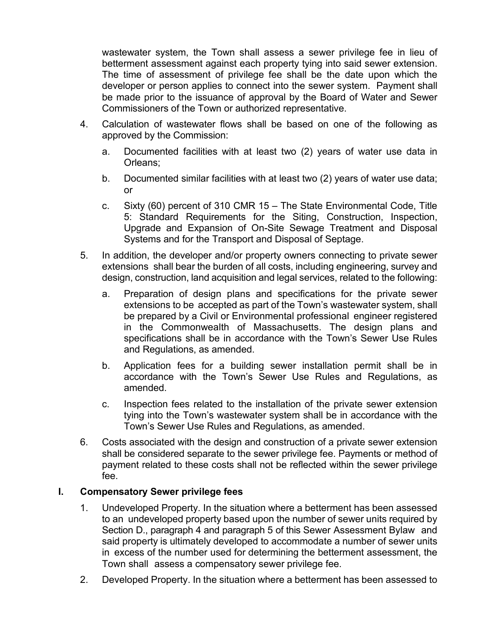wastewater system, the Town shall assess a sewer privilege fee in lieu of betterment assessment against each property tying into said sewer extension. The time of assessment of privilege fee shall be the date upon which the developer or person applies to connect into the sewer system. Payment shall be made prior to the issuance of approval by the Board of Water and Sewer Commissioners of the Town or authorized representative.

- 4. Calculation of wastewater flows shall be based on one of the following as approved by the Commission:
	- a. Documented facilities with at least two (2) years of water use data in Orleans;
	- b. Documented similar facilities with at least two (2) years of water use data; or
	- c. Sixty (60) percent of 310 CMR 15 The State Environmental Code, Title 5: Standard Requirements for the Siting, Construction, Inspection, Upgrade and Expansion of On-Site Sewage Treatment and Disposal Systems and for the Transport and Disposal of Septage.
- 5. In addition, the developer and/or property owners connecting to private sewer extensions shall bear the burden of all costs, including engineering, survey and design, construction, land acquisition and legal services, related to the following:
	- a. Preparation of design plans and specifications for the private sewer extensions to be accepted as part of the Town's wastewater system, shall be prepared by a Civil or Environmental professional engineer registered in the Commonwealth of Massachusetts. The design plans and specifications shall be in accordance with the Town's Sewer Use Rules and Regulations, as amended.
	- b. Application fees for a building sewer installation permit shall be in accordance with the Town's Sewer Use Rules and Regulations, as amended.
	- c. Inspection fees related to the installation of the private sewer extension tying into the Town's wastewater system shall be in accordance with the Town's Sewer Use Rules and Regulations, as amended.
- 6. Costs associated with the design and construction of a private sewer extension shall be considered separate to the sewer privilege fee. Payments or method of payment related to these costs shall not be reflected within the sewer privilege fee.

# **I. Compensatory Sewer privilege fees**

- 1. Undeveloped Property. In the situation where a betterment has been assessed to an undeveloped property based upon the number of sewer units required by Section D., paragraph 4 and paragraph 5 of this Sewer Assessment Bylaw and said property is ultimately developed to accommodate a number of sewer units in excess of the number used for determining the betterment assessment, the Town shall assess a compensatory sewer privilege fee.
- 2. Developed Property. In the situation where a betterment has been assessed to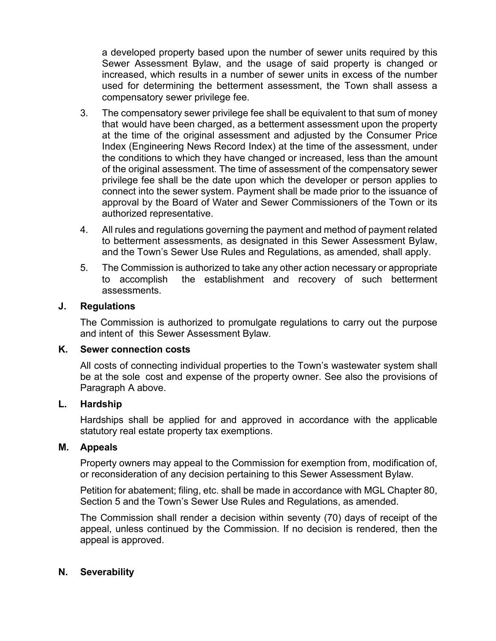a developed property based upon the number of sewer units required by this Sewer Assessment Bylaw, and the usage of said property is changed or increased, which results in a number of sewer units in excess of the number used for determining the betterment assessment, the Town shall assess a compensatory sewer privilege fee.

- 3. The compensatory sewer privilege fee shall be equivalent to that sum of money that would have been charged, as a betterment assessment upon the property at the time of the original assessment and adjusted by the Consumer Price Index (Engineering News Record Index) at the time of the assessment, under the conditions to which they have changed or increased, less than the amount of the original assessment. The time of assessment of the compensatory sewer privilege fee shall be the date upon which the developer or person applies to connect into the sewer system. Payment shall be made prior to the issuance of approval by the Board of Water and Sewer Commissioners of the Town or its authorized representative.
- 4. All rules and regulations governing the payment and method of payment related to betterment assessments, as designated in this Sewer Assessment Bylaw, and the Town's Sewer Use Rules and Regulations, as amended, shall apply.
- 5. The Commission is authorized to take any other action necessary or appropriate to accomplish the establishment and recovery of such betterment assessments.

### **J. Regulations**

The Commission is authorized to promulgate regulations to carry out the purpose and intent of this Sewer Assessment Bylaw.

### **K. Sewer connection costs**

All costs of connecting individual properties to the Town's wastewater system shall be at the sole cost and expense of the property owner. See also the provisions of Paragraph A above.

### **L. Hardship**

Hardships shall be applied for and approved in accordance with the applicable statutory real estate property tax exemptions.

### **M. Appeals**

Property owners may appeal to the Commission for exemption from, modification of, or reconsideration of any decision pertaining to this Sewer Assessment Bylaw.

Petition for abatement; filing, etc. shall be made in accordance with MGL Chapter 80, Section 5 and the Town's Sewer Use Rules and Regulations, as amended.

The Commission shall render a decision within seventy (70) days of receipt of the appeal, unless continued by the Commission. If no decision is rendered, then the appeal is approved.

### **N. Severability**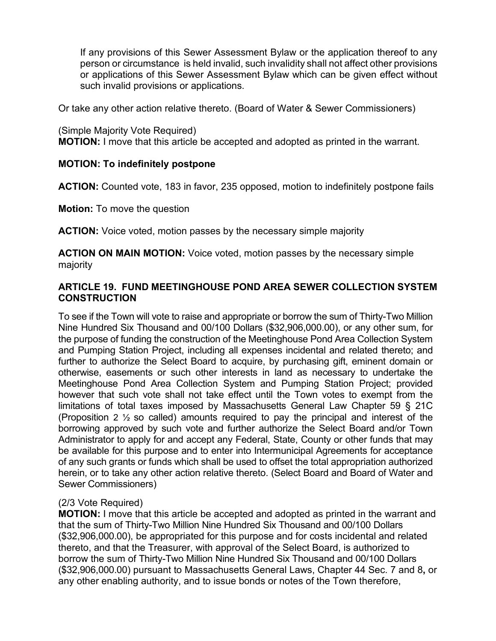If any provisions of this Sewer Assessment Bylaw or the application thereof to any person or circumstance is held invalid, such invalidity shall not affect other provisions or applications of this Sewer Assessment Bylaw which can be given effect without such invalid provisions or applications.

Or take any other action relative thereto. (Board of Water & Sewer Commissioners)

(Simple Majority Vote Required) **MOTION:** I move that this article be accepted and adopted as printed in the warrant.

### **MOTION: To indefinitely postpone**

**ACTION:** Counted vote, 183 in favor, 235 opposed, motion to indefinitely postpone fails

**Motion:** To move the question

**ACTION:** Voice voted, motion passes by the necessary simple majority

**ACTION ON MAIN MOTION:** Voice voted, motion passes by the necessary simple majority

## **ARTICLE 19. FUND MEETINGHOUSE POND AREA SEWER COLLECTION SYSTEM CONSTRUCTION**

To see if the Town will vote to raise and appropriate or borrow the sum of Thirty-Two Million Nine Hundred Six Thousand and 00/100 Dollars (\$32,906,000.00), or any other sum, for the purpose of funding the construction of the Meetinghouse Pond Area Collection System and Pumping Station Project, including all expenses incidental and related thereto; and further to authorize the Select Board to acquire, by purchasing gift, eminent domain or otherwise, easements or such other interests in land as necessary to undertake the Meetinghouse Pond Area Collection System and Pumping Station Project; provided however that such vote shall not take effect until the Town votes to exempt from the limitations of total taxes imposed by Massachusetts General Law Chapter 59 § 21C (Proposition 2 ½ so called) amounts required to pay the principal and interest of the borrowing approved by such vote and further authorize the Select Board and/or Town Administrator to apply for and accept any Federal, State, County or other funds that may be available for this purpose and to enter into Intermunicipal Agreements for acceptance of any such grants or funds which shall be used to offset the total appropriation authorized herein, or to take any other action relative thereto. (Select Board and Board of Water and Sewer Commissioners)

### (2/3 Vote Required)

**MOTION:** I move that this article be accepted and adopted as printed in the warrant and that the sum of Thirty-Two Million Nine Hundred Six Thousand and 00/100 Dollars (\$32,906,000.00), be appropriated for this purpose and for costs incidental and related thereto, and that the Treasurer, with approval of the Select Board, is authorized to borrow the sum of Thirty-Two Million Nine Hundred Six Thousand and 00/100 Dollars (\$32,906,000.00) pursuant to Massachusetts General Laws, Chapter 44 Sec. 7 and 8**,** or any other enabling authority, and to issue bonds or notes of the Town therefore,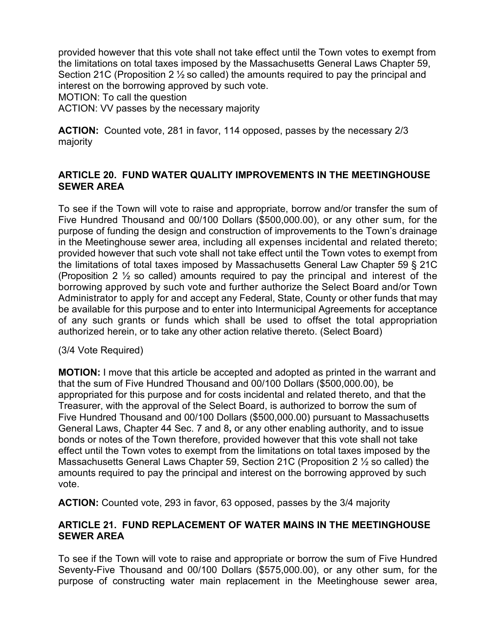provided however that this vote shall not take effect until the Town votes to exempt from the limitations on total taxes imposed by the Massachusetts General Laws Chapter 59, Section 21C (Proposition 2 ½ so called) the amounts required to pay the principal and interest on the borrowing approved by such vote.

MOTION: To call the question

ACTION: VV passes by the necessary majority

**ACTION:** Counted vote, 281 in favor, 114 opposed, passes by the necessary 2/3 majority

### **ARTICLE 20. FUND WATER QUALITY IMPROVEMENTS IN THE MEETINGHOUSE SEWER AREA**

To see if the Town will vote to raise and appropriate, borrow and/or transfer the sum of Five Hundred Thousand and 00/100 Dollars (\$500,000.00), or any other sum, for the purpose of funding the design and construction of improvements to the Town's drainage in the Meetinghouse sewer area, including all expenses incidental and related thereto; provided however that such vote shall not take effect until the Town votes to exempt from the limitations of total taxes imposed by Massachusetts General Law Chapter 59 § 21C (Proposition 2 ½ so called) amounts required to pay the principal and interest of the borrowing approved by such vote and further authorize the Select Board and/or Town Administrator to apply for and accept any Federal, State, County or other funds that may be available for this purpose and to enter into Intermunicipal Agreements for acceptance of any such grants or funds which shall be used to offset the total appropriation authorized herein, or to take any other action relative thereto. (Select Board)

(3/4 Vote Required)

**MOTION:** I move that this article be accepted and adopted as printed in the warrant and that the sum of Five Hundred Thousand and 00/100 Dollars (\$500,000.00), be appropriated for this purpose and for costs incidental and related thereto, and that the Treasurer, with the approval of the Select Board, is authorized to borrow the sum of Five Hundred Thousand and 00/100 Dollars (\$500,000.00) pursuant to Massachusetts General Laws, Chapter 44 Sec. 7 and 8**,** or any other enabling authority, and to issue bonds or notes of the Town therefore, provided however that this vote shall not take effect until the Town votes to exempt from the limitations on total taxes imposed by the Massachusetts General Laws Chapter 59, Section 21C (Proposition 2 ½ so called) the amounts required to pay the principal and interest on the borrowing approved by such vote.

**ACTION:** Counted vote, 293 in favor, 63 opposed, passes by the 3/4 majority

### **ARTICLE 21. FUND REPLACEMENT OF WATER MAINS IN THE MEETINGHOUSE SEWER AREA**

To see if the Town will vote to raise and appropriate or borrow the sum of Five Hundred Seventy-Five Thousand and 00/100 Dollars (\$575,000.00), or any other sum, for the purpose of constructing water main replacement in the Meetinghouse sewer area,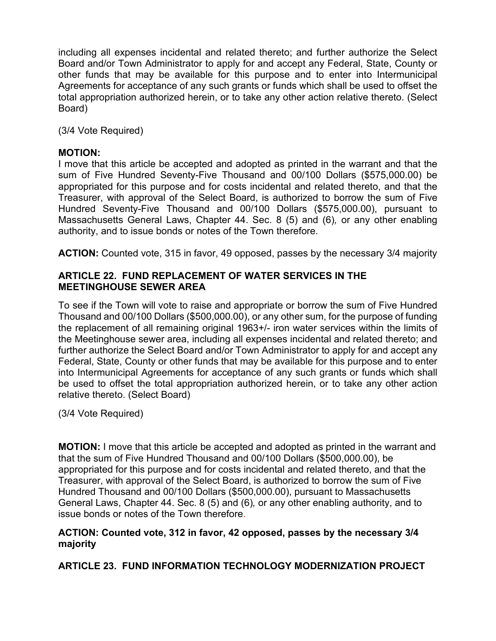including all expenses incidental and related thereto; and further authorize the Select Board and/or Town Administrator to apply for and accept any Federal, State, County or other funds that may be available for this purpose and to enter into Intermunicipal Agreements for acceptance of any such grants or funds which shall be used to offset the total appropriation authorized herein, or to take any other action relative thereto. (Select Board)

(3/4 Vote Required)

### **MOTION:**

I move that this article be accepted and adopted as printed in the warrant and that the sum of Five Hundred Seventy-Five Thousand and 00/100 Dollars (\$575,000.00) be appropriated for this purpose and for costs incidental and related thereto, and that the Treasurer, with approval of the Select Board, is authorized to borrow the sum of Five Hundred Seventy-Five Thousand and 00/100 Dollars (\$575,000.00), pursuant to Massachusetts General Laws, Chapter 44. Sec. 8 (5) and (6)*,* or any other enabling authority, and to issue bonds or notes of the Town therefore.

**ACTION:** Counted vote, 315 in favor, 49 opposed, passes by the necessary 3/4 majority

### **ARTICLE 22. FUND REPLACEMENT OF WATER SERVICES IN THE MEETINGHOUSE SEWER AREA**

To see if the Town will vote to raise and appropriate or borrow the sum of Five Hundred Thousand and 00/100 Dollars (\$500,000.00), or any other sum, for the purpose of funding the replacement of all remaining original 1963+/- iron water services within the limits of the Meetinghouse sewer area, including all expenses incidental and related thereto; and further authorize the Select Board and/or Town Administrator to apply for and accept any Federal, State, County or other funds that may be available for this purpose and to enter into Intermunicipal Agreements for acceptance of any such grants or funds which shall be used to offset the total appropriation authorized herein, or to take any other action relative thereto. (Select Board)

(3/4 Vote Required)

**MOTION:** I move that this article be accepted and adopted as printed in the warrant and that the sum of Five Hundred Thousand and 00/100 Dollars (\$500,000.00), be appropriated for this purpose and for costs incidental and related thereto, and that the Treasurer, with approval of the Select Board, is authorized to borrow the sum of Five Hundred Thousand and 00/100 Dollars (\$500,000.00), pursuant to Massachusetts General Laws, Chapter 44. Sec. 8 (5) and (6)*,* or any other enabling authority, and to issue bonds or notes of the Town therefore.

### **ACTION: Counted vote, 312 in favor, 42 opposed, passes by the necessary 3/4 majority**

**ARTICLE 23. FUND INFORMATION TECHNOLOGY MODERNIZATION PROJECT**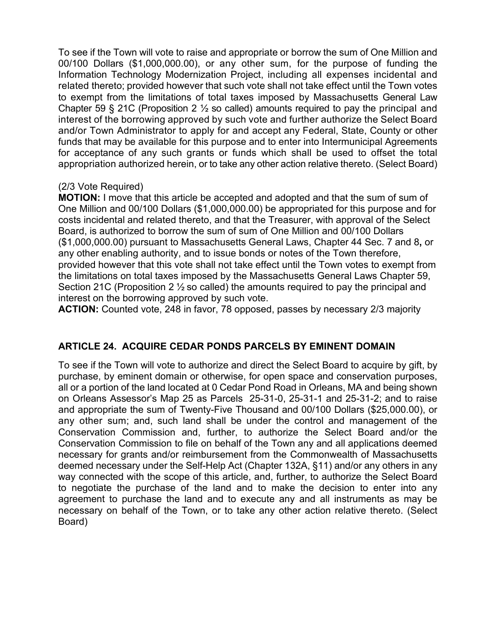To see if the Town will vote to raise and appropriate or borrow the sum of One Million and 00/100 Dollars (\$1,000,000.00), or any other sum, for the purpose of funding the Information Technology Modernization Project, including all expenses incidental and related thereto; provided however that such vote shall not take effect until the Town votes to exempt from the limitations of total taxes imposed by Massachusetts General Law Chapter 59 § 21C (Proposition 2  $\frac{1}{2}$  so called) amounts required to pay the principal and interest of the borrowing approved by such vote and further authorize the Select Board and/or Town Administrator to apply for and accept any Federal, State, County or other funds that may be available for this purpose and to enter into Intermunicipal Agreements for acceptance of any such grants or funds which shall be used to offset the total appropriation authorized herein, or to take any other action relative thereto. (Select Board)

### (2/3 Vote Required)

**MOTION:** I move that this article be accepted and adopted and that the sum of sum of One Million and 00/100 Dollars (\$1,000,000.00) be appropriated for this purpose and for costs incidental and related thereto, and that the Treasurer, with approval of the Select Board, is authorized to borrow the sum of sum of One Million and 00/100 Dollars (\$1,000,000.00) pursuant to Massachusetts General Laws, Chapter 44 Sec. 7 and 8**,** or any other enabling authority, and to issue bonds or notes of the Town therefore, provided however that this vote shall not take effect until the Town votes to exempt from the limitations on total taxes imposed by the Massachusetts General Laws Chapter 59, Section 21C (Proposition 2  $\frac{1}{2}$  so called) the amounts required to pay the principal and interest on the borrowing approved by such vote.

**ACTION:** Counted vote, 248 in favor, 78 opposed, passes by necessary 2/3 majority

## **ARTICLE 24. ACQUIRE CEDAR PONDS PARCELS BY EMINENT DOMAIN**

To see if the Town will vote to authorize and direct the Select Board to acquire by gift, by purchase, by eminent domain or otherwise, for open space and conservation purposes, all or a portion of the land located at 0 Cedar Pond Road in Orleans, MA and being shown on Orleans Assessor's Map 25 as Parcels 25-31-0, 25-31-1 and 25-31-2; and to raise and appropriate the sum of Twenty-Five Thousand and 00/100 Dollars (\$25,000.00), or any other sum; and, such land shall be under the control and management of the Conservation Commission and, further, to authorize the Select Board and/or the Conservation Commission to file on behalf of the Town any and all applications deemed necessary for grants and/or reimbursement from the Commonwealth of Massachusetts deemed necessary under the Self-Help Act (Chapter 132A, §11) and/or any others in any way connected with the scope of this article, and, further, to authorize the Select Board to negotiate the purchase of the land and to make the decision to enter into any agreement to purchase the land and to execute any and all instruments as may be necessary on behalf of the Town, or to take any other action relative thereto. (Select Board)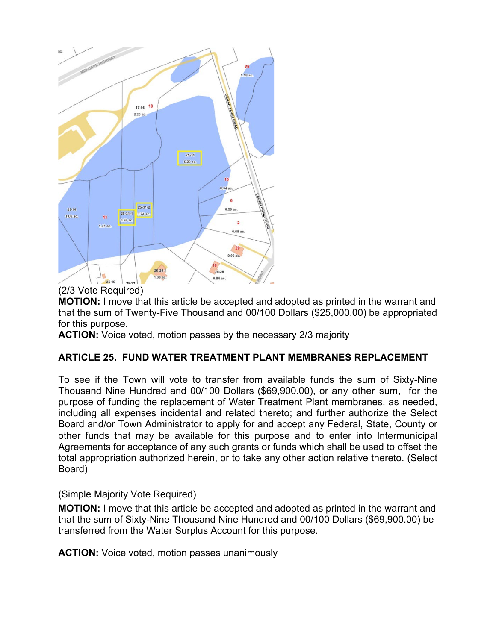

### (2/3 Vote Required)

**MOTION:** I move that this article be accepted and adopted as printed in the warrant and that the sum of Twenty-Five Thousand and 00/100 Dollars (\$25,000.00) be appropriated for this purpose.

**ACTION:** Voice voted, motion passes by the necessary 2/3 majority

# **ARTICLE 25. FUND WATER TREATMENT PLANT MEMBRANES REPLACEMENT**

To see if the Town will vote to transfer from available funds the sum of Sixty-Nine Thousand Nine Hundred and 00/100 Dollars (\$69,900.00), or any other sum, for the purpose of funding the replacement of Water Treatment Plant membranes, as needed, including all expenses incidental and related thereto; and further authorize the Select Board and/or Town Administrator to apply for and accept any Federal, State, County or other funds that may be available for this purpose and to enter into Intermunicipal Agreements for acceptance of any such grants or funds which shall be used to offset the total appropriation authorized herein, or to take any other action relative thereto. (Select Board)

(Simple Majority Vote Required)

**MOTION:** I move that this article be accepted and adopted as printed in the warrant and that the sum of Sixty-Nine Thousand Nine Hundred and 00/100 Dollars (\$69,900.00) be transferred from the Water Surplus Account for this purpose.

**ACTION:** Voice voted, motion passes unanimously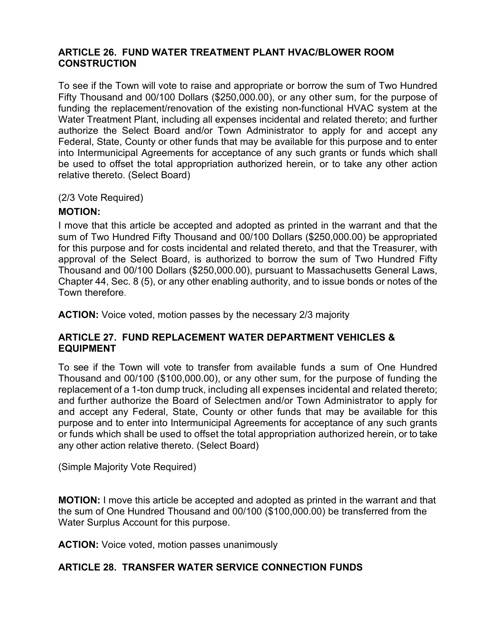#### **ARTICLE 26. FUND WATER TREATMENT PLANT HVAC/BLOWER ROOM CONSTRUCTION**

To see if the Town will vote to raise and appropriate or borrow the sum of Two Hundred Fifty Thousand and 00/100 Dollars (\$250,000.00), or any other sum, for the purpose of funding the replacement/renovation of the existing non-functional HVAC system at the Water Treatment Plant, including all expenses incidental and related thereto; and further authorize the Select Board and/or Town Administrator to apply for and accept any Federal, State, County or other funds that may be available for this purpose and to enter into Intermunicipal Agreements for acceptance of any such grants or funds which shall be used to offset the total appropriation authorized herein, or to take any other action relative thereto. (Select Board)

(2/3 Vote Required)

## **MOTION:**

I move that this article be accepted and adopted as printed in the warrant and that the sum of Two Hundred Fifty Thousand and 00/100 Dollars (\$250,000.00) be appropriated for this purpose and for costs incidental and related thereto, and that the Treasurer, with approval of the Select Board, is authorized to borrow the sum of Two Hundred Fifty Thousand and 00/100 Dollars (\$250,000.00), pursuant to Massachusetts General Laws, Chapter 44, Sec. 8 (5), or any other enabling authority, and to issue bonds or notes of the Town therefore.

**ACTION:** Voice voted, motion passes by the necessary 2/3 majority

## **ARTICLE 27. FUND REPLACEMENT WATER DEPARTMENT VEHICLES & EQUIPMENT**

To see if the Town will vote to transfer from available funds a sum of One Hundred Thousand and 00/100 (\$100,000.00), or any other sum, for the purpose of funding the replacement of a 1-ton dump truck, including all expenses incidental and related thereto; and further authorize the Board of Selectmen and/or Town Administrator to apply for and accept any Federal, State, County or other funds that may be available for this purpose and to enter into Intermunicipal Agreements for acceptance of any such grants or funds which shall be used to offset the total appropriation authorized herein, or to take any other action relative thereto. (Select Board)

(Simple Majority Vote Required)

**MOTION:** I move this article be accepted and adopted as printed in the warrant and that the sum of One Hundred Thousand and 00/100 (\$100,000.00) be transferred from the Water Surplus Account for this purpose.

**ACTION:** Voice voted, motion passes unanimously

# **ARTICLE 28. TRANSFER WATER SERVICE CONNECTION FUNDS**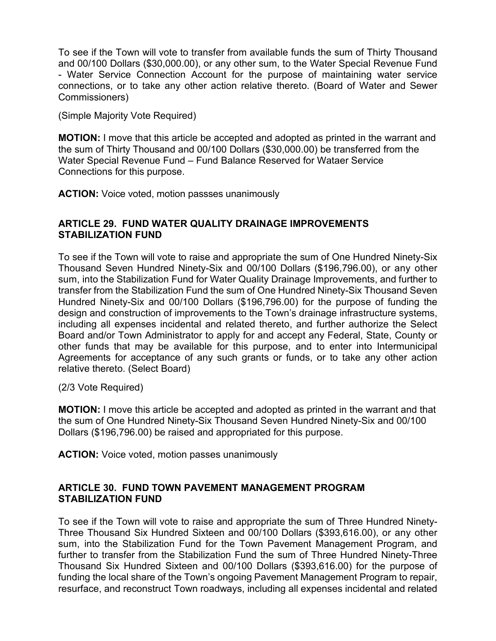To see if the Town will vote to transfer from available funds the sum of Thirty Thousand and 00/100 Dollars (\$30,000.00), or any other sum, to the Water Special Revenue Fund - Water Service Connection Account for the purpose of maintaining water service connections, or to take any other action relative thereto. (Board of Water and Sewer Commissioners)

(Simple Majority Vote Required)

**MOTION:** I move that this article be accepted and adopted as printed in the warrant and the sum of Thirty Thousand and 00/100 Dollars (\$30,000.00) be transferred from the Water Special Revenue Fund – Fund Balance Reserved for Wataer Service Connections for this purpose.

**ACTION:** Voice voted, motion passses unanimously

#### **ARTICLE 29. FUND WATER QUALITY DRAINAGE IMPROVEMENTS STABILIZATION FUND**

To see if the Town will vote to raise and appropriate the sum of One Hundred Ninety-Six Thousand Seven Hundred Ninety-Six and 00/100 Dollars (\$196,796.00), or any other sum, into the Stabilization Fund for Water Quality Drainage Improvements, and further to transfer from the Stabilization Fund the sum of One Hundred Ninety-Six Thousand Seven Hundred Ninety-Six and 00/100 Dollars (\$196,796.00) for the purpose of funding the design and construction of improvements to the Town's drainage infrastructure systems, including all expenses incidental and related thereto, and further authorize the Select Board and/or Town Administrator to apply for and accept any Federal, State, County or other funds that may be available for this purpose, and to enter into Intermunicipal Agreements for acceptance of any such grants or funds, or to take any other action relative thereto. (Select Board)

(2/3 Vote Required)

**MOTION:** I move this article be accepted and adopted as printed in the warrant and that the sum of One Hundred Ninety-Six Thousand Seven Hundred Ninety-Six and 00/100 Dollars (\$196,796.00) be raised and appropriated for this purpose.

**ACTION:** Voice voted, motion passes unanimously

### **ARTICLE 30. FUND TOWN PAVEMENT MANAGEMENT PROGRAM STABILIZATION FUND**

To see if the Town will vote to raise and appropriate the sum of Three Hundred Ninety-Three Thousand Six Hundred Sixteen and 00/100 Dollars (\$393,616.00), or any other sum, into the Stabilization Fund for the Town Pavement Management Program, and further to transfer from the Stabilization Fund the sum of Three Hundred Ninety-Three Thousand Six Hundred Sixteen and 00/100 Dollars (\$393,616.00) for the purpose of funding the local share of the Town's ongoing Pavement Management Program to repair, resurface, and reconstruct Town roadways, including all expenses incidental and related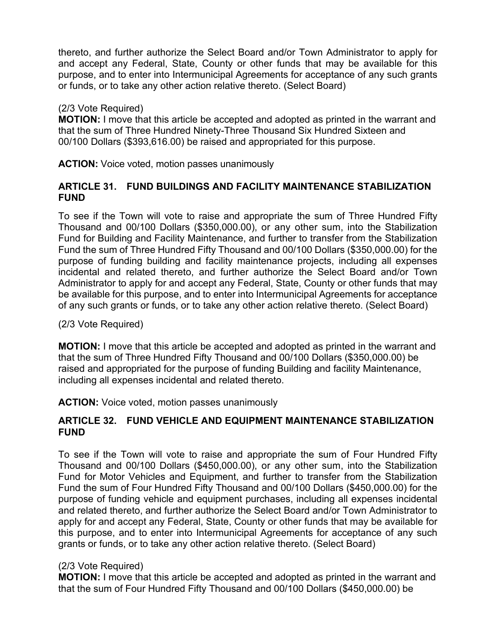thereto, and further authorize the Select Board and/or Town Administrator to apply for and accept any Federal, State, County or other funds that may be available for this purpose, and to enter into Intermunicipal Agreements for acceptance of any such grants or funds, or to take any other action relative thereto. (Select Board)

#### (2/3 Vote Required)

**MOTION:** I move that this article be accepted and adopted as printed in the warrant and that the sum of Three Hundred Ninety-Three Thousand Six Hundred Sixteen and 00/100 Dollars (\$393,616.00) be raised and appropriated for this purpose.

**ACTION:** Voice voted, motion passes unanimously

### **ARTICLE 31. FUND BUILDINGS AND FACILITY MAINTENANCE STABILIZATION FUND**

To see if the Town will vote to raise and appropriate the sum of Three Hundred Fifty Thousand and 00/100 Dollars (\$350,000.00), or any other sum, into the Stabilization Fund for Building and Facility Maintenance, and further to transfer from the Stabilization Fund the sum of Three Hundred Fifty Thousand and 00/100 Dollars (\$350,000.00) for the purpose of funding building and facility maintenance projects, including all expenses incidental and related thereto, and further authorize the Select Board and/or Town Administrator to apply for and accept any Federal, State, County or other funds that may be available for this purpose, and to enter into Intermunicipal Agreements for acceptance of any such grants or funds, or to take any other action relative thereto. (Select Board)

(2/3 Vote Required)

**MOTION:** I move that this article be accepted and adopted as printed in the warrant and that the sum of Three Hundred Fifty Thousand and 00/100 Dollars (\$350,000.00) be raised and appropriated for the purpose of funding Building and facility Maintenance, including all expenses incidental and related thereto.

**ACTION:** Voice voted, motion passes unanimously

### **ARTICLE 32. FUND VEHICLE AND EQUIPMENT MAINTENANCE STABILIZATION FUND**

To see if the Town will vote to raise and appropriate the sum of Four Hundred Fifty Thousand and 00/100 Dollars (\$450,000.00), or any other sum, into the Stabilization Fund for Motor Vehicles and Equipment, and further to transfer from the Stabilization Fund the sum of Four Hundred Fifty Thousand and 00/100 Dollars (\$450,000.00) for the purpose of funding vehicle and equipment purchases, including all expenses incidental and related thereto, and further authorize the Select Board and/or Town Administrator to apply for and accept any Federal, State, County or other funds that may be available for this purpose, and to enter into Intermunicipal Agreements for acceptance of any such grants or funds, or to take any other action relative thereto. (Select Board)

#### (2/3 Vote Required)

**MOTION:** I move that this article be accepted and adopted as printed in the warrant and that the sum of Four Hundred Fifty Thousand and 00/100 Dollars (\$450,000.00) be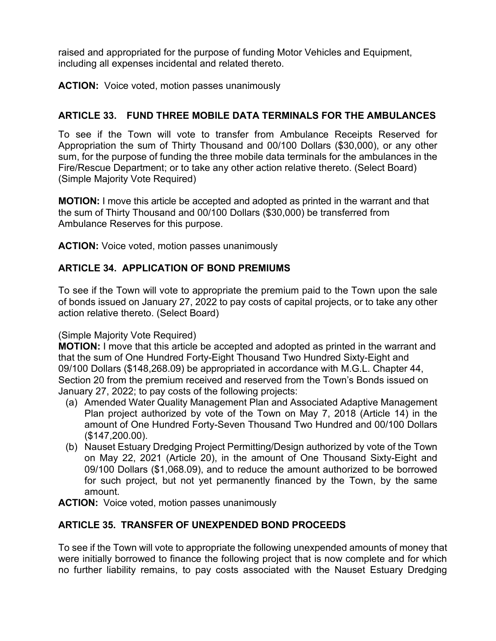raised and appropriated for the purpose of funding Motor Vehicles and Equipment, including all expenses incidental and related thereto.

**ACTION:** Voice voted, motion passes unanimously

## **ARTICLE 33. FUND THREE MOBILE DATA TERMINALS FOR THE AMBULANCES**

To see if the Town will vote to transfer from Ambulance Receipts Reserved for Appropriation the sum of Thirty Thousand and 00/100 Dollars (\$30,000), or any other sum, for the purpose of funding the three mobile data terminals for the ambulances in the Fire/Rescue Department; or to take any other action relative thereto. (Select Board) (Simple Majority Vote Required)

**MOTION:** I move this article be accepted and adopted as printed in the warrant and that the sum of Thirty Thousand and 00/100 Dollars (\$30,000) be transferred from Ambulance Reserves for this purpose.

**ACTION:** Voice voted, motion passes unanimously

## **ARTICLE 34. APPLICATION OF BOND PREMIUMS**

To see if the Town will vote to appropriate the premium paid to the Town upon the sale of bonds issued on January 27, 2022 to pay costs of capital projects, or to take any other action relative thereto. (Select Board)

#### (Simple Majority Vote Required)

**MOTION:** I move that this article be accepted and adopted as printed in the warrant and that the sum of One Hundred Forty-Eight Thousand Two Hundred Sixty-Eight and 09/100 Dollars (\$148,268.09) be appropriated in accordance with M.G.L. Chapter 44, Section 20 from the premium received and reserved from the Town's Bonds issued on January 27, 2022; to pay costs of the following projects:

- (a) Amended Water Quality Management Plan and Associated Adaptive Management Plan project authorized by vote of the Town on May 7, 2018 (Article 14) in the amount of One Hundred Forty-Seven Thousand Two Hundred and 00/100 Dollars (\$147,200.00).
- (b) Nauset Estuary Dredging Project Permitting/Design authorized by vote of the Town on May 22, 2021 (Article 20), in the amount of One Thousand Sixty-Eight and 09/100 Dollars (\$1,068.09), and to reduce the amount authorized to be borrowed for such project, but not yet permanently financed by the Town, by the same amount.

**ACTION:** Voice voted, motion passes unanimously

## **ARTICLE 35. TRANSFER OF UNEXPENDED BOND PROCEEDS**

To see if the Town will vote to appropriate the following unexpended amounts of money that were initially borrowed to finance the following project that is now complete and for which no further liability remains, to pay costs associated with the Nauset Estuary Dredging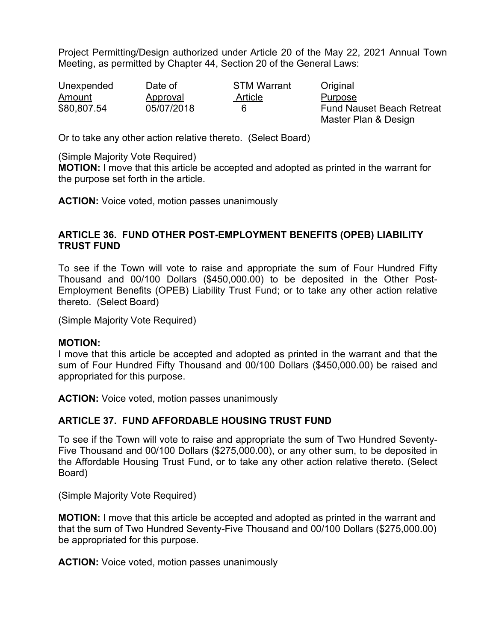Project Permitting/Design authorized under Article 20 of the May 22, 2021 Annual Town Meeting, as permitted by Chapter 44, Section 20 of the General Laws:

| Unexpended  | Date of    | <b>STM Warrant</b> | Original                                                 |  |
|-------------|------------|--------------------|----------------------------------------------------------|--|
| Amount      | Approval   | Article            | Purpose                                                  |  |
| \$80,807.54 | 05/07/2018 | 6                  | <b>Fund Nauset Beach Retreat</b><br>Master Plan & Design |  |

Or to take any other action relative thereto. (Select Board)

(Simple Majority Vote Required)

**MOTION:** I move that this article be accepted and adopted as printed in the warrant for the purpose set forth in the article.

**ACTION:** Voice voted, motion passes unanimously

#### **ARTICLE 36. FUND OTHER POST-EMPLOYMENT BENEFITS (OPEB) LIABILITY TRUST FUND**

To see if the Town will vote to raise and appropriate the sum of Four Hundred Fifty Thousand and 00/100 Dollars (\$450,000.00) to be deposited in the Other Post-Employment Benefits (OPEB) Liability Trust Fund; or to take any other action relative thereto. (Select Board)

(Simple Majority Vote Required)

#### **MOTION:**

I move that this article be accepted and adopted as printed in the warrant and that the sum of Four Hundred Fifty Thousand and 00/100 Dollars (\$450,000.00) be raised and appropriated for this purpose.

**ACTION:** Voice voted, motion passes unanimously

#### **ARTICLE 37. FUND AFFORDABLE HOUSING TRUST FUND**

To see if the Town will vote to raise and appropriate the sum of Two Hundred Seventy-Five Thousand and 00/100 Dollars (\$275,000.00), or any other sum, to be deposited in the Affordable Housing Trust Fund, or to take any other action relative thereto. (Select Board)

(Simple Majority Vote Required)

**MOTION:** I move that this article be accepted and adopted as printed in the warrant and that the sum of Two Hundred Seventy-Five Thousand and 00/100 Dollars (\$275,000.00) be appropriated for this purpose.

**ACTION:** Voice voted, motion passes unanimously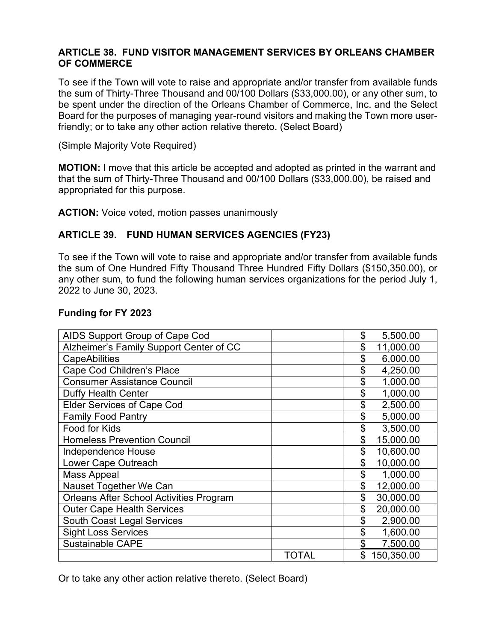#### **ARTICLE 38. FUND VISITOR MANAGEMENT SERVICES BY ORLEANS CHAMBER OF COMMERCE**

To see if the Town will vote to raise and appropriate and/or transfer from available funds the sum of Thirty-Three Thousand and 00/100 Dollars (\$33,000.00), or any other sum, to be spent under the direction of the Orleans Chamber of Commerce, Inc. and the Select Board for the purposes of managing year-round visitors and making the Town more userfriendly; or to take any other action relative thereto. (Select Board)

(Simple Majority Vote Required)

**MOTION:** I move that this article be accepted and adopted as printed in the warrant and that the sum of Thirty-Three Thousand and 00/100 Dollars (\$33,000.00), be raised and appropriated for this purpose.

**ACTION:** Voice voted, motion passes unanimously

#### **ARTICLE 39. FUND HUMAN SERVICES AGENCIES (FY23)**

To see if the Town will vote to raise and appropriate and/or transfer from available funds the sum of One Hundred Fifty Thousand Three Hundred Fifty Dollars (\$150,350.00), or any other sum, to fund the following human services organizations for the period July 1, 2022 to June 30, 2023.

#### **Funding for FY 2023**

| AIDS Support Group of Cape Cod                 |       |    | 5,500.00   |
|------------------------------------------------|-------|----|------------|
| Alzheimer's Family Support Center of CC        |       |    | 11,000.00  |
| <b>CapeAbilities</b>                           |       |    | 6,000.00   |
| Cape Cod Children's Place                      |       |    | 4,250.00   |
| <b>Consumer Assistance Council</b>             |       |    | 1,000.00   |
| Duffy Health Center                            |       |    | 1,000.00   |
| <b>Elder Services of Cape Cod</b>              |       |    | 2,500.00   |
| <b>Family Food Pantry</b>                      |       | \$ | 5,000.00   |
| Food for Kids                                  |       | \$ | 3,500.00   |
| <b>Homeless Prevention Council</b>             |       | \$ | 15,000.00  |
| Independence House                             |       | \$ | 10,600.00  |
| Lower Cape Outreach                            |       | \$ | 10,000.00  |
| <b>Mass Appeal</b>                             |       | \$ | 1,000.00   |
| Nauset Together We Can                         |       | \$ | 12,000.00  |
| <b>Orleans After School Activities Program</b> |       | \$ | 30,000.00  |
| <b>Outer Cape Health Services</b>              |       | \$ | 20,000.00  |
| <b>South Coast Legal Services</b>              |       | \$ | 2,900.00   |
| <b>Sight Loss Services</b>                     |       | \$ | 1,600.00   |
| <b>Sustainable CAPE</b>                        |       | \$ | 7,500.00   |
|                                                | TOTAL | \$ | 150,350.00 |

Or to take any other action relative thereto. (Select Board)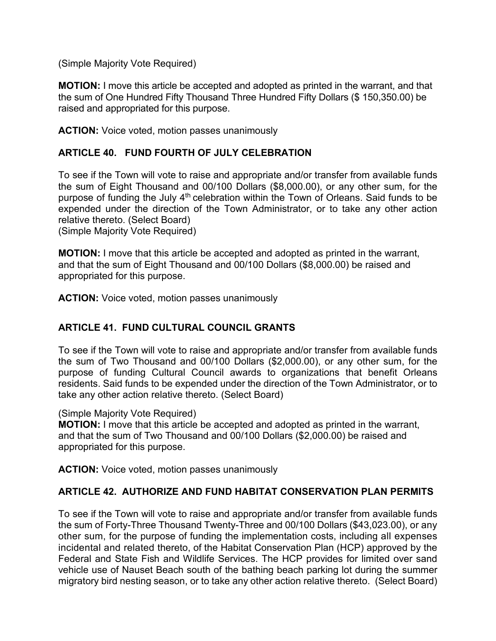(Simple Majority Vote Required)

**MOTION:** I move this article be accepted and adopted as printed in the warrant, and that the sum of One Hundred Fifty Thousand Three Hundred Fifty Dollars (\$ 150,350.00) be raised and appropriated for this purpose.

**ACTION:** Voice voted, motion passes unanimously

## **ARTICLE 40. FUND FOURTH OF JULY CELEBRATION**

To see if the Town will vote to raise and appropriate and/or transfer from available funds the sum of Eight Thousand and 00/100 Dollars (\$8,000.00), or any other sum, for the purpose of funding the July 4<sup>th</sup> celebration within the Town of Orleans. Said funds to be expended under the direction of the Town Administrator, or to take any other action relative thereto. (Select Board)

(Simple Majority Vote Required)

**MOTION:** I move that this article be accepted and adopted as printed in the warrant, and that the sum of Eight Thousand and 00/100 Dollars (\$8,000.00) be raised and appropriated for this purpose.

**ACTION:** Voice voted, motion passes unanimously

## **ARTICLE 41. FUND CULTURAL COUNCIL GRANTS**

To see if the Town will vote to raise and appropriate and/or transfer from available funds the sum of Two Thousand and 00/100 Dollars (\$2,000.00), or any other sum, for the purpose of funding Cultural Council awards to organizations that benefit Orleans residents. Said funds to be expended under the direction of the Town Administrator, or to take any other action relative thereto. (Select Board)

#### (Simple Majority Vote Required)

**MOTION:** I move that this article be accepted and adopted as printed in the warrant, and that the sum of Two Thousand and 00/100 Dollars (\$2,000.00) be raised and appropriated for this purpose.

**ACTION:** Voice voted, motion passes unanimously

## **ARTICLE 42. AUTHORIZE AND FUND HABITAT CONSERVATION PLAN PERMITS**

To see if the Town will vote to raise and appropriate and/or transfer from available funds the sum of Forty-Three Thousand Twenty-Three and 00/100 Dollars (\$43,023.00), or any other sum, for the purpose of funding the implementation costs, including all expenses incidental and related thereto, of the Habitat Conservation Plan (HCP) approved by the Federal and State Fish and Wildlife Services. The HCP provides for limited over sand vehicle use of Nauset Beach south of the bathing beach parking lot during the summer migratory bird nesting season, or to take any other action relative thereto. (Select Board)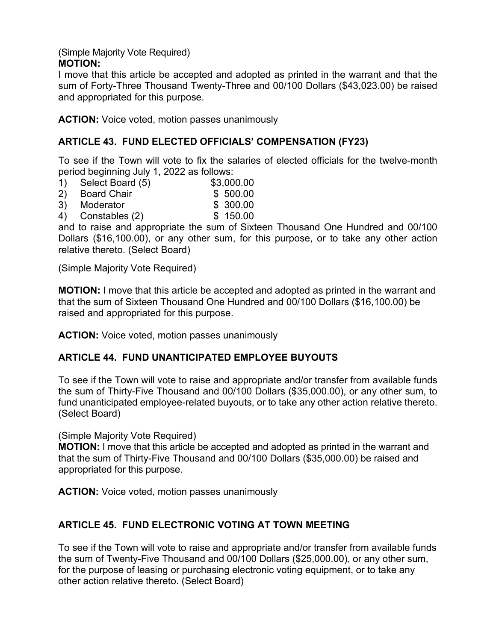(Simple Majority Vote Required) **MOTION:** 

I move that this article be accepted and adopted as printed in the warrant and that the sum of Forty-Three Thousand Twenty-Three and 00/100 Dollars (\$43,023.00) be raised and appropriated for this purpose.

**ACTION:** Voice voted, motion passes unanimously

## **ARTICLE 43. FUND ELECTED OFFICIALS' COMPENSATION (FY23)**

To see if the Town will vote to fix the salaries of elected officials for the twelve-month period beginning July 1, 2022 as follows:

- 1) Select Board (5) \$3,000.00
- 
- 2) Board Chair \$ 500.00<br>3) Moderator \$ 300.00 3) Moderator
- 4) Constables (2) \$ 150.00

and to raise and appropriate the sum of Sixteen Thousand One Hundred and 00/100 Dollars (\$16,100.00), or any other sum, for this purpose, or to take any other action relative thereto. (Select Board)

(Simple Majority Vote Required)

**MOTION:** I move that this article be accepted and adopted as printed in the warrant and that the sum of Sixteen Thousand One Hundred and 00/100 Dollars (\$16,100.00) be raised and appropriated for this purpose.

**ACTION:** Voice voted, motion passes unanimously

## **ARTICLE 44. FUND UNANTICIPATED EMPLOYEE BUYOUTS**

To see if the Town will vote to raise and appropriate and/or transfer from available funds the sum of Thirty-Five Thousand and 00/100 Dollars (\$35,000.00), or any other sum, to fund unanticipated employee-related buyouts, or to take any other action relative thereto. (Select Board)

(Simple Majority Vote Required)

**MOTION:** I move that this article be accepted and adopted as printed in the warrant and that the sum of Thirty-Five Thousand and 00/100 Dollars (\$35,000.00) be raised and appropriated for this purpose.

**ACTION:** Voice voted, motion passes unanimously

## **ARTICLE 45. FUND ELECTRONIC VOTING AT TOWN MEETING**

To see if the Town will vote to raise and appropriate and/or transfer from available funds the sum of Twenty-Five Thousand and 00/100 Dollars (\$25,000.00), or any other sum, for the purpose of leasing or purchasing electronic voting equipment, or to take any other action relative thereto. (Select Board)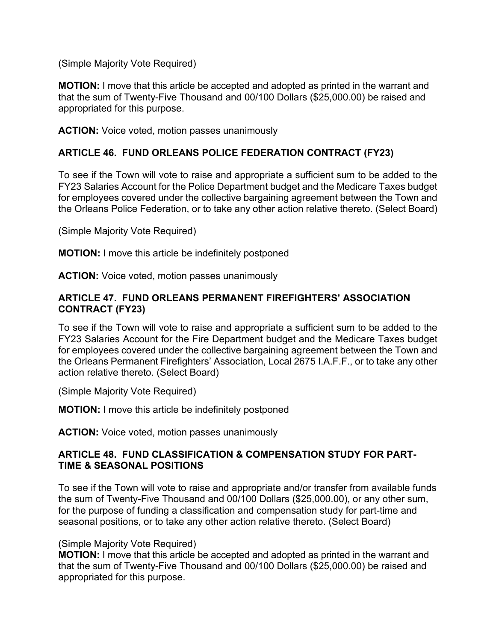(Simple Majority Vote Required)

**MOTION:** I move that this article be accepted and adopted as printed in the warrant and that the sum of Twenty-Five Thousand and 00/100 Dollars (\$25,000.00) be raised and appropriated for this purpose.

**ACTION:** Voice voted, motion passes unanimously

## **ARTICLE 46. FUND ORLEANS POLICE FEDERATION CONTRACT (FY23)**

To see if the Town will vote to raise and appropriate a sufficient sum to be added to the FY23 Salaries Account for the Police Department budget and the Medicare Taxes budget for employees covered under the collective bargaining agreement between the Town and the Orleans Police Federation, or to take any other action relative thereto. (Select Board)

(Simple Majority Vote Required)

**MOTION:** I move this article be indefinitely postponed

**ACTION:** Voice voted, motion passes unanimously

#### **ARTICLE 47. FUND ORLEANS PERMANENT FIREFIGHTERS' ASSOCIATION CONTRACT (FY23)**

To see if the Town will vote to raise and appropriate a sufficient sum to be added to the FY23 Salaries Account for the Fire Department budget and the Medicare Taxes budget for employees covered under the collective bargaining agreement between the Town and the Orleans Permanent Firefighters' Association, Local 2675 I.A.F.F., or to take any other action relative thereto. (Select Board)

(Simple Majority Vote Required)

**MOTION:** I move this article be indefinitely postponed

**ACTION:** Voice voted, motion passes unanimously

### **ARTICLE 48. FUND CLASSIFICATION & COMPENSATION STUDY FOR PART-TIME & SEASONAL POSITIONS**

To see if the Town will vote to raise and appropriate and/or transfer from available funds the sum of Twenty-Five Thousand and 00/100 Dollars (\$25,000.00), or any other sum, for the purpose of funding a classification and compensation study for part-time and seasonal positions, or to take any other action relative thereto. (Select Board)

#### (Simple Majority Vote Required)

**MOTION:** I move that this article be accepted and adopted as printed in the warrant and that the sum of Twenty-Five Thousand and 00/100 Dollars (\$25,000.00) be raised and appropriated for this purpose.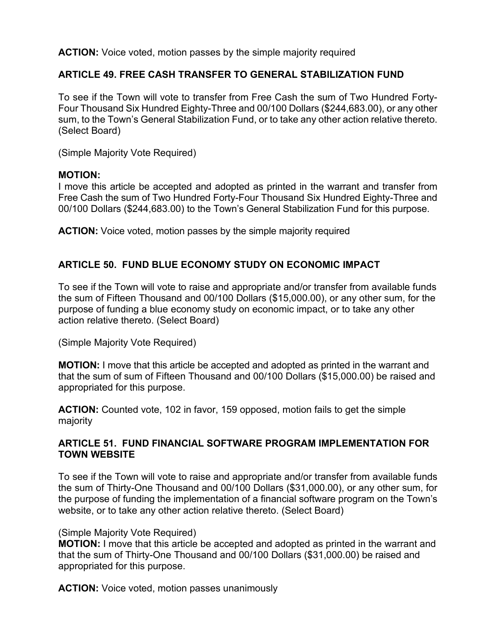**ACTION:** Voice voted, motion passes by the simple majority required

## **ARTICLE 49. FREE CASH TRANSFER TO GENERAL STABILIZATION FUND**

To see if the Town will vote to transfer from Free Cash the sum of Two Hundred Forty-Four Thousand Six Hundred Eighty-Three and 00/100 Dollars (\$244,683.00), or any other sum, to the Town's General Stabilization Fund, or to take any other action relative thereto. (Select Board)

(Simple Majority Vote Required)

#### **MOTION:**

I move this article be accepted and adopted as printed in the warrant and transfer from Free Cash the sum of Two Hundred Forty-Four Thousand Six Hundred Eighty-Three and 00/100 Dollars (\$244,683.00) to the Town's General Stabilization Fund for this purpose.

**ACTION:** Voice voted, motion passes by the simple majority required

## **ARTICLE 50. FUND BLUE ECONOMY STUDY ON ECONOMIC IMPACT**

To see if the Town will vote to raise and appropriate and/or transfer from available funds the sum of Fifteen Thousand and 00/100 Dollars (\$15,000.00), or any other sum, for the purpose of funding a blue economy study on economic impact, or to take any other action relative thereto. (Select Board)

(Simple Majority Vote Required)

**MOTION:** I move that this article be accepted and adopted as printed in the warrant and that the sum of sum of Fifteen Thousand and 00/100 Dollars (\$15,000.00) be raised and appropriated for this purpose.

**ACTION:** Counted vote, 102 in favor, 159 opposed, motion fails to get the simple majority

#### **ARTICLE 51. FUND FINANCIAL SOFTWARE PROGRAM IMPLEMENTATION FOR TOWN WEBSITE**

To see if the Town will vote to raise and appropriate and/or transfer from available funds the sum of Thirty-One Thousand and 00/100 Dollars (\$31,000.00), or any other sum, for the purpose of funding the implementation of a financial software program on the Town's website, or to take any other action relative thereto. (Select Board)

#### (Simple Majority Vote Required)

**MOTION:** I move that this article be accepted and adopted as printed in the warrant and that the sum of Thirty-One Thousand and 00/100 Dollars (\$31,000.00) be raised and appropriated for this purpose.

**ACTION:** Voice voted, motion passes unanimously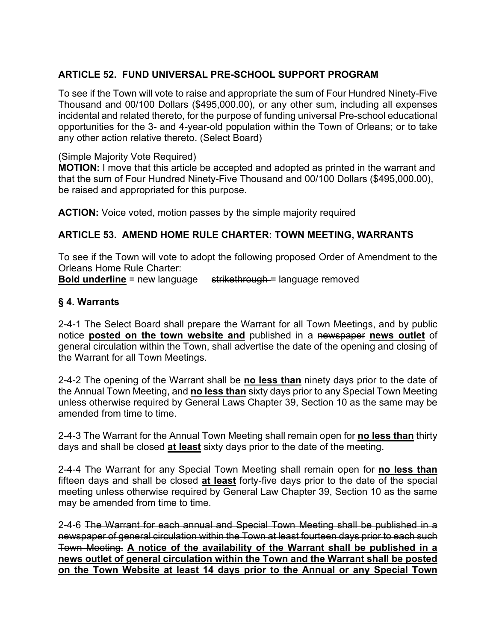# **ARTICLE 52. FUND UNIVERSAL PRE-SCHOOL SUPPORT PROGRAM**

To see if the Town will vote to raise and appropriate the sum of Four Hundred Ninety-Five Thousand and 00/100 Dollars (\$495,000.00), or any other sum, including all expenses incidental and related thereto, for the purpose of funding universal Pre-school educational opportunities for the 3- and 4-year-old population within the Town of Orleans; or to take any other action relative thereto. (Select Board)

#### (Simple Majority Vote Required)

**MOTION:** I move that this article be accepted and adopted as printed in the warrant and that the sum of Four Hundred Ninety-Five Thousand and 00/100 Dollars (\$495,000.00), be raised and appropriated for this purpose.

**ACTION:** Voice voted, motion passes by the simple majority required

### **ARTICLE 53. AMEND HOME RULE CHARTER: TOWN MEETING, WARRANTS**

To see if the Town will vote to adopt the following proposed Order of Amendment to the Orleans Home Rule Charter:

**Bold underline** = new language strikethrough = language removed

#### **§ 4. Warrants**

2-4-1 The Select Board shall prepare the Warrant for all Town Meetings, and by public notice **posted on the town website and** published in a newspaper **news outlet** of general circulation within the Town, shall advertise the date of the opening and closing of the Warrant for all Town Meetings.

2-4-2 The opening of the Warrant shall be **no less than** ninety days prior to the date of the Annual Town Meeting, and **no less than** sixty days prior to any Special Town Meeting unless otherwise required by General Laws Chapter 39, Section 10 as the same may be amended from time to time.

2-4-3 The Warrant for the Annual Town Meeting shall remain open for **no less than** thirty days and shall be closed **at least** sixty days prior to the date of the meeting.

2-4-4 The Warrant for any Special Town Meeting shall remain open for **no less than** fifteen days and shall be closed **at least** forty-five days prior to the date of the special meeting unless otherwise required by General Law Chapter 39, Section 10 as the same may be amended from time to time.

2-4-6 The Warrant for each annual and Special Town Meeting shall be published in a newspaper of general circulation within the Town at least fourteen days prior to each such Town Meeting. **A notice of the availability of the Warrant shall be published in a news outlet of general circulation within the Town and the Warrant shall be posted on the Town Website at least 14 days prior to the Annual or any Special Town**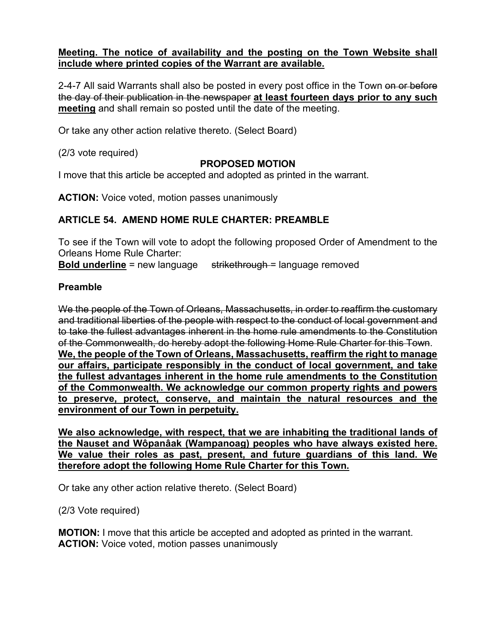#### **Meeting. The notice of availability and the posting on the Town Website shall include where printed copies of the Warrant are available.**

2-4-7 All said Warrants shall also be posted in every post office in the Town on or before the day of their publication in the newspaper **at least fourteen days prior to any such meeting** and shall remain so posted until the date of the meeting.

Or take any other action relative thereto. (Select Board)

(2/3 vote required)

## **PROPOSED MOTION**

I move that this article be accepted and adopted as printed in the warrant.

**ACTION:** Voice voted, motion passes unanimously

## **ARTICLE 54. AMEND HOME RULE CHARTER: PREAMBLE**

To see if the Town will vote to adopt the following proposed Order of Amendment to the Orleans Home Rule Charter:

**Bold underline** = new language strikethrough = language removed

### **Preamble**

We the people of the Town of Orleans, Massachusetts, in order to reaffirm the customary and traditional liberties of the people with respect to the conduct of local government and to take the fullest advantages inherent in the home rule amendments to the Constitution of the Commonwealth, do hereby adopt the following Home Rule Charter for this Town.

**We, the people of the Town of Orleans, Massachusetts, reaffirm the right to manage our affairs, participate responsibly in the conduct of local government, and take the fullest advantages inherent in the home rule amendments to the Constitution of the Commonwealth. We acknowledge our common property rights and powers to preserve, protect, conserve, and maintain the natural resources and the environment of our Town in perpetuity.**

**We also acknowledge, with respect, that we are inhabiting the traditional lands of the Nauset and Wôpanâak (Wampanoag) peoples who have always existed here. We value their roles as past, present, and future guardians of this land. We therefore adopt the following Home Rule Charter for this Town.**

Or take any other action relative thereto. (Select Board)

(2/3 Vote required)

**MOTION:** I move that this article be accepted and adopted as printed in the warrant. **ACTION:** Voice voted, motion passes unanimously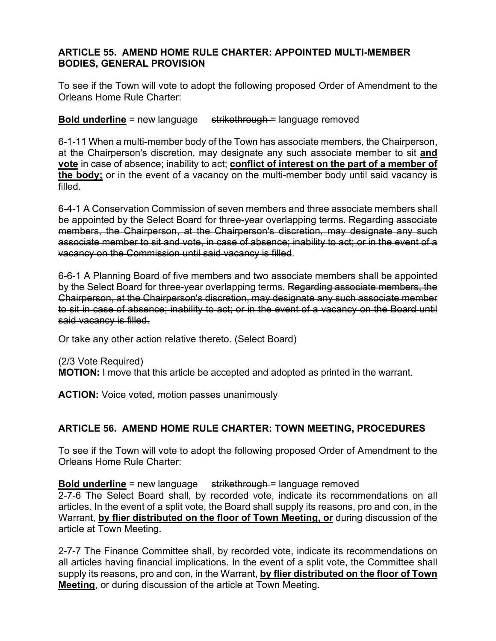#### **ARTICLE 55. AMEND HOME RULE CHARTER: APPOINTED MULTI-MEMBER BODIES, GENERAL PROVISION**

To see if the Town will vote to adopt the following proposed Order of Amendment to the Orleans Home Rule Charter:

**Bold underline** = new language strikethrough = language removed

6-1-11 When a multi-member body of the Town has associate members, the Chairperson, at the Chairperson's discretion, may designate any such associate member to sit **and vote** in case of absence; inability to act; **conflict of interest on the part of a member of the body;** or in the event of a vacancy on the multi-member body until said vacancy is filled.

6-4-1 A Conservation Commission of seven members and three associate members shall be appointed by the Select Board for three-year overlapping terms. Regarding associate members, the Chairperson, at the Chairperson's discretion, may designate any such associate member to sit and vote, in case of absence; inability to act; or in the event of a vacancy on the Commission until said vacancy is filled.

6-6-1 A Planning Board of five members and two associate members shall be appointed by the Select Board for three-year overlapping terms. Regarding associate members, the Chairperson, at the Chairperson's discretion, may designate any such associate member to sit in case of absence; inability to act; or in the event of a vacancy on the Board until said vacancy is filled.

Or take any other action relative thereto. (Select Board)

(2/3 Vote Required) **MOTION:** I move that this article be accepted and adopted as printed in the warrant.

**ACTION:** Voice voted, motion passes unanimously

#### **ARTICLE 56. AMEND HOME RULE CHARTER: TOWN MEETING, PROCEDURES**

To see if the Town will vote to adopt the following proposed Order of Amendment to the Orleans Home Rule Charter:

**Bold underline** = new language strikethrough = language removed

2-7-6 The Select Board shall, by recorded vote, indicate its recommendations on all articles. In the event of a split vote, the Board shall supply its reasons, pro and con, in the Warrant, **by flier distributed on the floor of Town Meeting, or** during discussion of the article at Town Meeting.

2-7-7 The Finance Committee shall, by recorded vote, indicate its recommendations on all articles having financial implications. In the event of a split vote, the Committee shall supply its reasons, pro and con, in the Warrant, **by flier distributed on the floor of Town Meeting**, or during discussion of the article at Town Meeting.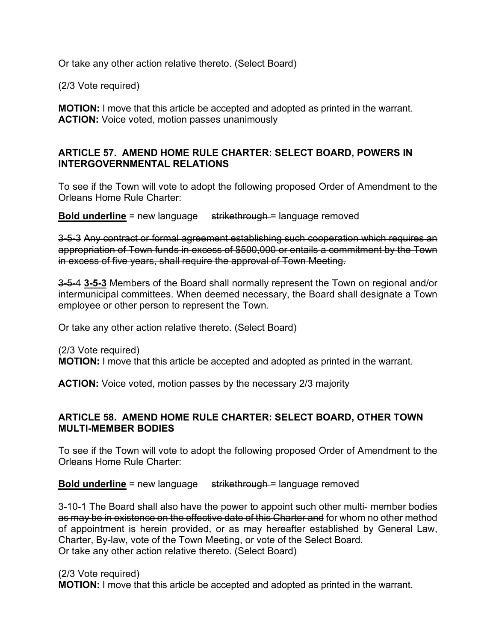Or take any other action relative thereto. (Select Board)

(2/3 Vote required)

**MOTION:** I move that this article be accepted and adopted as printed in the warrant. **ACTION:** Voice voted, motion passes unanimously

### **ARTICLE 57. AMEND HOME RULE CHARTER: SELECT BOARD, POWERS IN INTERGOVERNMENTAL RELATIONS**

To see if the Town will vote to adopt the following proposed Order of Amendment to the Orleans Home Rule Charter:

**Bold underline** = new language strikethrough = language removed

3-5-3 Any contract or formal agreement establishing such cooperation which requires an appropriation of Town funds in excess of \$500,000 or entails a commitment by the Town in excess of five years, shall require the approval of Town Meeting.

3-5-4 **3-5-3** Members of the Board shall normally represent the Town on regional and/or intermunicipal committees. When deemed necessary, the Board shall designate a Town employee or other person to represent the Town.

Or take any other action relative thereto. (Select Board)

(2/3 Vote required) **MOTION:** I move that this article be accepted and adopted as printed in the warrant.

**ACTION:** Voice voted, motion passes by the necessary 2/3 majority

#### **ARTICLE 58. AMEND HOME RULE CHARTER: SELECT BOARD, OTHER TOWN MULTI-MEMBER BODIES**

To see if the Town will vote to adopt the following proposed Order of Amendment to the Orleans Home Rule Charter:

**Bold underline** = new language strikethrough = language removed

3-10-1 The Board shall also have the power to appoint such other multi- member bodies as may be in existence on the effective date of this Charter and for whom no other method of appointment is herein provided, or as may hereafter established by General Law, Charter, By-law, vote of the Town Meeting, or vote of the Select Board. Or take any other action relative thereto. (Select Board)

#### (2/3 Vote required)

**MOTION:** I move that this article be accepted and adopted as printed in the warrant.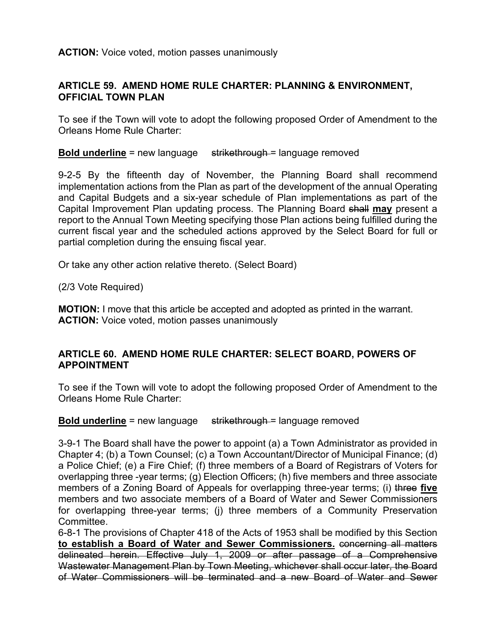**ACTION:** Voice voted, motion passes unanimously

#### **ARTICLE 59. AMEND HOME RULE CHARTER: PLANNING & ENVIRONMENT, OFFICIAL TOWN PLAN**

To see if the Town will vote to adopt the following proposed Order of Amendment to the Orleans Home Rule Charter:

**Bold underline** = new language strikethrough = language removed

9-2-5 By the fifteenth day of November, the Planning Board shall recommend implementation actions from the Plan as part of the development of the annual Operating and Capital Budgets and a six-year schedule of Plan implementations as part of the Capital Improvement Plan updating process. The Planning Board shall **may** present a report to the Annual Town Meeting specifying those Plan actions being fulfilled during the current fiscal year and the scheduled actions approved by the Select Board for full or partial completion during the ensuing fiscal year.

Or take any other action relative thereto. (Select Board)

(2/3 Vote Required)

**MOTION:** I move that this article be accepted and adopted as printed in the warrant. **ACTION:** Voice voted, motion passes unanimously

#### **ARTICLE 60. AMEND HOME RULE CHARTER: SELECT BOARD, POWERS OF APPOINTMENT**

To see if the Town will vote to adopt the following proposed Order of Amendment to the Orleans Home Rule Charter:

**Bold underline** = new language strikethrough = language removed

3-9-1 The Board shall have the power to appoint (a) a Town Administrator as provided in Chapter 4; (b) a Town Counsel; (c) a Town Accountant/Director of Municipal Finance; (d) a Police Chief; (e) a Fire Chief; (f) three members of a Board of Registrars of Voters for overlapping three -year terms; (g) Election Officers; (h) five members and three associate members of a Zoning Board of Appeals for overlapping three-year terms; (i) three **five** members and two associate members of a Board of Water and Sewer Commissioners for overlapping three-year terms; (j) three members of a Community Preservation Committee.

6-8-1 The provisions of Chapter 418 of the Acts of 1953 shall be modified by this Section **to establish a Board of Water and Sewer Commissioners.** concerning all matters delineated herein. Effective July 1, 2009 or after passage of a Comprehensive Wastewater Management Plan by Town Meeting, whichever shall occur later, the Board of Water Commissioners will be terminated and a new Board of Water and Sewer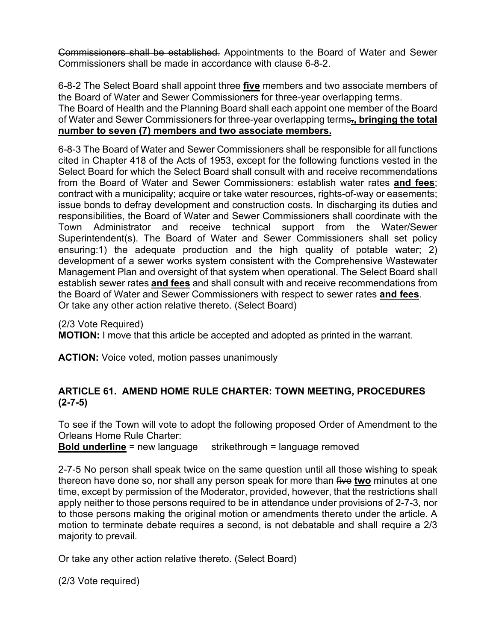Commissioners shall be established. Appointments to the Board of Water and Sewer Commissioners shall be made in accordance with clause 6-8-2.

6-8-2 The Select Board shall appoint three **five** members and two associate members of the Board of Water and Sewer Commissioners for three-year overlapping terms.

The Board of Health and the Planning Board shall each appoint one member of the Board of Water and Sewer Commissioners for three-year overlapping terms**., bringing the total number to seven (7) members and two associate members.**

6-8-3 The Board of Water and Sewer Commissioners shall be responsible for all functions cited in Chapter 418 of the Acts of 1953, except for the following functions vested in the Select Board for which the Select Board shall consult with and receive recommendations from the Board of Water and Sewer Commissioners: establish water rates **and fees**; contract with a municipality; acquire or take water resources, rights-of-way or easements; issue bonds to defray development and construction costs. In discharging its duties and responsibilities, the Board of Water and Sewer Commissioners shall coordinate with the Town Administrator and receive technical support from the Water/Sewer Superintendent(s). The Board of Water and Sewer Commissioners shall set policy ensuring:1) the adequate production and the high quality of potable water; 2) development of a sewer works system consistent with the Comprehensive Wastewater Management Plan and oversight of that system when operational. The Select Board shall establish sewer rates **and fees** and shall consult with and receive recommendations from the Board of Water and Sewer Commissioners with respect to sewer rates **and fees**. Or take any other action relative thereto. (Select Board)

(2/3 Vote Required)

**MOTION:** I move that this article be accepted and adopted as printed in the warrant.

**ACTION:** Voice voted, motion passes unanimously

### **ARTICLE 61. AMEND HOME RULE CHARTER: TOWN MEETING, PROCEDURES (2-7-5)**

To see if the Town will vote to adopt the following proposed Order of Amendment to the Orleans Home Rule Charter:

**Bold underline** = new language strikethrough = language removed

2-7-5 No person shall speak twice on the same question until all those wishing to speak thereon have done so, nor shall any person speak for more than five **two** minutes at one time, except by permission of the Moderator, provided, however, that the restrictions shall apply neither to those persons required to be in attendance under provisions of 2-7-3, nor to those persons making the original motion or amendments thereto under the article. A motion to terminate debate requires a second, is not debatable and shall require a 2/3 majority to prevail.

Or take any other action relative thereto. (Select Board)

(2/3 Vote required)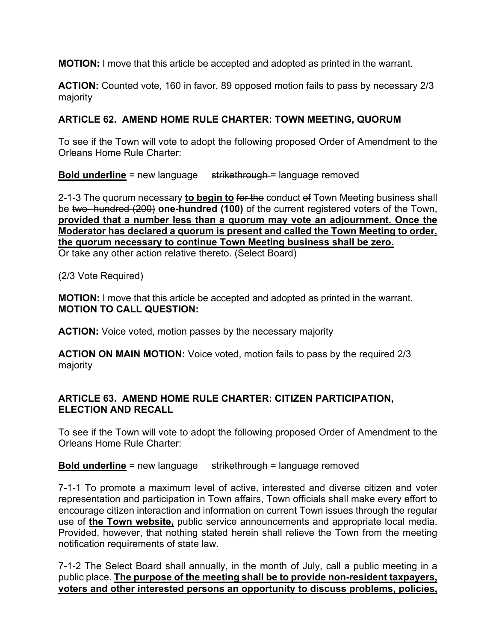**MOTION:** I move that this article be accepted and adopted as printed in the warrant.

**ACTION:** Counted vote, 160 in favor, 89 opposed motion fails to pass by necessary 2/3 majority

## **ARTICLE 62. AMEND HOME RULE CHARTER: TOWN MEETING, QUORUM**

To see if the Town will vote to adopt the following proposed Order of Amendment to the Orleans Home Rule Charter:

**Bold underline** = new language strikethrough = language removed

2-1-3 The quorum necessary **to begin to** for the conduct of Town Meeting business shall be two- hundred (200) **one-hundred (100)** of the current registered voters of the Town, **provided that a number less than a quorum may vote an adjournment. Once the Moderator has declared a quorum is present and called the Town Meeting to order, the quorum necessary to continue Town Meeting business shall be zero.** Or take any other action relative thereto. (Select Board)

(2/3 Vote Required)

**MOTION:** I move that this article be accepted and adopted as printed in the warrant. **MOTION TO CALL QUESTION:**

**ACTION:** Voice voted, motion passes by the necessary majority

**ACTION ON MAIN MOTION:** Voice voted, motion fails to pass by the required 2/3 majority

## **ARTICLE 63. AMEND HOME RULE CHARTER: CITIZEN PARTICIPATION, ELECTION AND RECALL**

To see if the Town will vote to adopt the following proposed Order of Amendment to the Orleans Home Rule Charter:

**Bold underline** = new language strikethrough = language removed

7-1-1 To promote a maximum level of active, interested and diverse citizen and voter representation and participation in Town affairs, Town officials shall make every effort to encourage citizen interaction and information on current Town issues through the regular use of **the Town website,** public service announcements and appropriate local media. Provided, however, that nothing stated herein shall relieve the Town from the meeting notification requirements of state law.

7-1-2 The Select Board shall annually, in the month of July, call a public meeting in a public place. **The purpose of the meeting shall be to provide non-resident taxpayers, voters and other interested persons an opportunity to discuss problems, policies,**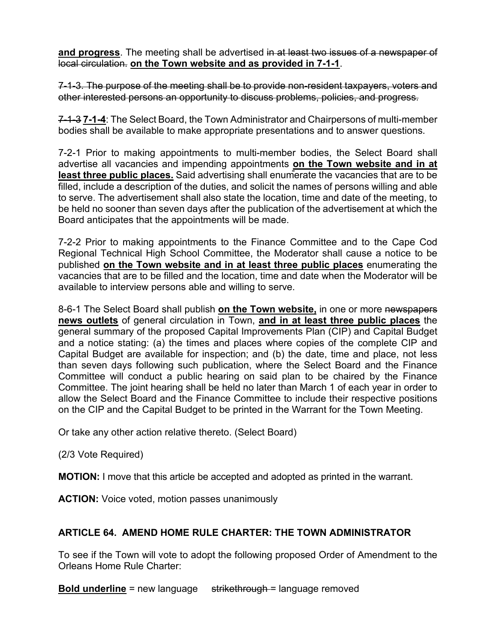**and progress**. The meeting shall be advertised in at least two issues of a newspaper of local circulation. **on the Town website and as provided in 7-1-1**.

7-1-3. The purpose of the meeting shall be to provide non-resident taxpayers, voters and other interested persons an opportunity to discuss problems, policies, and progress.

7-1-3 **7-1-4**: The Select Board, the Town Administrator and Chairpersons of multi-member bodies shall be available to make appropriate presentations and to answer questions.

7-2-1 Prior to making appointments to multi-member bodies, the Select Board shall advertise all vacancies and impending appointments **on the Town website and in at least three public places.** Said advertising shall enumerate the vacancies that are to be filled, include a description of the duties, and solicit the names of persons willing and able to serve. The advertisement shall also state the location, time and date of the meeting, to be held no sooner than seven days after the publication of the advertisement at which the Board anticipates that the appointments will be made.

7-2-2 Prior to making appointments to the Finance Committee and to the Cape Cod Regional Technical High School Committee, the Moderator shall cause a notice to be published **on the Town website and in at least three public places** enumerating the vacancies that are to be filled and the location, time and date when the Moderator will be available to interview persons able and willing to serve.

8-6-1 The Select Board shall publish **on the Town website,** in one or more newspapers **news outlets** of general circulation in Town, **and in at least three public places** the general summary of the proposed Capital Improvements Plan (CIP) and Capital Budget and a notice stating: (a) the times and places where copies of the complete CIP and Capital Budget are available for inspection; and (b) the date, time and place, not less than seven days following such publication, where the Select Board and the Finance Committee will conduct a public hearing on said plan to be chaired by the Finance Committee. The joint hearing shall be held no later than March 1 of each year in order to allow the Select Board and the Finance Committee to include their respective positions on the CIP and the Capital Budget to be printed in the Warrant for the Town Meeting.

Or take any other action relative thereto. (Select Board)

(2/3 Vote Required)

**MOTION:** I move that this article be accepted and adopted as printed in the warrant.

**ACTION:** Voice voted, motion passes unanimously

## **ARTICLE 64. AMEND HOME RULE CHARTER: THE TOWN ADMINISTRATOR**

To see if the Town will vote to adopt the following proposed Order of Amendment to the Orleans Home Rule Charter:

**Bold underline** = new language strikethrough = language removed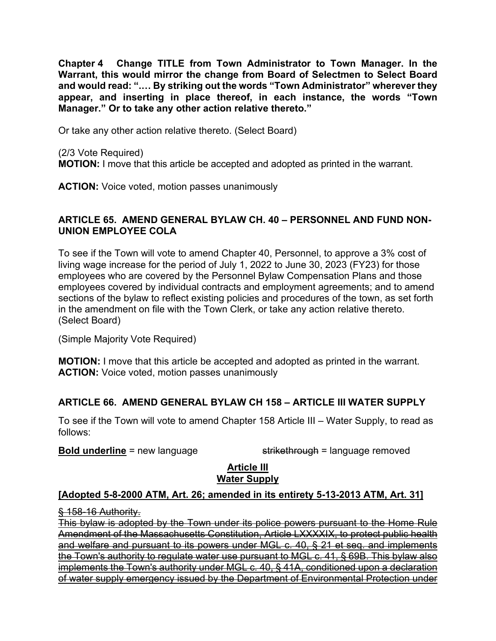**Chapter 4 Change TITLE from Town Administrator to Town Manager. In the Warrant, this would mirror the change from Board of Selectmen to Select Board and would read: ".… By striking out the words "Town Administrator" wherever they appear, and inserting in place thereof, in each instance, the words "Town Manager." Or to take any other action relative thereto."**

Or take any other action relative thereto. (Select Board)

(2/3 Vote Required) **MOTION:** I move that this article be accepted and adopted as printed in the warrant.

**ACTION:** Voice voted, motion passes unanimously

### **ARTICLE 65. AMEND GENERAL BYLAW CH. 40 – PERSONNEL AND FUND NON-UNION EMPLOYEE COLA**

To see if the Town will vote to amend Chapter 40, Personnel, to approve a 3% cost of living wage increase for the period of July 1, 2022 to June 30, 2023 (FY23) for those employees who are covered by the Personnel Bylaw Compensation Plans and those employees covered by individual contracts and employment agreements; and to amend sections of the bylaw to reflect existing policies and procedures of the town, as set forth in the amendment on file with the Town Clerk, or take any action relative thereto. (Select Board)

(Simple Majority Vote Required)

**MOTION:** I move that this article be accepted and adopted as printed in the warrant. **ACTION:** Voice voted, motion passes unanimously

# **ARTICLE 66. AMEND GENERAL BYLAW CH 158 – ARTICLE III WATER SUPPLY**

To see if the Town will vote to amend Chapter 158 Article III – Water Supply, to read as follows:

**Bold underline** = new language strikethrough = language removed

#### **Article III Water Supply**

## **[Adopted 5-8-2000 ATM, Art. 26; amended in its entirety 5-13-2013 ATM, Art. 31]**

§ 158-16 Authority.

This bylaw is adopted by the Town under its police powers pursuant to the Home Rule Amendment of the Massachusetts Constitution, Article LXXXXIX, to protect public health and welfare and pursuant to its powers under MGL c. 40, § 21 et seq. and implements the Town's authority to regulate water use pursuant to MGL c. 41, § 69B. This bylaw also implements the Town's authority under MGL c. 40, § 41A, conditioned upon a declaration of water supply emergency issued by the Department of Environmental Protection under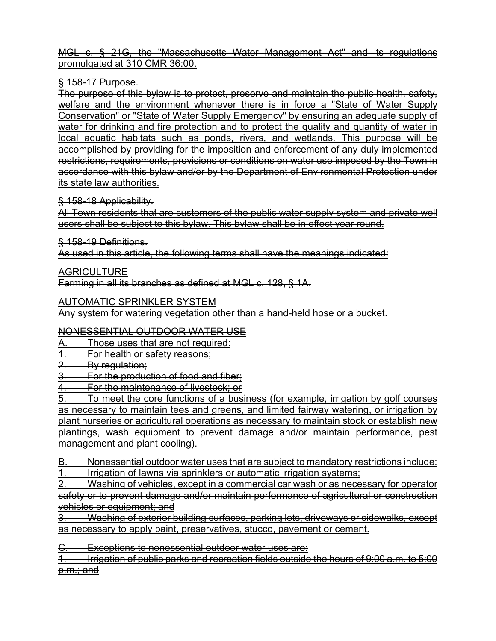MGL c. § 21G, the "Massachusetts Water Management Act" and its regulations promulgated at 310 CMR 36:00.

## § 158-17 Purpose.

The purpose of this bylaw is to protect, preserve and maintain the public health, safety, welfare and the environment whenever there is in force a "State of Water Supply Conservation" or "State of Water Supply Emergency" by ensuring an adequate supply of water for drinking and fire protection and to protect the quality and quantity of water in local aquatic habitats such as ponds, rivers, and wetlands. This purpose will be accomplished by providing for the imposition and enforcement of any duly implemented restrictions, requirements, provisions or conditions on water use imposed by the Town in accordance with this bylaw and/or by the Department of Environmental Protection under its state law authorities.

§ 158-18 Applicability.

All Town residents that are customers of the public water supply system and private well users shall be subject to this bylaw. This bylaw shall be in effect year round.

§ 158-19 Definitions.

As used in this article, the following terms shall have the meanings indicated:

AGRICULTURE

Farming in all its branches as defined at MGL c. 128, § 1A.

AUTOMATIC SPRINKLER SYSTEM

Any system for watering vegetation other than a hand-held hose or a bucket.

## NONESSENTIAL OUTDOOR WATER USE

Those uses that are not required:

For health or safety reasons;

By regulation:

3. For the production of food and fiber;

For the maintenance of livestock: or

5. To meet the core functions of a business (for example, irrigation by golf courses as necessary to maintain tees and greens, and limited fairway watering, or irrigation by plant nurseries or agricultural operations as necessary to maintain stock or establish new plantings, wash equipment to prevent damage and/or maintain performance, pest management and plant cooling).

B. Nonessential outdoor water uses that are subject to mandatory restrictions include:

1. Irrigation of lawns via sprinklers or automatic irrigation systems;

2. Washing of vehicles, except in a commercial car wash or as necessary for operator safety or to prevent damage and/or maintain performance of agricultural or construction vehicles or equipment; and

Washing of exterior building surfaces, parking lots, driveways or sidewalks, except as necessary to apply paint, preservatives, stucco, pavement or cement.

Exceptions to nonessential outdoor water uses are:

1. Irrigation of public parks and recreation fields outside the hours of 9:00 a.m. to 5:00 p.m.; and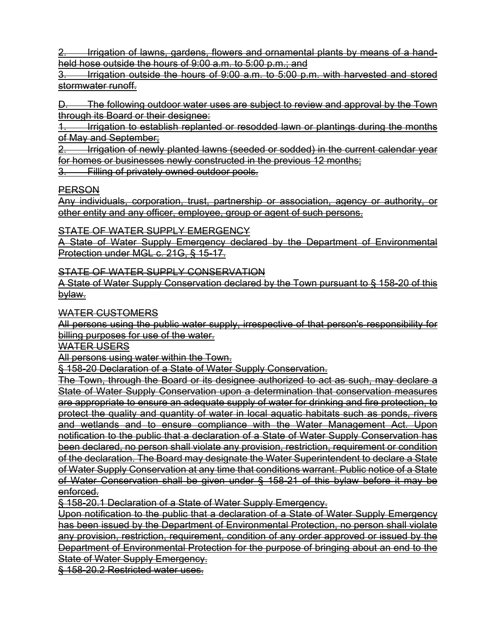2. Irrigation of lawns, gardens, flowers and ornamental plants by means of a handheld hose outside the hours of 9:00 a.m. to 5:00 p.m.; and

Irrigation outside the hours of 9:00 a.m. to 5:00 p.m. with harvested and stored stormwater runoff.

The following outdoor water uses are subject to review and approval by the Town through its Board or their designee:

1. Irrigation to establish replanted or resodded lawn or plantings during the months of May and September;

2. Irrigation of newly planted lawns (seeded or sodded) in the current calendar year for homes or businesses newly constructed in the previous 12 months;

Filling of privately owned outdoor pools.

#### PERSON

Any individuals, corporation, trust, partnership or association, agency or authority, or other entity and any officer, employee, group or agent of such persons.

STATE OF WATER SUPPLY EMERGENCY

A State of Water Supply Emergency declared by the Department of Environmental Protection under MGL c. 21G, § 15-17.

STATE OF WATER SUPPLY CONSERVATION

A State of Water Supply Conservation declared by the Town pursuant to § 158-20 of this bylaw.

WATER CUSTOMERS

All persons using the public water supply, irrespective of that person's responsibility for billing purposes for use of the water.

WATER USERS

All persons using water within the Town.

§ 158-20 Declaration of a State of Water Supply Conservation.

The Town, through the Board or its designee authorized to act as such, may declare a State of Water Supply Conservation upon a determination that conservation measures are appropriate to ensure an adequate supply of water for drinking and fire protection, to protect the quality and quantity of water in local aquatic habitats such as ponds, rivers and wetlands and to ensure compliance with the Water Management Act. Upon notification to the public that a declaration of a State of Water Supply Conservation has been declared, no person shall violate any provision, restriction, requirement or condition of the declaration. The Board may designate the Water Superintendent to declare a State of Water Supply Conservation at any time that conditions warrant. Public notice of a State of Water Conservation shall be given under § 158-21 of this bylaw before it may be enforced.

§ 158-20.1 Declaration of a State of Water Supply Emergency.

Upon notification to the public that a declaration of a State of Water Supply Emergency has been issued by the Department of Environmental Protection, no person shall violate any provision, restriction, requirement, condition of any order approved or issued by the Department of Environmental Protection for the purpose of bringing about an end to the State of Water Supply Emergency.

§ 158-20.2 Restricted water uses.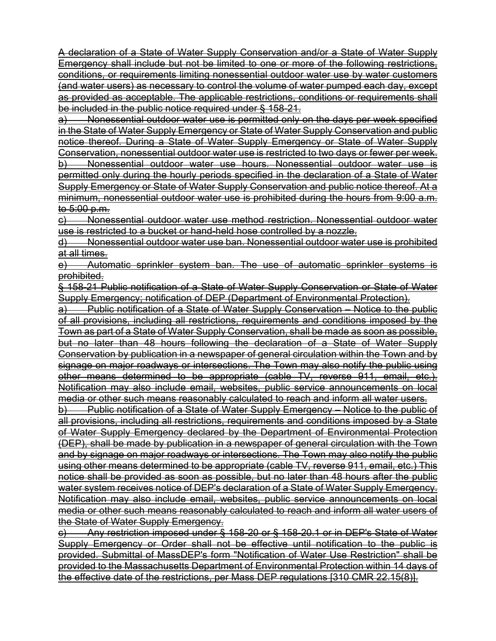A declaration of a State of Water Supply Conservation and/or a State of Water Supply Emergency shall include but not be limited to one or more of the following restrictions, conditions, or requirements limiting nonessential outdoor water use by water customers (and water users) as necessary to control the volume of water pumped each day, except as provided as acceptable. The applicable restrictions, conditions or requirements shall be included in the public notice required under § 158-21.

a) Nonessential outdoor water use is permitted only on the days per week specified in the State of Water Supply Emergency or State of Water Supply Conservation and public notice thereof. During a State of Water Supply Emergency or State of Water Supply Conservation, nonessential outdoor water use is restricted to two days or fewer per week. b) Nonessential outdoor water use hours. Nonessential outdoor water use is permitted only during the hourly periods specified in the declaration of a State of Water Supply Emergency or State of Water Supply Conservation and public notice thereof. At a minimum, nonessential outdoor water use is prohibited during the hours from 9:00 a.m. to 5:00 p.m.

c) Nonessential outdoor water use method restriction. Nonessential outdoor water use is restricted to a bucket or hand-held hose controlled by a nozzle.

d) Nonessential outdoor water use ban. Nonessential outdoor water use is prohibited at all times.

e) Automatic sprinkler system ban. The use of automatic sprinkler systems is prohibited.

§ 158-21 Public notification of a State of Water Supply Conservation or State of Water Supply Emergency; notification of DEP (Department of Environmental Protection).

a) Public notification of a State of Water Supply Conservation – Notice to the public of all provisions, including all restrictions, requirements and conditions imposed by the Town as part of a State of Water Supply Conservation, shall be made as soon as possible, but no later than 48 hours following the declaration of a State of Water Supply Conservation by publication in a newspaper of general circulation within the Town and by signage on major roadways or intersections. The Town may also notify the public using other means determined to be appropriate (cable TV, reverse 911, email, etc.). Notification may also include email, websites, public service announcements on local media or other such means reasonably calculated to reach and inform all water users.

b) Public notification of a State of Water Supply Emergency – Notice to the public of all provisions, including all restrictions, requirements and conditions imposed by a State of Water Supply Emergency declared by the Department of Environmental Protection (DEP), shall be made by publication in a newspaper of general circulation with the Town and by signage on major roadways or intersections. The Town may also notify the public using other means determined to be appropriate (cable TV, reverse 911, email, etc.) This notice shall be provided as soon as possible, but no later than 48 hours after the public water system receives notice of DEP's declaration of a State of Water Supply Emergency. Notification may also include email, websites, public service announcements on local media or other such means reasonably calculated to reach and inform all water users of the State of Water Supply Emergency.

c) Any restriction imposed under § 158-20 or § 158-20.1 or in DEP's State of Water Supply Emergency or Order shall not be effective until notification to the public is provided. Submittal of MassDEP's form "Notification of Water Use Restriction" shall be provided to the Massachusetts Department of Environmental Protection within 14 days of the effective date of the restrictions, per Mass DEP regulations [310 CMR 22.15(8)].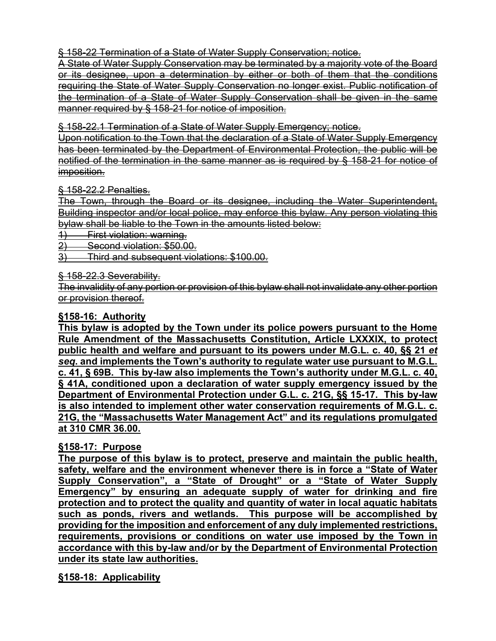§ 158-22 Termination of a State of Water Supply Conservation; notice.

A State of Water Supply Conservation may be terminated by a majority vote of the Board or its designee, upon a determination by either or both of them that the conditions requiring the State of Water Supply Conservation no longer exist. Public notification of the termination of a State of Water Supply Conservation shall be given in the same manner required by § 158-21 for notice of imposition.

§ 158-22.1 Termination of a State of Water Supply Emergency; notice.

Upon notification to the Town that the declaration of a State of Water Supply Emergency has been terminated by the Department of Environmental Protection, the public will be notified of the termination in the same manner as is required by § 158-21 for notice of imposition.

§ 158-22.2 Penalties.

The Town, through the Board or its designee, including the Water Superintendent, Building inspector and/or local police, may enforce this bylaw. Any person violating this bylaw shall be liable to the Town in the amounts listed below:

1) First violation: warning.

2) Second violation: \$50.00.

3) Third and subsequent violations: \$100.00.

§ 158-22.3 Severability.

The invalidity of any portion or provision of this bylaw shall not invalidate any other portion or provision thereof.

#### **§158-16: Authority**

**This bylaw is adopted by the Town under its police powers pursuant to the Home Rule Amendment of the Massachusetts Constitution, Article LXXXIX, to protect public health and welfare and pursuant to its powers under M.G.L. c. 40, §§ 21** *et seq***. and implements the Town's authority to regulate water use pursuant to M.G.L. c. 41, § 69B. This by-law also implements the Town's authority under M.G.L. c. 40, § 41A, conditioned upon a declaration of water supply emergency issued by the Department of Environmental Protection under G.L. c. 21G, §§ 15-17. This by-law is also intended to implement other water conservation requirements of M.G.L. c. 21G, the "Massachusetts Water Management Act" and its regulations promulgated at 310 CMR 36.00.** 

#### **§158-17: Purpose**

**The purpose of this bylaw is to protect, preserve and maintain the public health, safety, welfare and the environment whenever there is in force a "State of Water Supply Conservation", a "State of Drought" or a "State of Water Supply Emergency" by ensuring an adequate supply of water for drinking and fire protection and to protect the quality and quantity of water in local aquatic habitats such as ponds, rivers and wetlands. This purpose will be accomplished by providing for the imposition and enforcement of any duly implemented restrictions, requirements, provisions or conditions on water use imposed by the Town in accordance with this by-law and/or by the Department of Environmental Protection under its state law authorities.**

**§158-18: Applicability**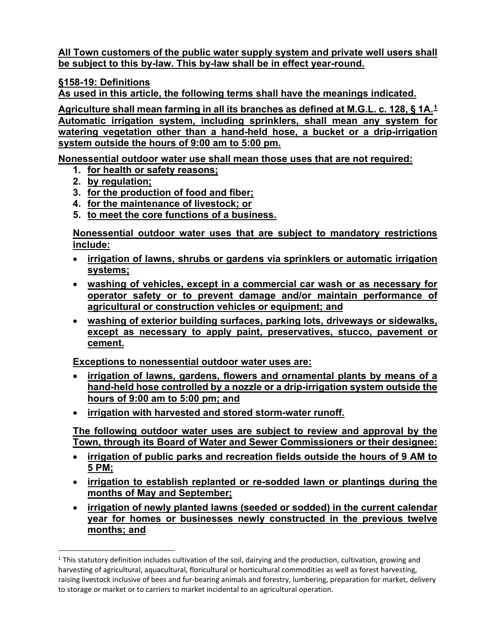**All Town customers of the public water supply system and private well users shall be subject to this by-law. This by-law shall be in effect year-round.**

**§158-19: Definitions**

**As used in this article, the following terms shall have the meanings indicated.**

**Agriculture shall mean farming in all its branches as defined at M.G.L. c. 128, § 1A.[1](#page-61-0) Automatic irrigation system, including sprinklers, shall mean any system for watering vegetation other than a hand-held hose, a bucket or a drip-irrigation system outside the hours of 9:00 am to 5:00 pm.**

**Nonessential outdoor water use shall mean those uses that are not required:** 

- **1. for health or safety reasons;**
- **2. by regulation;**
- **3. for the production of food and fiber;**
- **4. for the maintenance of livestock; or**
- **5. to meet the core functions of a business.**

**Nonessential outdoor water uses that are subject to mandatory restrictions include:**

- **irrigation of lawns, shrubs or gardens via sprinklers or automatic irrigation systems;**
- **washing of vehicles, except in a commercial car wash or as necessary for operator safety or to prevent damage and/or maintain performance of agricultural or construction vehicles or equipment; and**
- **washing of exterior building surfaces, parking lots, driveways or sidewalks, except as necessary to apply paint, preservatives, stucco, pavement or cement.**

**Exceptions to nonessential outdoor water uses are:** 

- **irrigation of lawns, gardens, flowers and ornamental plants by means of a hand-held hose controlled by a nozzle or a drip-irrigation system outside the hours of 9:00 am to 5:00 pm; and**
- **irrigation with harvested and stored storm-water runoff.**

**The following outdoor water uses are subject to review and approval by the Town, through its Board of Water and Sewer Commissioners or their designee:**

- **irrigation of public parks and recreation fields outside the hours of 9 AM to 5 PM;**
- **irrigation to establish replanted or re-sodded lawn or plantings during the months of May and September;**
- **irrigation of newly planted lawns (seeded or sodded) in the current calendar year for homes or businesses newly constructed in the previous twelve months; and**

<span id="page-61-0"></span> $1$  This statutory definition includes cultivation of the soil, dairying and the production, cultivation, growing and harvesting of agricultural, aquacultural, floricultural or horticultural commodities as well as forest harvesting, raising livestock inclusive of bees and fur-bearing animals and forestry, lumbering, preparation for market, delivery to storage or market or to carriers to market incidental to an agricultural operation.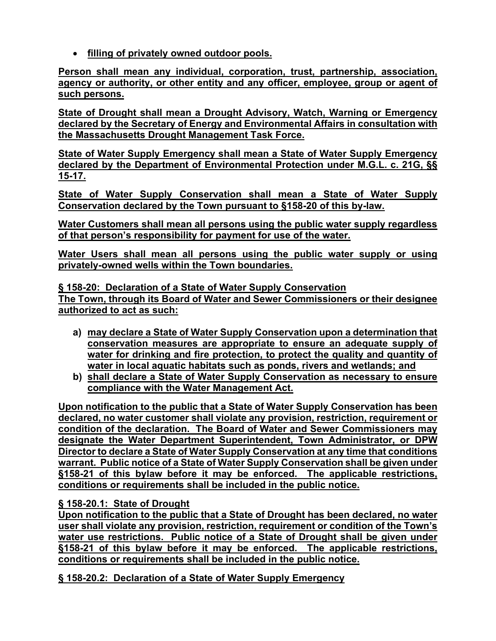• **filling of privately owned outdoor pools.**

**Person shall mean any individual, corporation, trust, partnership, association, agency or authority, or other entity and any officer, employee, group or agent of such persons.**

**State of Drought shall mean a Drought Advisory, Watch, Warning or Emergency declared by the Secretary of Energy and Environmental Affairs in consultation with the Massachusetts Drought Management Task Force.**

**State of Water Supply Emergency shall mean a State of Water Supply Emergency declared by the Department of Environmental Protection under M.G.L. c. 21G, §§ 15-17.** 

**State of Water Supply Conservation shall mean a State of Water Supply Conservation declared by the Town pursuant to §158-20 of this by-law.** 

**Water Customers shall mean all persons using the public water supply regardless of that person's responsibility for payment for use of the water.**

**Water Users shall mean all persons using the public water supply or using privately-owned wells within the Town boundaries.**

**§ 158-20: Declaration of a State of Water Supply Conservation The Town, through its Board of Water and Sewer Commissioners or their designee authorized to act as such:** 

- **a) may declare a State of Water Supply Conservation upon a determination that conservation measures are appropriate to ensure an adequate supply of water for drinking and fire protection, to protect the quality and quantity of water in local aquatic habitats such as ponds, rivers and wetlands; and**
- **b) shall declare a State of Water Supply Conservation as necessary to ensure compliance with the Water Management Act.**

**Upon notification to the public that a State of Water Supply Conservation has been declared, no water customer shall violate any provision, restriction, requirement or condition of the declaration. The Board of Water and Sewer Commissioners may designate the Water Department Superintendent, Town Administrator, or DPW Director to declare a State of Water Supply Conservation at any time that conditions warrant. Public notice of a State of Water Supply Conservation shall be given under §158-21 of this bylaw before it may be enforced. The applicable restrictions, conditions or requirements shall be included in the public notice.**

## **§ 158-20.1: State of Drought**

**Upon notification to the public that a State of Drought has been declared, no water user shall violate any provision, restriction, requirement or condition of the Town's water use restrictions. Public notice of a State of Drought shall be given under §158-21 of this bylaw before it may be enforced. The applicable restrictions, conditions or requirements shall be included in the public notice.**

**§ 158-20.2: Declaration of a State of Water Supply Emergency**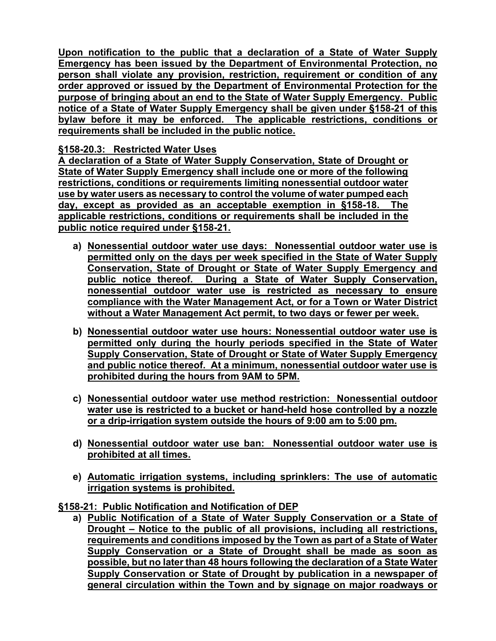**Upon notification to the public that a declaration of a State of Water Supply Emergency has been issued by the Department of Environmental Protection, no person shall violate any provision, restriction, requirement or condition of any order approved or issued by the Department of Environmental Protection for the purpose of bringing about an end to the State of Water Supply Emergency. Public notice of a State of Water Supply Emergency shall be given under §158-21 of this bylaw before it may be enforced. The applicable restrictions, conditions or requirements shall be included in the public notice.** 

## **§158-20.3: Restricted Water Uses**

**A declaration of a State of Water Supply Conservation, State of Drought or State of Water Supply Emergency shall include one or more of the following restrictions, conditions or requirements limiting nonessential outdoor water use by water users as necessary to control the volume of water pumped each day, except as provided as an acceptable exemption in §158-18. The applicable restrictions, conditions or requirements shall be included in the public notice required under §158-21.** 

- **a) Nonessential outdoor water use days: Nonessential outdoor water use is permitted only on the days per week specified in the State of Water Supply Conservation, State of Drought or State of Water Supply Emergency and public notice thereof. During a State of Water Supply Conservation, nonessential outdoor water use is restricted as necessary to ensure compliance with the Water Management Act, or for a Town or Water District without a Water Management Act permit, to two days or fewer per week.**
- **b) Nonessential outdoor water use hours: Nonessential outdoor water use is permitted only during the hourly periods specified in the State of Water Supply Conservation, State of Drought or State of Water Supply Emergency and public notice thereof. At a minimum, nonessential outdoor water use is prohibited during the hours from 9AM to 5PM.**
- **c) Nonessential outdoor water use method restriction: Nonessential outdoor water use is restricted to a bucket or hand-held hose controlled by a nozzle or a drip-irrigation system outside the hours of 9:00 am to 5:00 pm.**
- **d) Nonessential outdoor water use ban: Nonessential outdoor water use is prohibited at all times.**
- **e) Automatic irrigation systems, including sprinklers: The use of automatic irrigation systems is prohibited.**
- **§158-21: Public Notification and Notification of DEP**
	- **a) Public Notification of a State of Water Supply Conservation or a State of Drought – Notice to the public of all provisions, including all restrictions, requirements and conditions imposed by the Town as part of a State of Water Supply Conservation or a State of Drought shall be made as soon as possible, but no later than 48 hours following the declaration of a State Water Supply Conservation or State of Drought by publication in a newspaper of general circulation within the Town and by signage on major roadways or**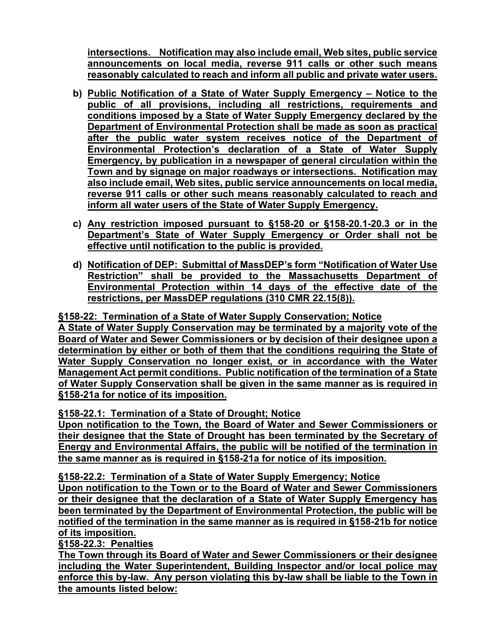**intersections. Notification may also include email, Web sites, public service announcements on local media, reverse 911 calls or other such means reasonably calculated to reach and inform all public and private water users.**

- **b) Public Notification of a State of Water Supply Emergency – Notice to the public of all provisions, including all restrictions, requirements and conditions imposed by a State of Water Supply Emergency declared by the Department of Environmental Protection shall be made as soon as practical after the public water system receives notice of the Department of Environmental Protection's declaration of a State of Water Supply Emergency, by publication in a newspaper of general circulation within the Town and by signage on major roadways or intersections. Notification may also include email, Web sites, public service announcements on local media, reverse 911 calls or other such means reasonably calculated to reach and inform all water users of the State of Water Supply Emergency.**
- **c) Any restriction imposed pursuant to §158-20 or §158-20.1-20.3 or in the Department's State of Water Supply Emergency or Order shall not be effective until notification to the public is provided.**
- **d) Notification of DEP: Submittal of MassDEP's form "Notification of Water Use Restriction" shall be provided to the Massachusetts Department of Environmental Protection within 14 days of the effective date of the restrictions, per MassDEP regulations (310 CMR 22.15(8)).**

**§158-22: Termination of a State of Water Supply Conservation; Notice A State of Water Supply Conservation may be terminated by a majority vote of the Board of Water and Sewer Commissioners or by decision of their designee upon a determination by either or both of them that the conditions requiring the State of Water Supply Conservation no longer exist, or in accordance with the Water Management Act permit conditions. Public notification of the termination of a State of Water Supply Conservation shall be given in the same manner as is required in §158-21a for notice of its imposition.**

**§158-22.1: Termination of a State of Drought; Notice**

**Upon notification to the Town, the Board of Water and Sewer Commissioners or their designee that the State of Drought has been terminated by the Secretary of Energy and Environmental Affairs, the public will be notified of the termination in the same manner as is required in §158-21a for notice of its imposition.**

**§158-22.2: Termination of a State of Water Supply Emergency; Notice Upon notification to the Town or to the Board of Water and Sewer Commissioners or their designee that the declaration of a State of Water Supply Emergency has been terminated by the Department of Environmental Protection, the public will be** 

**notified of the termination in the same manner as is required in §158-21b for notice of its imposition.**

**§158-22.3: Penalties**

**The Town through its Board of Water and Sewer Commissioners or their designee including the Water Superintendent, Building Inspector and/or local police may enforce this by-law. Any person violating this by-law shall be liable to the Town in the amounts listed below:**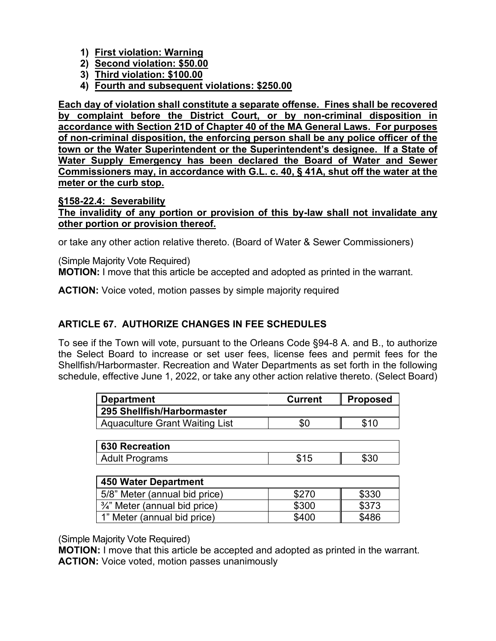- **1) First violation: Warning**
- **2) Second violation: \$50.00**
- **3) Third violation: \$100.00**
- **4) Fourth and subsequent violations: \$250.00**

**Each day of violation shall constitute a separate offense. Fines shall be recovered by complaint before the District Court, or by non-criminal disposition in accordance with Section 21D of Chapter 40 of the MA General Laws. For purposes of non-criminal disposition, the enforcing person shall be any police officer of the town or the Water Superintendent or the Superintendent's designee. If a State of Water Supply Emergency has been declared the Board of Water and Sewer Commissioners may, in accordance with G.L. c. 40, § 41A, shut off the water at the meter or the curb stop.**

#### **§158-22.4: Severability**

**The invalidity of any portion or provision of this by-law shall not invalidate any other portion or provision thereof.**

or take any other action relative thereto. (Board of Water & Sewer Commissioners)

(Simple Majority Vote Required) **MOTION:** I move that this article be accepted and adopted as printed in the warrant.

**ACTION:** Voice voted, motion passes by simple majority required

# **ARTICLE 67. AUTHORIZE CHANGES IN FEE SCHEDULES**

To see if the Town will vote, pursuant to the Orleans Code §94-8 A. and B., to authorize the Select Board to increase or set user fees, license fees and permit fees for the Shellfish/Harbormaster. Recreation and Water Departments as set forth in the following schedule, effective June 1, 2022, or take any other action relative thereto. (Select Board)

| <b>Department</b>                     | <b>Current</b> | <b>Proposed</b> |
|---------------------------------------|----------------|-----------------|
| 295 Shellfish/Harbormaster            |                |                 |
| <b>Aquaculture Grant Waiting List</b> | \$0            | <b>C</b> 1 N    |

| 630 Recreation        |  |
|-----------------------|--|
| <b>Adult Programs</b> |  |

| 450 Water Department                     |       |       |  |  |  |
|------------------------------------------|-------|-------|--|--|--|
| 5/8" Meter (annual bid price)            | \$270 | \$330 |  |  |  |
| $\frac{3}{4}$ " Meter (annual bid price) | \$300 | \$373 |  |  |  |
| 1" Meter (annual bid price)              | \$400 | \$486 |  |  |  |

(Simple Majority Vote Required)

**MOTION:** I move that this article be accepted and adopted as printed in the warrant. **ACTION:** Voice voted, motion passes unanimously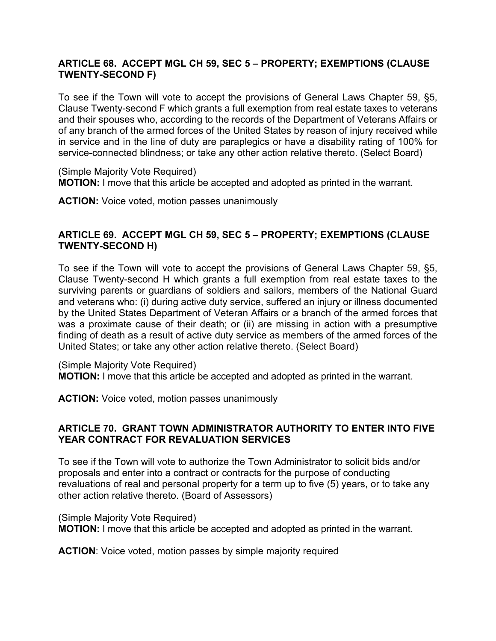## **ARTICLE 68. ACCEPT MGL CH 59, SEC 5 – PROPERTY; EXEMPTIONS (CLAUSE TWENTY-SECOND F)**

To see if the Town will vote to accept the provisions of General Laws Chapter 59, §5, Clause Twenty-second F which grants a full exemption from real estate taxes to veterans and their spouses who, according to the records of the Department of Veterans Affairs or of any branch of the armed forces of the United States by reason of injury received while in service and in the line of duty are paraplegics or have a disability rating of 100% for service-connected blindness; or take any other action relative thereto. (Select Board)

(Simple Majority Vote Required) **MOTION:** I move that this article be accepted and adopted as printed in the warrant.

**ACTION:** Voice voted, motion passes unanimously

### **ARTICLE 69. ACCEPT MGL CH 59, SEC 5 – PROPERTY; EXEMPTIONS (CLAUSE TWENTY-SECOND H)**

To see if the Town will vote to accept the provisions of General Laws Chapter 59, §5, Clause Twenty-second H which grants a full exemption from real estate taxes to the surviving parents or guardians of soldiers and sailors, members of the National Guard and veterans who: (i) during active duty service, suffered an injury or illness documented by the United States Department of Veteran Affairs or a branch of the armed forces that was a proximate cause of their death; or (ii) are missing in action with a presumptive finding of death as a result of active duty service as members of the armed forces of the United States; or take any other action relative thereto. (Select Board)

(Simple Majority Vote Required)

**MOTION:** I move that this article be accepted and adopted as printed in the warrant.

**ACTION:** Voice voted, motion passes unanimously

### **ARTICLE 70. GRANT TOWN ADMINISTRATOR AUTHORITY TO ENTER INTO FIVE YEAR CONTRACT FOR REVALUATION SERVICES**

To see if the Town will vote to authorize the Town Administrator to solicit bids and/or proposals and enter into a contract or contracts for the purpose of conducting revaluations of real and personal property for a term up to five (5) years, or to take any other action relative thereto. (Board of Assessors)

(Simple Majority Vote Required) **MOTION:** I move that this article be accepted and adopted as printed in the warrant.

**ACTION**: Voice voted, motion passes by simple majority required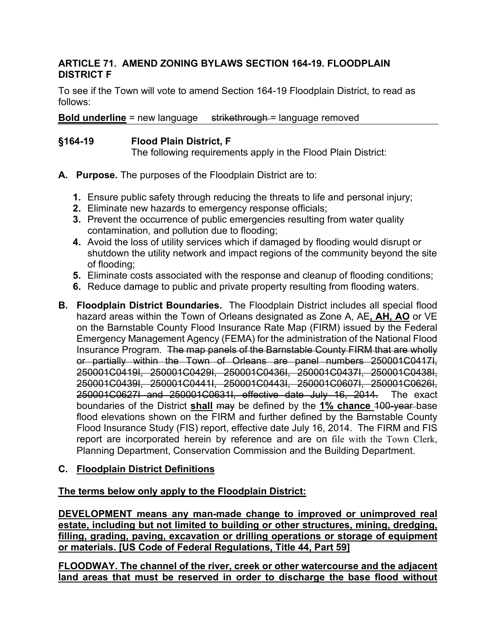## **ARTICLE 71. AMEND ZONING BYLAWS SECTION 164-19. FLOODPLAIN DISTRICT F**

To see if the Town will vote to amend Section 164-19 Floodplain District, to read as follows:

**Bold underline** = new language strikethrough = language removed

### **§164-19 Flood Plain District, F**

The following requirements apply in the Flood Plain District:

- **A. Purpose.** The purposes of the Floodplain District are to:
	- **1.** Ensure public safety through reducing the threats to life and personal injury;
	- **2.** Eliminate new hazards to emergency response officials;
	- **3.** Prevent the occurrence of public emergencies resulting from water quality contamination, and pollution due to flooding;
	- **4.** Avoid the loss of utility services which if damaged by flooding would disrupt or shutdown the utility network and impact regions of the community beyond the site of flooding;
	- **5.** Eliminate costs associated with the response and cleanup of flooding conditions;
	- **6.** Reduce damage to public and private property resulting from flooding waters.
- **B. Floodplain District Boundaries.** The Floodplain District includes all special flood hazard areas within the Town of Orleans designated as Zone A, AE**, AH, AO** or VE on the Barnstable County Flood Insurance Rate Map (FIRM) issued by the Federal Emergency Management Agency (FEMA) for the administration of the National Flood Insurance Program. The map panels of the Barnstable County FIRM that are wholly or partially within the Town of Orleans are panel numbers 250001C0417I, 250001C0419I, 250001C0429I, 250001C0436I, 250001C0437I, 250001C0438I, 250001C0439I, 250001C0441I, 250001C0443I, 250001C0607I, 250001C0626I, 250001C0627I and 250001C0631I, effective date July 16, 2014. The exact boundaries of the District **shall** may be defined by the **1% chance** 100-year base flood elevations shown on the FIRM and further defined by the Barnstable County Flood Insurance Study (FIS) report, effective date July 16, 2014. The FIRM and FIS report are incorporated herein by reference and are on file with the Town Clerk, Planning Department, Conservation Commission and the Building Department.

#### **C. Floodplain District Definitions**

#### **The terms below only apply to the Floodplain District:**

**DEVELOPMENT means any man-made change to improved or unimproved real estate, including but not limited to building or other structures, mining, dredging, filling, grading, paving, excavation or drilling operations or storage of equipment or materials. [US Code of Federal Regulations, Title 44, Part 59]**

**FLOODWAY. The channel of the river, creek or other watercourse and the adjacent land areas that must be reserved in order to discharge the base flood without**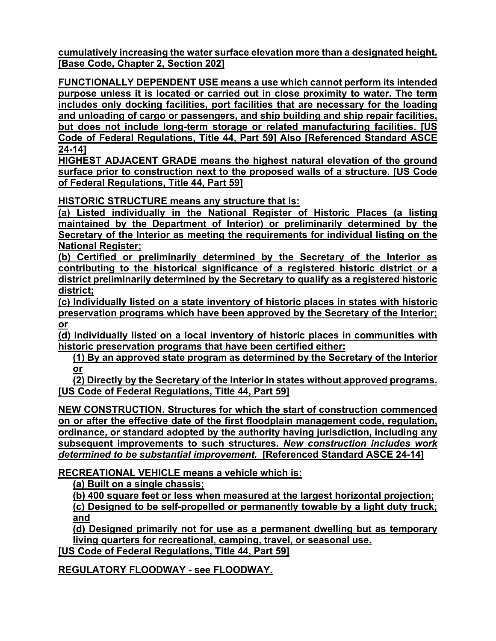**cumulatively increasing the water surface elevation more than a designated height. [Base Code, Chapter 2, Section 202]**

**FUNCTIONALLY DEPENDENT USE means a use which cannot perform its intended purpose unless it is located or carried out in close proximity to water. The term includes only docking facilities, port facilities that are necessary for the loading and unloading of cargo or passengers, and ship building and ship repair facilities, but does not include long-term storage or related manufacturing facilities. [US Code of Federal Regulations, Title 44, Part 59] Also [Referenced Standard ASCE 24-14]**

**HIGHEST ADJACENT GRADE means the highest natural elevation of the ground surface prior to construction next to the proposed walls of a structure. [US Code of Federal Regulations, Title 44, Part 59]**

**HISTORIC STRUCTURE means any structure that is:**

**(a) Listed individually in the National Register of Historic Places (a listing maintained by the Department of Interior) or preliminarily determined by the Secretary of the Interior as meeting the requirements for individual listing on the National Register;**

**(b) Certified or preliminarily determined by the Secretary of the Interior as contributing to the historical significance of a registered historic district or a district preliminarily determined by the Secretary to qualify as a registered historic district;**

**(c) Individually listed on a state inventory of historic places in states with historic preservation programs which have been approved by the Secretary of the Interior; or**

**(d) Individually listed on a local inventory of historic places in communities with historic preservation programs that have been certified either:**

**(1) By an approved state program as determined by the Secretary of the Interior or**

**(2) Directly by the Secretary of the Interior in states without approved programs. [US Code of Federal Regulations, Title 44, Part 59]**

**NEW CONSTRUCTION. Structures for which the start of construction commenced on or after the effective date of the first floodplain management code, regulation, ordinance, or standard adopted by the authority having jurisdiction, including any subsequent improvements to such structures.** *New construction includes work determined to be substantial improvement.* **[Referenced Standard ASCE 24-14]**

**RECREATIONAL VEHICLE means a vehicle which is:**

**(a) Built on a single chassis;**

**(b) 400 square feet or less when measured at the largest horizontal projection; (c) Designed to be self-propelled or permanently towable by a light duty truck; and**

**(d) Designed primarily not for use as a permanent dwelling but as temporary living quarters for recreational, camping, travel, or seasonal use.**

**[US Code of Federal Regulations, Title 44, Part 59]**

**REGULATORY FLOODWAY - see FLOODWAY.**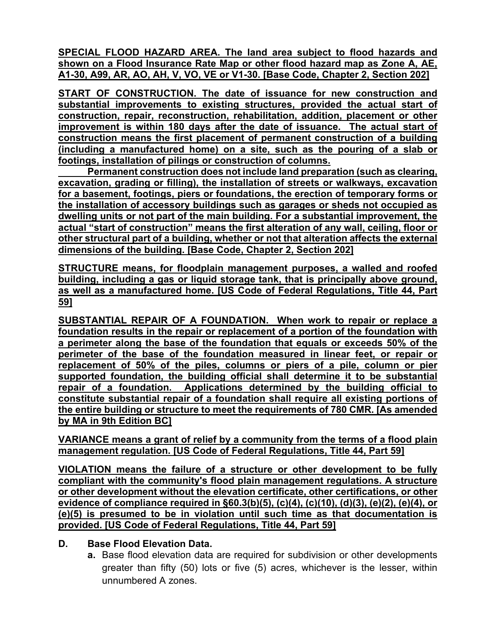**SPECIAL FLOOD HAZARD AREA. The land area subject to flood hazards and shown on a Flood Insurance Rate Map or other flood hazard map as Zone A, AE, A1-30, A99, AR, AO, AH, V, VO, VE or V1-30. [Base Code, Chapter 2, Section 202]**

**START OF CONSTRUCTION. The date of issuance for new construction and substantial improvements to existing structures, provided the actual start of construction, repair, reconstruction, rehabilitation, addition, placement or other improvement is within 180 days after the date of issuance. The actual start of construction means the first placement of permanent construction of a building (including a manufactured home) on a site, such as the pouring of a slab or footings, installation of pilings or construction of columns.**

**Permanent construction does not include land preparation (such as clearing, excavation, grading or filling), the installation of streets or walkways, excavation for a basement, footings, piers or foundations, the erection of temporary forms or the installation of accessory buildings such as garages or sheds not occupied as dwelling units or not part of the main building. For a substantial improvement, the actual "start of construction" means the first alteration of any wall, ceiling, floor or other structural part of a building, whether or not that alteration affects the external dimensions of the building. [Base Code, Chapter 2, Section 202]**

**STRUCTURE means, for floodplain management purposes, a walled and roofed building, including a gas or liquid storage tank, that is principally above ground, as well as a manufactured home. [US Code of Federal Regulations, Title 44, Part 59]**

**SUBSTANTIAL REPAIR OF A FOUNDATION. When work to repair or replace a foundation results in the repair or replacement of a portion of the foundation with a perimeter along the base of the foundation that equals or exceeds 50% of the perimeter of the base of the foundation measured in linear feet, or repair or replacement of 50% of the piles, columns or piers of a pile, column or pier supported foundation, the building official shall determine it to be substantial repair of a foundation. Applications determined by the building official to constitute substantial repair of a foundation shall require all existing portions of the entire building or structure to meet the requirements of 780 CMR. [As amended by MA in 9th Edition BC]**

**VARIANCE means a grant of relief by a community from the terms of a flood plain management regulation. [US Code of Federal Regulations, Title 44, Part 59]**

**VIOLATION means the failure of a structure or other development to be fully compliant with the community's flood plain management regulations. A structure or other development without the elevation certificate, other certifications, or other evidence of compliance required in §60.3(b)(5), (c)(4), (c)(10), (d)(3), (e)(2), (e)(4), or (e)(5) is presumed to be in violation until such time as that documentation is provided. [US Code of Federal Regulations, Title 44, Part 59]**

## **D. Base Flood Elevation Data.**

**a.** Base flood elevation data are required for subdivision or other developments greater than fifty (50) lots or five (5) acres, whichever is the lesser, within unnumbered A zones.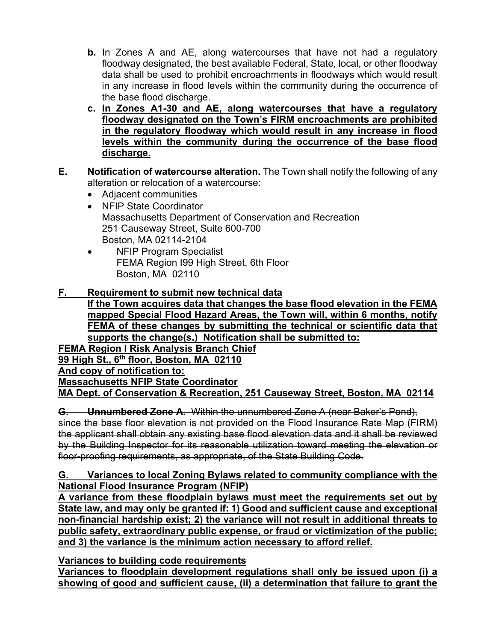- **b.** In Zones A and AE, along watercourses that have not had a regulatory floodway designated, the best available Federal, State, local, or other floodway data shall be used to prohibit encroachments in floodways which would result in any increase in flood levels within the community during the occurrence of the base flood discharge.
- **c. In Zones A1-30 and AE, along watercourses that have a regulatory floodway designated on the Town's FIRM encroachments are prohibited in the regulatory floodway which would result in any increase in flood levels within the community during the occurrence of the base flood discharge.**
- **E. Notification of watercourse alteration.** The Town shall notify the following of any alteration or relocation of a watercourse:
	- Adjacent communities
	- NFIP State Coordinator Massachusetts Department of Conservation and Recreation 251 Causeway Street, Suite 600-700 Boston, MA 02114-2104
	- NFIP Program Specialist FEMA Region I99 High Street, 6th Floor Boston, MA 02110

## **F. Requirement to submit new technical data**

**If the Town acquires data that changes the base flood elevation in the FEMA mapped Special Flood Hazard Areas, the Town will, within 6 months, notify FEMA of these changes by submitting the technical or scientific data that supports the change(s.) Notification shall be submitted to: FEMA Region I Risk Analysis Branch Chief 99 High St., 6th floor, Boston, MA 02110 And copy of notification to: Massachusetts NFIP State Coordinator**

**MA Dept. of Conservation & Recreation, 251 Causeway Street, Boston, MA 02114**

**G. Unnumbered Zone A.** Within the unnumbered Zone A (near Baker's Pond), since the base floor elevation is not provided on the Flood Insurance Rate Map (FIRM) the applicant shall obtain any existing base flood elevation data and it shall be reviewed by the Building Inspector for its reasonable utilization toward meeting the elevation or floor-proofing requirements, as appropriate, of the State Building Code.

### **G. Variances to local Zoning Bylaws related to community compliance with the National Flood Insurance Program (NFIP)**

**A variance from these floodplain bylaws must meet the requirements set out by State law, and may only be granted if: 1) Good and sufficient cause and exceptional non-financial hardship exist; 2) the variance will not result in additional threats to public safety, extraordinary public expense, or fraud or victimization of the public; and 3) the variance is the minimum action necessary to afford relief.**

**Variances to building code requirements**

**Variances to floodplain development regulations shall only be issued upon (i) a showing of good and sufficient cause, (ii) a determination that failure to grant the**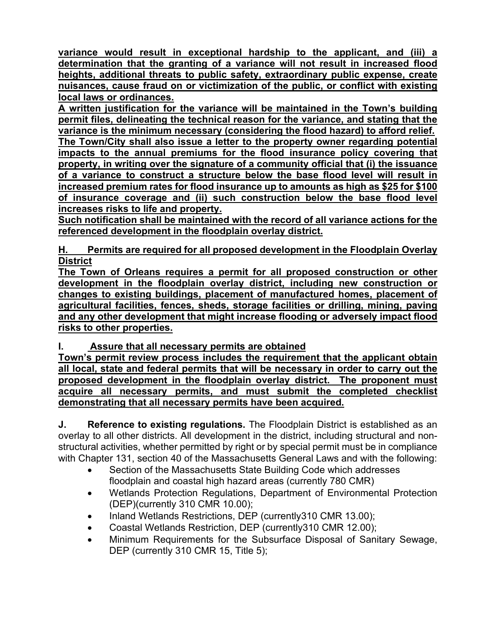**variance would result in exceptional hardship to the applicant, and (iii) a determination that the granting of a variance will not result in increased flood heights, additional threats to public safety, extraordinary public expense, create nuisances, cause fraud on or victimization of the public, or conflict with existing local laws or ordinances.**

**A written justification for the variance will be maintained in the Town's building permit files, delineating the technical reason for the variance, and stating that the variance is the minimum necessary (considering the flood hazard) to afford relief. The Town/City shall also issue a letter to the property owner regarding potential impacts to the annual premiums for the flood insurance policy covering that property, in writing over the signature of a community official that (i) the issuance of a variance to construct a structure below the base flood level will result in increased premium rates for flood insurance up to amounts as high as \$25 for \$100 of insurance coverage and (ii) such construction below the base flood level increases risks to life and property.** 

**Such notification shall be maintained with the record of all variance actions for the referenced development in the floodplain overlay district.**

**H. Permits are required for all proposed development in the Floodplain Overlay District**

**The Town of Orleans requires a permit for all proposed construction or other development in the floodplain overlay district, including new construction or changes to existing buildings, placement of manufactured homes, placement of agricultural facilities, fences, sheds, storage facilities or drilling, mining, paving and any other development that might increase flooding or adversely impact flood risks to other properties.**

# **I. Assure that all necessary permits are obtained**

**Town's permit review process includes the requirement that the applicant obtain all local, state and federal permits that will be necessary in order to carry out the proposed development in the floodplain overlay district. The proponent must acquire all necessary permits, and must submit the completed checklist demonstrating that all necessary permits have been acquired.**

**J. Reference to existing regulations.** The Floodplain District is established as an overlay to all other districts. All development in the district, including structural and nonstructural activities, whether permitted by right or by special permit must be in compliance with Chapter 131, section 40 of the Massachusetts General Laws and with the following:

- Section of the Massachusetts State Building Code which addresses floodplain and coastal high hazard areas (currently 780 CMR)
- Wetlands Protection Regulations, Department of Environmental Protection (DEP)(currently 310 CMR 10.00);
- Inland Wetlands Restrictions, DEP (currently310 CMR 13.00);
- Coastal Wetlands Restriction, DEP (currently310 CMR 12.00);
- Minimum Requirements for the Subsurface Disposal of Sanitary Sewage, DEP (currently 310 CMR 15, Title 5);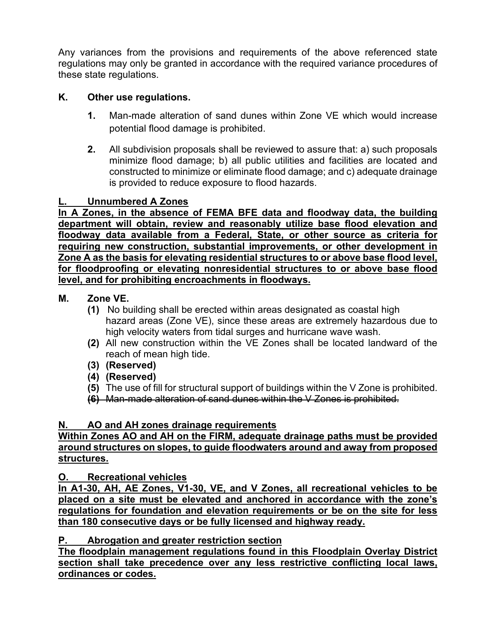Any variances from the provisions and requirements of the above referenced state regulations may only be granted in accordance with the required variance procedures of these state regulations.

# **K. Other use regulations.**

- **1.** Man-made alteration of sand dunes within Zone VE which would increase potential flood damage is prohibited.
- **2.** All subdivision proposals shall be reviewed to assure that: a) such proposals minimize flood damage; b) all public utilities and facilities are located and constructed to minimize or eliminate flood damage; and c) adequate drainage is provided to reduce exposure to flood hazards.

### **L. Unnumbered A Zones**

**In A Zones, in the absence of FEMA BFE data and floodway data, the building department will obtain, review and reasonably utilize base flood elevation and floodway data available from a Federal, State, or other source as criteria for requiring new construction, substantial improvements, or other development in Zone A as the basis for elevating residential structures to or above base flood level, for floodproofing or elevating nonresidential structures to or above base flood level, and for prohibiting encroachments in floodways.**

### **M. Zone VE.**

- **(1)** No building shall be erected within areas designated as coastal high hazard areas (Zone VE), since these areas are extremely hazardous due to high velocity waters from tidal surges and hurricane wave wash.
- **(2)** All new construction within the VE Zones shall be located landward of the reach of mean high tide.
- **(3) (Reserved)**
- **(4) (Reserved)**
- **(5)** The use of fill for structural support of buildings within the V Zone is prohibited.
- **(6)** Man-made alteration of sand dunes within the V Zones is prohibited.

### **N. AO and AH zones drainage requirements**

#### **Within Zones AO and AH on the FIRM, adequate drainage paths must be provided around structures on slopes, to guide floodwaters around and away from proposed structures.**

### **O. Recreational vehicles**

**In A1-30, AH, AE Zones, V1-30, VE, and V Zones, all recreational vehicles to be placed on a site must be elevated and anchored in accordance with the zone's regulations for foundation and elevation requirements or be on the site for less than 180 consecutive days or be fully licensed and highway ready.**

## **P. Abrogation and greater restriction section**

**The floodplain management regulations found in this Floodplain Overlay District section shall take precedence over any less restrictive conflicting local laws, ordinances or codes.**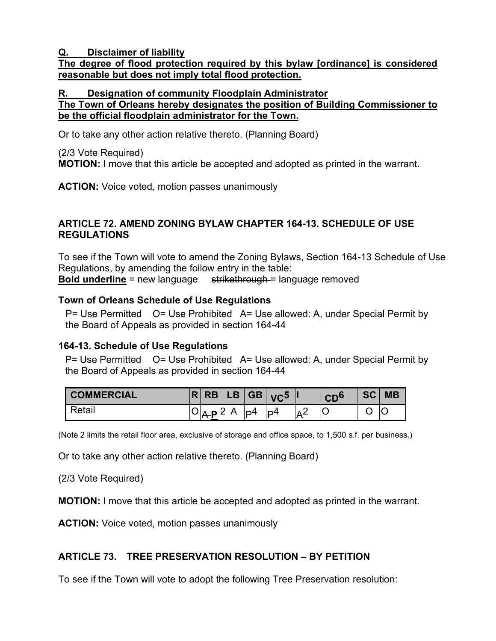### **Q. Disclaimer of liability**

## **The degree of flood protection required by this bylaw [ordinance] is considered reasonable but does not imply total flood protection.**

### **R. Designation of community Floodplain Administrator**

## **The Town of Orleans hereby designates the position of Building Commissioner to be the official floodplain administrator for the Town.**

Or to take any other action relative thereto. (Planning Board)

(2/3 Vote Required)

**MOTION:** I move that this article be accepted and adopted as printed in the warrant.

**ACTION:** Voice voted, motion passes unanimously

### **ARTICLE 72. AMEND ZONING BYLAW CHAPTER 164-13. SCHEDULE OF USE REGULATIONS**

To see if the Town will vote to amend the Zoning Bylaws, Section 164-13 Schedule of Use Regulations, by amending the follow entry in the table: **Bold underline** = new language strikethrough = language removed

### **Town of Orleans Schedule of Use Regulations**

P= Use Permitted O= Use Prohibited A= Use allowed: A, under Special Permit by the Board of Appeals as provided in section 164-44

### **164-13. Schedule of Use Regulations**

P= Use Permitted O= Use Prohibited A= Use allowed: A, under Special Permit by the Board of Appeals as provided in section 164-44

| <b>COMMERCIAL</b> | œ | <b>RB</b> |   | LB GB | VC <sup>5</sup> |            | $\mathsf{CD}^\mathsf{c}$ | SC | <b>MB</b> |
|-------------------|---|-----------|---|-------|-----------------|------------|--------------------------|----|-----------|
| l Retail          |   | ി         | Δ | ID4   | ID4             | $\sqrt{2}$ |                          |    |           |

(Note 2 limits the retail floor area, exclusive of storage and office space, to 1,500 s.f. per business.)

Or to take any other action relative thereto. (Planning Board)

(2/3 Vote Required)

**MOTION:** I move that this article be accepted and adopted as printed in the warrant.

**ACTION:** Voice voted, motion passes unanimously

### **ARTICLE 73. TREE PRESERVATION RESOLUTION – BY PETITION**

To see if the Town will vote to adopt the following Tree Preservation resolution: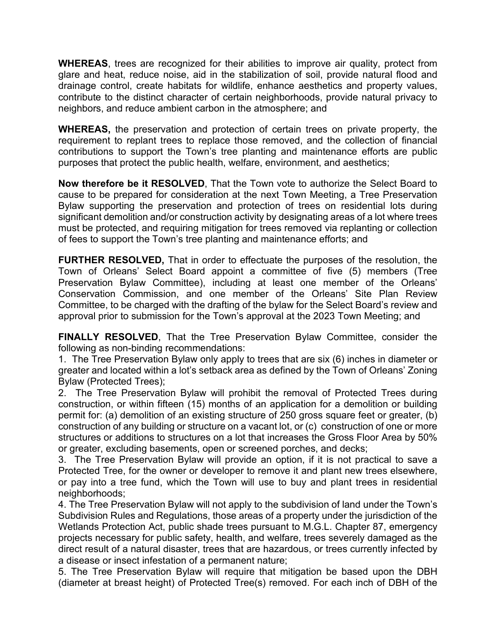**WHEREAS**, trees are recognized for their abilities to improve air quality, protect from glare and heat, reduce noise, aid in the stabilization of soil, provide natural flood and drainage control, create habitats for wildlife, enhance aesthetics and property values, contribute to the distinct character of certain neighborhoods, provide natural privacy to neighbors, and reduce ambient carbon in the atmosphere; and

**WHEREAS,** the preservation and protection of certain trees on private property, the requirement to replant trees to replace those removed, and the collection of financial contributions to support the Town's tree planting and maintenance efforts are public purposes that protect the public health, welfare, environment, and aesthetics;

**Now therefore be it RESOLVED**, That the Town vote to authorize the Select Board to cause to be prepared for consideration at the next Town Meeting, a Tree Preservation Bylaw supporting the preservation and protection of trees on residential lots during significant demolition and/or construction activity by designating areas of a lot where trees must be protected, and requiring mitigation for trees removed via replanting or collection of fees to support the Town's tree planting and maintenance efforts; and

**FURTHER RESOLVED,** That in order to effectuate the purposes of the resolution, the Town of Orleans' Select Board appoint a committee of five (5) members (Tree Preservation Bylaw Committee), including at least one member of the Orleans' Conservation Commission, and one member of the Orleans' Site Plan Review Committee, to be charged with the drafting of the bylaw for the Select Board's review and approval prior to submission for the Town's approval at the 2023 Town Meeting; and

**FINALLY RESOLVED**, That the Tree Preservation Bylaw Committee, consider the following as non-binding recommendations:

1. The Tree Preservation Bylaw only apply to trees that are six (6) inches in diameter or greater and located within a lot's setback area as defined by the Town of Orleans' Zoning Bylaw (Protected Trees);

2. The Tree Preservation Bylaw will prohibit the removal of Protected Trees during construction, or within fifteen (15) months of an application for a demolition or building permit for: (a) demolition of an existing structure of 250 gross square feet or greater, (b) construction of any building or structure on a vacant lot, or (c) construction of one or more structures or additions to structures on a lot that increases the Gross Floor Area by 50% or greater, excluding basements, open or screened porches, and decks;

3. The Tree Preservation Bylaw will provide an option, if it is not practical to save a Protected Tree, for the owner or developer to remove it and plant new trees elsewhere, or pay into a tree fund, which the Town will use to buy and plant trees in residential neighborhoods;

4. The Tree Preservation Bylaw will not apply to the subdivision of land under the Town's Subdivision Rules and Regulations, those areas of a property under the jurisdiction of the Wetlands Protection Act, public shade trees pursuant to M.G.L. Chapter 87, emergency projects necessary for public safety, health, and welfare, trees severely damaged as the direct result of a natural disaster, trees that are hazardous, or trees currently infected by a disease or insect infestation of a permanent nature;

5. The Tree Preservation Bylaw will require that mitigation be based upon the DBH (diameter at breast height) of Protected Tree(s) removed. For each inch of DBH of the